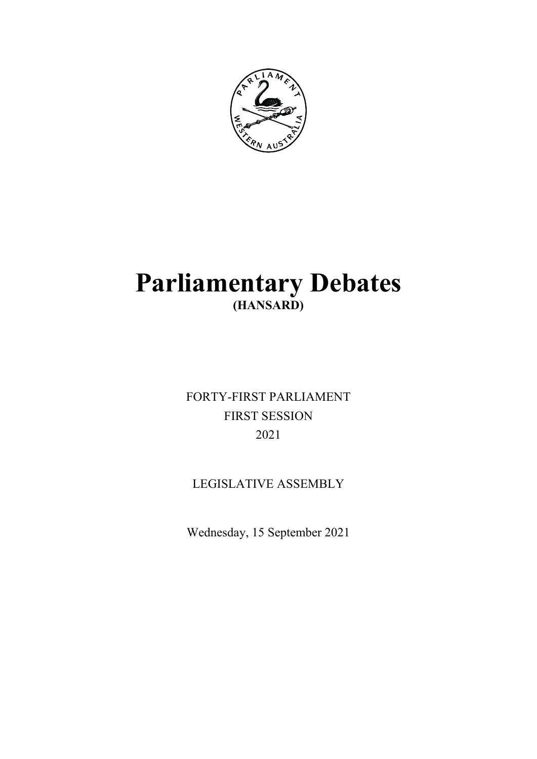

# **Parliamentary Debates (HANSARD)**

FORTY-FIRST PARLIAMENT FIRST SESSION 2021

## LEGISLATIVE ASSEMBLY

Wednesday, 15 September 2021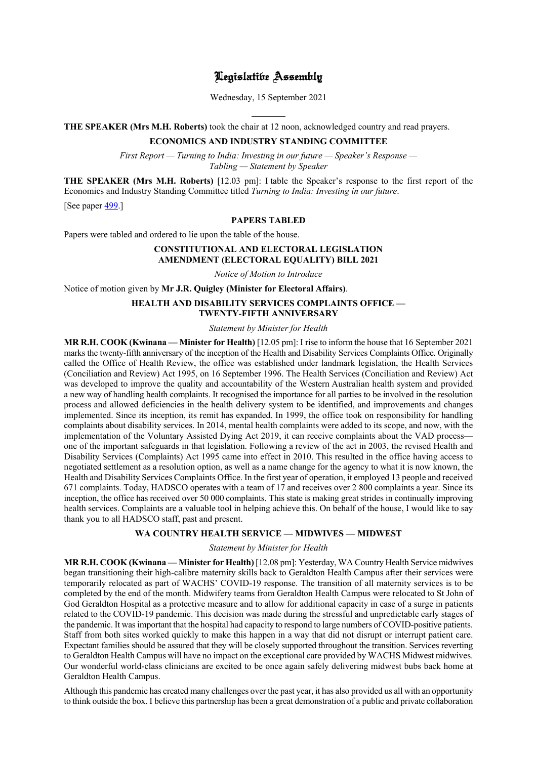### Legislative Assembly

Wednesday, 15 September 2021

l **THE SPEAKER (Mrs M.H. Roberts)** took the chair at 12 noon, acknowledged country and read prayers.

#### **ECONOMICS AND INDUSTRY STANDING COMMITTEE**

*First Report — Turning to India: Investing in our future — Speaker's Response — Tabling — Statement by Speaker*

**THE SPEAKER (Mrs M.H. Roberts)** [12.03 pm]: I table the Speaker's response to the first report of the Economics and Industry Standing Committee titled *Turning to India: Investing in our future*.

[See paper [499.](https://www.parliament.wa.gov.au/publications/tabledpapers.nsf/displaypaper/4110499a56bdc60439e9378e4825875100168393/$file/tp+499.pdf)]

#### **PAPERS TABLED**

Papers were tabled and ordered to lie upon the table of the house.

#### **CONSTITUTIONAL AND ELECTORAL LEGISLATION AMENDMENT (ELECTORAL EQUALITY) BILL 2021**

*Notice of Motion to Introduce*

Notice of motion given by **Mr J.R. Quigley (Minister for Electoral Affairs)**.

#### **HEALTH AND DISABILITY SERVICES COMPLAINTS OFFICE — TWENTY-FIFTH ANNIVERSARY**

*Statement by Minister for Health*

**MR R.H. COOK (Kwinana — Minister for Health)** [12.05 pm]: I rise to inform the house that 16 September 2021 marks the twenty-fifth anniversary of the inception of the Health and Disability Services Complaints Office. Originally called the Office of Health Review, the office was established under landmark legislation, the Health Services (Conciliation and Review) Act 1995, on 16 September 1996. The Health Services (Conciliation and Review) Act was developed to improve the quality and accountability of the Western Australian health system and provided a new way of handling health complaints. It recognised the importance for all parties to be involved in the resolution process and allowed deficiencies in the health delivery system to be identified, and improvements and changes implemented. Since its inception, its remit has expanded. In 1999, the office took on responsibility for handling complaints about disability services. In 2014, mental health complaints were added to its scope, and now, with the implementation of the Voluntary Assisted Dying Act 2019, it can receive complaints about the VAD process one of the important safeguards in that legislation. Following a review of the act in 2003, the revised Health and Disability Services (Complaints) Act 1995 came into effect in 2010. This resulted in the office having access to negotiated settlement as a resolution option, as well as a name change for the agency to what it is now known, the Health and Disability Services Complaints Office. In the first year of operation, it employed 13 people and received 671 complaints. Today, HADSCO operates with a team of 17 and receives over 2 800 complaints a year. Since its inception, the office has received over 50 000 complaints. This state is making great strides in continually improving health services. Complaints are a valuable tool in helping achieve this. On behalf of the house, I would like to say thank you to all HADSCO staff, past and present.

#### **WA COUNTRY HEALTH SERVICE — MIDWIVES — MIDWEST**

*Statement by Minister for Health*

**MR R.H. COOK (Kwinana — Minister for Health)** [12.08 pm]: Yesterday, WA Country Health Service midwives began transitioning their high-calibre maternity skills back to Geraldton Health Campus after their services were temporarily relocated as part of WACHS' COVID-19 response. The transition of all maternity services is to be completed by the end of the month. Midwifery teams from Geraldton Health Campus were relocated to St John of God Geraldton Hospital as a protective measure and to allow for additional capacity in case of a surge in patients related to the COVID-19 pandemic. This decision was made during the stressful and unpredictable early stages of the pandemic. It was important that the hospital had capacity to respond to large numbers of COVID-positive patients. Staff from both sites worked quickly to make this happen in a way that did not disrupt or interrupt patient care. Expectant families should be assured that they will be closely supported throughout the transition. Services reverting to Geraldton Health Campus will have no impact on the exceptional care provided by WACHS Midwest midwives. Our wonderful world-class clinicians are excited to be once again safely delivering midwest bubs back home at Geraldton Health Campus.

Although this pandemic has created many challenges over the past year, it has also provided us all with an opportunity to think outside the box. I believe this partnership has been a great demonstration of a public and private collaboration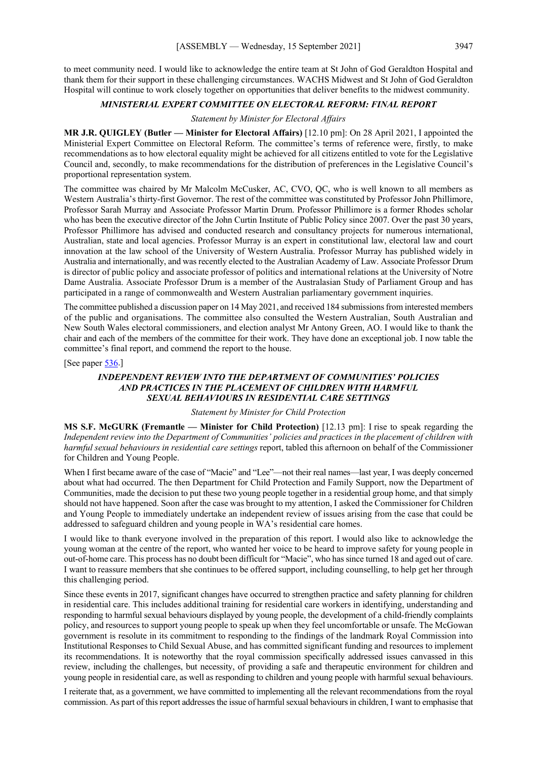to meet community need. I would like to acknowledge the entire team at St John of God Geraldton Hospital and thank them for their support in these challenging circumstances. WACHS Midwest and St John of God Geraldton Hospital will continue to work closely together on opportunities that deliver benefits to the midwest community.

#### *MINISTERIAL EXPERT COMMITTEE ON ELECTORAL REFORM: FINAL REPORT*

#### *Statement by Minister for Electoral Affairs*

**MR J.R. QUIGLEY (Butler — Minister for Electoral Affairs)** [12.10 pm]: On 28 April 2021, I appointed the Ministerial Expert Committee on Electoral Reform. The committee's terms of reference were, firstly, to make recommendations as to how electoral equality might be achieved for all citizens entitled to vote for the Legislative Council and, secondly, to make recommendations for the distribution of preferences in the Legislative Council's proportional representation system.

The committee was chaired by Mr Malcolm McCusker, AC, CVO, QC, who is well known to all members as Western Australia's thirty-first Governor. The rest of the committee was constituted by Professor John Phillimore, Professor Sarah Murray and Associate Professor Martin Drum. Professor Phillimore is a former Rhodes scholar who has been the executive director of the John Curtin Institute of Public Policy since 2007. Over the past 30 years, Professor Phillimore has advised and conducted research and consultancy projects for numerous international, Australian, state and local agencies. Professor Murray is an expert in constitutional law, electoral law and court innovation at the law school of the University of Western Australia. Professor Murray has published widely in Australia and internationally, and was recently elected to the Australian Academy of Law. Associate Professor Drum is director of public policy and associate professor of politics and international relations at the University of Notre Dame Australia. Associate Professor Drum is a member of the Australasian Study of Parliament Group and has participated in a range of commonwealth and Western Australian parliamentary government inquiries.

The committee published a discussion paper on 14 May 2021, and received 184 submissions from interested members of the public and organisations. The committee also consulted the Western Australian, South Australian and New South Wales electoral commissioners, and election analyst Mr Antony Green, AO. I would like to thank the chair and each of the members of the committee for their work. They have done an exceptional job. I now table the committee's final report, and commend the report to the house.

[See paper [536.](https://www.parliament.wa.gov.au/publications/tabledpapers.nsf/displaypaper/4110536a65e94a017debc109482587520002ac3c/$file/tp+536.pdf)]

#### *INDEPENDENT REVIEW INTO THE DEPARTMENT OF COMMUNITIES' POLICIES AND PRACTICES IN THE PLACEMENT OF CHILDREN WITH HARMFUL SEXUAL BEHAVIOURS IN RESIDENTIAL CARE SETTINGS*

#### *Statement by Minister for Child Protection*

**MS S.F. McGURK (Fremantle — Minister for Child Protection)** [12.13 pm]: I rise to speak regarding the *Independent review into the Department of Communities' policies and practices in the placement of children with harmful sexual behaviours in residential care settings* report, tabled this afternoon on behalf of the Commissioner for Children and Young People.

When I first became aware of the case of "Macie" and "Lee"—not their real names—last year, I was deeply concerned about what had occurred. The then Department for Child Protection and Family Support, now the Department of Communities, made the decision to put these two young people together in a residential group home, and that simply should not have happened. Soon after the case was brought to my attention, I asked the Commissioner for Children and Young People to immediately undertake an independent review of issues arising from the case that could be addressed to safeguard children and young people in WA's residential care homes.

I would like to thank everyone involved in the preparation of this report. I would also like to acknowledge the young woman at the centre of the report, who wanted her voice to be heard to improve safety for young people in out-of-home care. This process has no doubt been difficult for "Macie", who has since turned 18 and aged out of care. I want to reassure members that she continues to be offered support, including counselling, to help get her through this challenging period.

Since these events in 2017, significant changes have occurred to strengthen practice and safety planning for children in residential care. This includes additional training for residential care workers in identifying, understanding and responding to harmful sexual behaviours displayed by young people, the development of a child-friendly complaints policy, and resources to support young people to speak up when they feel uncomfortable or unsafe. The McGowan government is resolute in its commitment to responding to the findings of the landmark Royal Commission into Institutional Responses to Child Sexual Abuse, and has committed significant funding and resources to implement its recommendations. It is noteworthy that the royal commission specifically addressed issues canvassed in this review, including the challenges, but necessity, of providing a safe and therapeutic environment for children and young people in residential care, as well as responding to children and young people with harmful sexual behaviours.

I reiterate that, as a government, we have committed to implementing all the relevant recommendations from the royal commission. As part of this report addresses the issue of harmful sexual behaviours in children, I want to emphasise that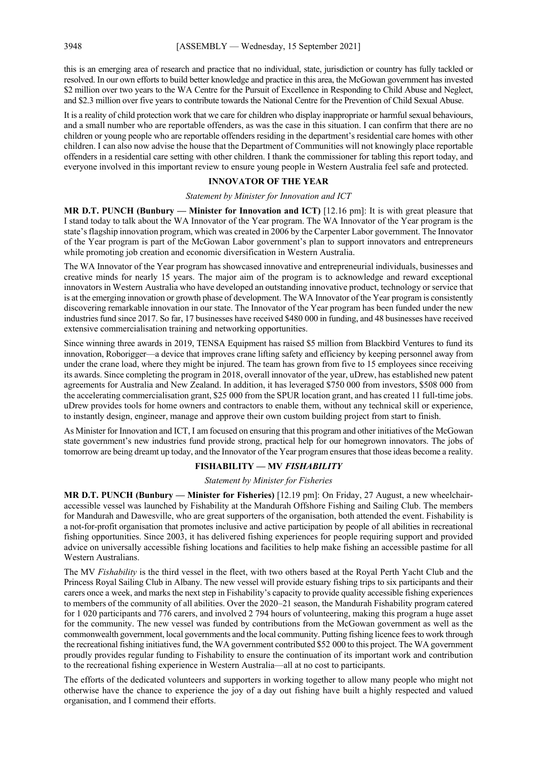this is an emerging area of research and practice that no individual, state, jurisdiction or country has fully tackled or resolved. In our own efforts to build better knowledge and practice in this area, the McGowan government has invested \$2 million over two years to the WA Centre for the Pursuit of Excellence in Responding to Child Abuse and Neglect, and \$2.3 million over five years to contribute towards the National Centre for the Prevention of Child Sexual Abuse.

It is a reality of child protection work that we care for children who display inappropriate or harmful sexual behaviours, and a small number who are reportable offenders, as was the case in this situation. I can confirm that there are no children or young people who are reportable offenders residing in the department's residential care homes with other children. I can also now advise the house that the Department of Communities will not knowingly place reportable offenders in a residential care setting with other children. I thank the commissioner for tabling this report today, and everyone involved in this important review to ensure young people in Western Australia feel safe and protected.

#### **INNOVATOR OF THE YEAR**

*Statement by Minister for Innovation and ICT*

**MR D.T. PUNCH (Bunbury — Minister for Innovation and ICT)** [12.16 pm]: It is with great pleasure that I stand today to talk about the WA Innovator of the Year program. The WA Innovator of the Year program is the state's flagship innovation program, which was created in 2006 by the Carpenter Labor government. The Innovator of the Year program is part of the McGowan Labor government's plan to support innovators and entrepreneurs while promoting job creation and economic diversification in Western Australia.

The WA Innovator of the Year program has showcased innovative and entrepreneurial individuals, businesses and creative minds for nearly 15 years. The major aim of the program is to acknowledge and reward exceptional innovators in Western Australia who have developed an outstanding innovative product, technology or service that is at the emerging innovation or growth phase of development. The WA Innovator of the Year program is consistently discovering remarkable innovation in our state. The Innovator of the Year program has been funded under the new industries fund since 2017. So far, 17 businesses have received \$480 000 in funding, and 48 businesses have received extensive commercialisation training and networking opportunities.

Since winning three awards in 2019, TENSA Equipment has raised \$5 million from Blackbird Ventures to fund its innovation, Roborigger—a device that improves crane lifting safety and efficiency by keeping personnel away from under the crane load, where they might be injured. The team has grown from five to 15 employees since receiving its awards. Since completing the program in 2018, overall innovator of the year, uDrew, has established new patent agreements for Australia and New Zealand. In addition, it has leveraged \$750 000 from investors, \$508 000 from the accelerating commercialisation grant, \$25 000 from the SPUR location grant, and has created 11 full-time jobs. uDrew provides tools for home owners and contractors to enable them, without any technical skill or experience, to instantly design, engineer, manage and approve their own custom building project from start to finish.

As Minister for Innovation and ICT, I am focused on ensuring that this program and other initiatives of the McGowan state government's new industries fund provide strong, practical help for our homegrown innovators. The jobs of tomorrow are being dreamt up today, and the Innovator of the Year program ensures that those ideas become a reality.

#### **FISHABILITY — MV** *FISHABILITY*

#### *Statement by Minister for Fisheries*

**MR D.T. PUNCH (Bunbury — Minister for Fisheries)** [12.19 pm]: On Friday, 27 August, a new wheelchairaccessible vessel was launched by Fishability at the Mandurah Offshore Fishing and Sailing Club. The members for Mandurah and Dawesville, who are great supporters of the organisation, both attended the event. Fishability is a not-for-profit organisation that promotes inclusive and active participation by people of all abilities in recreational fishing opportunities. Since 2003, it has delivered fishing experiences for people requiring support and provided advice on universally accessible fishing locations and facilities to help make fishing an accessible pastime for all Western Australians.

The MV *Fishability* is the third vessel in the fleet, with two others based at the Royal Perth Yacht Club and the Princess Royal Sailing Club in Albany. The new vessel will provide estuary fishing trips to six participants and their carers once a week, and marks the next step in Fishability's capacity to provide quality accessible fishing experiences to members of the community of all abilities. Over the 2020–21 season, the Mandurah Fishability program catered for 1 020 participants and 776 carers, and involved 2 794 hours of volunteering, making this program a huge asset for the community. The new vessel was funded by contributions from the McGowan government as well as the commonwealth government, local governments and the local community. Putting fishing licence fees to work through the recreational fishing initiatives fund, the WA government contributed \$52 000 to this project. The WA government proudly provides regular funding to Fishability to ensure the continuation of its important work and contribution to the recreational fishing experience in Western Australia—all at no cost to participants.

The efforts of the dedicated volunteers and supporters in working together to allow many people who might not otherwise have the chance to experience the joy of a day out fishing have built a highly respected and valued organisation, and I commend their efforts.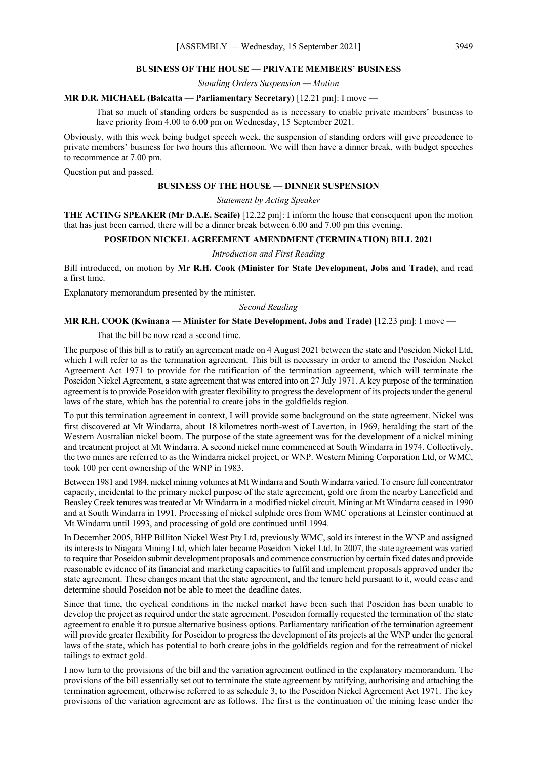#### **BUSINESS OF THE HOUSE — PRIVATE MEMBERS' BUSINESS**

*Standing Orders Suspension — Motion*

#### **MR D.R. MICHAEL (Balcatta — Parliamentary Secretary)** [12.21 pm]: I move —

That so much of standing orders be suspended as is necessary to enable private members' business to have priority from 4.00 to 6.00 pm on Wednesday, 15 September 2021.

Obviously, with this week being budget speech week, the suspension of standing orders will give precedence to private members' business for two hours this afternoon. We will then have a dinner break, with budget speeches to recommence at 7.00 pm.

Question put and passed.

#### **BUSINESS OF THE HOUSE — DINNER SUSPENSION**

*Statement by Acting Speaker*

**THE ACTING SPEAKER (Mr D.A.E. Scaife)** [12.22 pm]: I inform the house that consequent upon the motion that has just been carried, there will be a dinner break between 6.00 and 7.00 pm this evening.

#### **POSEIDON NICKEL AGREEMENT AMENDMENT (TERMINATION) BILL 2021**

#### *Introduction and First Reading*

Bill introduced, on motion by **Mr R.H. Cook (Minister for State Development, Jobs and Trade)**, and read a first time.

Explanatory memorandum presented by the minister.

#### *Second Reading*

#### **MR R.H. COOK (Kwinana — Minister for State Development, Jobs and Trade)** [12.23 pm]: I move —

That the bill be now read a second time.

The purpose of this bill is to ratify an agreement made on 4 August 2021 between the state and Poseidon Nickel Ltd, which I will refer to as the termination agreement. This bill is necessary in order to amend the Poseidon Nickel Agreement Act 1971 to provide for the ratification of the termination agreement, which will terminate the Poseidon Nickel Agreement, a state agreement that was entered into on 27 July 1971. A key purpose of the termination agreement is to provide Poseidon with greater flexibility to progress the development of its projects under the general laws of the state, which has the potential to create jobs in the goldfields region.

To put this termination agreement in context, I will provide some background on the state agreement. Nickel was first discovered at Mt Windarra, about 18 kilometres north-west of Laverton, in 1969, heralding the start of the Western Australian nickel boom. The purpose of the state agreement was for the development of a nickel mining and treatment project at Mt Windarra. A second nickel mine commenced at South Windarra in 1974. Collectively, the two mines are referred to as the Windarra nickel project, or WNP. Western Mining Corporation Ltd, or WMC, took 100 per cent ownership of the WNP in 1983.

Between 1981 and 1984, nickel mining volumes at Mt Windarra and South Windarra varied. To ensure full concentrator capacity, incidental to the primary nickel purpose of the state agreement, gold ore from the nearby Lancefield and Beasley Creek tenures was treated at Mt Windarra in a modified nickel circuit. Mining at Mt Windarra ceased in 1990 and at South Windarra in 1991. Processing of nickel sulphide ores from WMC operations at Leinster continued at Mt Windarra until 1993, and processing of gold ore continued until 1994.

In December 2005, BHP Billiton Nickel West Pty Ltd, previously WMC, sold its interest in the WNP and assigned its interests to Niagara Mining Ltd, which later became Poseidon Nickel Ltd. In 2007, the state agreement was varied to require that Poseidon submit development proposals and commence construction by certain fixed dates and provide reasonable evidence of its financial and marketing capacities to fulfil and implement proposals approved under the state agreement. These changes meant that the state agreement, and the tenure held pursuant to it, would cease and determine should Poseidon not be able to meet the deadline dates.

Since that time, the cyclical conditions in the nickel market have been such that Poseidon has been unable to develop the project as required under the state agreement. Poseidon formally requested the termination of the state agreement to enable it to pursue alternative business options. Parliamentary ratification of the termination agreement will provide greater flexibility for Poseidon to progress the development of its projects at the WNP under the general laws of the state, which has potential to both create jobs in the goldfields region and for the retreatment of nickel tailings to extract gold.

I now turn to the provisions of the bill and the variation agreement outlined in the explanatory memorandum. The provisions of the bill essentially set out to terminate the state agreement by ratifying, authorising and attaching the termination agreement, otherwise referred to as schedule 3, to the Poseidon Nickel Agreement Act 1971. The key provisions of the variation agreement are as follows. The first is the continuation of the mining lease under the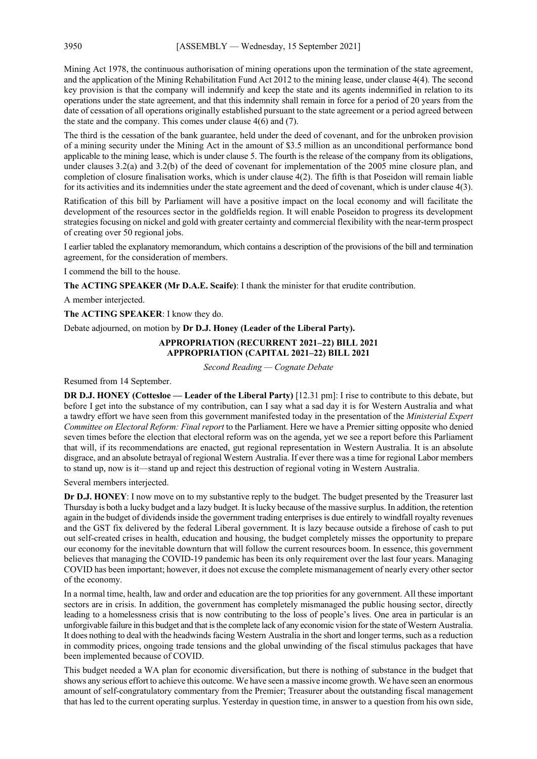Mining Act 1978, the continuous authorisation of mining operations upon the termination of the state agreement, and the application of the Mining Rehabilitation Fund Act 2012 to the mining lease, under clause 4(4). The second key provision is that the company will indemnify and keep the state and its agents indemnified in relation to its operations under the state agreement, and that this indemnity shall remain in force for a period of 20 years from the date of cessation of all operations originally established pursuant to the state agreement or a period agreed between the state and the company. This comes under clause 4(6) and (7).

The third is the cessation of the bank guarantee, held under the deed of covenant, and for the unbroken provision of a mining security under the Mining Act in the amount of \$3.5 million as an unconditional performance bond applicable to the mining lease, which is under clause 5. The fourth is the release of the company from its obligations, under clauses 3.2(a) and 3.2(b) of the deed of covenant for implementation of the 2005 mine closure plan, and completion of closure finalisation works, which is under clause 4(2). The fifth is that Poseidon will remain liable for its activities and its indemnities under the state agreement and the deed of covenant, which is under clause 4(3).

Ratification of this bill by Parliament will have a positive impact on the local economy and will facilitate the development of the resources sector in the goldfields region. It will enable Poseidon to progress its development strategies focusing on nickel and gold with greater certainty and commercial flexibility with the near-term prospect of creating over 50 regional jobs.

I earlier tabled the explanatory memorandum, which contains a description of the provisions of the bill and termination agreement, for the consideration of members.

I commend the bill to the house.

**The ACTING SPEAKER (Mr D.A.E. Scaife)**: I thank the minister for that erudite contribution.

A member interjected.

**The ACTING SPEAKER**: I know they do.

Debate adjourned, on motion by **Dr D.J. Honey (Leader of the Liberal Party).**

#### **APPROPRIATION (RECURRENT 2021–22) BILL 2021 APPROPRIATION (CAPITAL 2021–22) BILL 2021**

*Second Reading — Cognate Debate*

Resumed from 14 September.

**DR D.J. HONEY (Cottesloe — Leader of the Liberal Party)** [12.31 pm]: I rise to contribute to this debate, but before I get into the substance of my contribution, can I say what a sad day it is for Western Australia and what a tawdry effort we have seen from this government manifested today in the presentation of the *Ministerial Expert Committee on Electoral Reform: Final report* to the Parliament. Here we have a Premier sitting opposite who denied seven times before the election that electoral reform was on the agenda, yet we see a report before this Parliament that will, if its recommendations are enacted, gut regional representation in Western Australia. It is an absolute disgrace, and an absolute betrayal of regional Western Australia. If ever there was a time for regional Labor members to stand up, now is it—stand up and reject this destruction of regional voting in Western Australia.

Several members interjected.

**Dr D.J. HONEY**: I now move on to my substantive reply to the budget. The budget presented by the Treasurer last Thursday is both a lucky budget and a lazy budget. It is lucky because of the massive surplus. In addition, the retention again in the budget of dividends inside the government trading enterprises is due entirely to windfall royalty revenues and the GST fix delivered by the federal Liberal government. It is lazy because outside a firehose of cash to put out self-created crises in health, education and housing, the budget completely misses the opportunity to prepare our economy for the inevitable downturn that will follow the current resources boom. In essence, this government believes that managing the COVID-19 pandemic has been its only requirement over the last four years. Managing COVID has been important; however, it does not excuse the complete mismanagement of nearly every other sector of the economy.

In a normal time, health, law and order and education are the top priorities for any government. All these important sectors are in crisis. In addition, the government has completely mismanaged the public housing sector, directly leading to a homelessness crisis that is now contributing to the loss of people's lives. One area in particular is an unforgivable failure in this budget and that is the complete lack of any economic vision for the state of Western Australia. It does nothing to deal with the headwinds facing Western Australia in the short and longer terms, such as a reduction in commodity prices, ongoing trade tensions and the global unwinding of the fiscal stimulus packages that have been implemented because of COVID.

This budget needed a WA plan for economic diversification, but there is nothing of substance in the budget that shows any serious effort to achieve this outcome. We have seen a massive income growth. We have seen an enormous amount of self-congratulatory commentary from the Premier; Treasurer about the outstanding fiscal management that has led to the current operating surplus. Yesterday in question time, in answer to a question from his own side,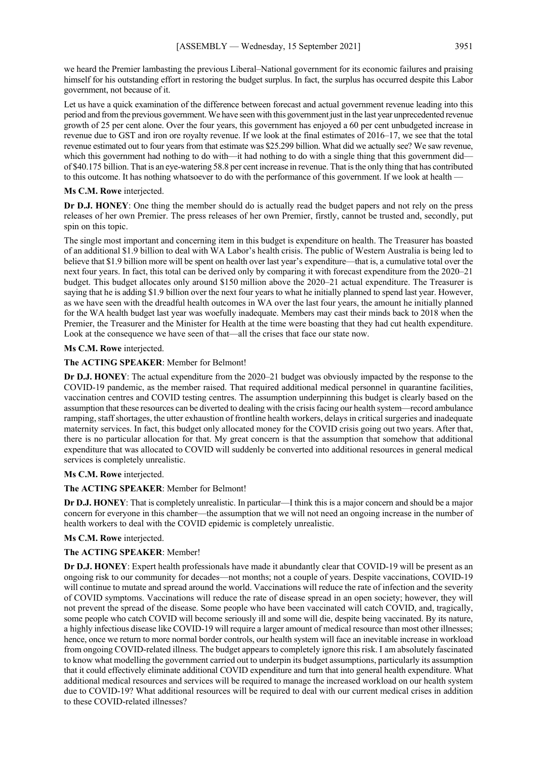we heard the Premier lambasting the previous Liberal–National government for its economic failures and praising himself for his outstanding effort in restoring the budget surplus. In fact, the surplus has occurred despite this Labor government, not because of it.

Let us have a quick examination of the difference between forecast and actual government revenue leading into this period and from the previous government. We have seen with this government just in the last year unprecedented revenue growth of 25 per cent alone. Over the four years, this government has enjoyed a 60 per cent unbudgeted increase in revenue due to GST and iron ore royalty revenue. If we look at the final estimates of 2016–17, we see that the total revenue estimated out to four years from that estimate was \$25.299 billion. What did we actually see? We saw revenue, which this government had nothing to do with—it had nothing to do with a single thing that this government did of \$40.175 billion. That is an eye-watering 58.8 per cent increase in revenue. That is the only thing that has contributed to this outcome. It has nothing whatsoever to do with the performance of this government. If we look at health —

#### **Ms C.M. Rowe** interjected.

**Dr D.J. HONEY**: One thing the member should do is actually read the budget papers and not rely on the press releases of her own Premier. The press releases of her own Premier, firstly, cannot be trusted and, secondly, put spin on this topic.

The single most important and concerning item in this budget is expenditure on health. The Treasurer has boasted of an additional \$1.9 billion to deal with WA Labor's health crisis. The public of Western Australia is being led to believe that \$1.9 billion more will be spent on health over last year's expenditure—that is, a cumulative total over the next four years. In fact, this total can be derived only by comparing it with forecast expenditure from the 2020–21 budget. This budget allocates only around \$150 million above the 2020–21 actual expenditure. The Treasurer is saying that he is adding \$1.9 billion over the next four years to what he initially planned to spend last year. However, as we have seen with the dreadful health outcomes in WA over the last four years, the amount he initially planned for the WA health budget last year was woefully inadequate. Members may cast their minds back to 2018 when the Premier, the Treasurer and the Minister for Health at the time were boasting that they had cut health expenditure. Look at the consequence we have seen of that—all the crises that face our state now.

#### **Ms C.M. Rowe** interjected.

#### **The ACTING SPEAKER**: Member for Belmont!

**Dr D.J. HONEY**: The actual expenditure from the 2020–21 budget was obviously impacted by the response to the COVID-19 pandemic, as the member raised. That required additional medical personnel in quarantine facilities, vaccination centres and COVID testing centres. The assumption underpinning this budget is clearly based on the assumption that these resources can be diverted to dealing with the crisis facing our health system—record ambulance ramping, staff shortages, the utter exhaustion of frontline health workers, delays in critical surgeries and inadequate maternity services. In fact, this budget only allocated money for the COVID crisis going out two years. After that, there is no particular allocation for that. My great concern is that the assumption that somehow that additional expenditure that was allocated to COVID will suddenly be converted into additional resources in general medical services is completely unrealistic.

#### **Ms C.M. Rowe** interjected.

#### **The ACTING SPEAKER**: Member for Belmont!

**Dr D.J. HONEY**: That is completely unrealistic. In particular—I think this is a major concern and should be a major concern for everyone in this chamber—the assumption that we will not need an ongoing increase in the number of health workers to deal with the COVID epidemic is completely unrealistic.

#### **Ms C.M. Rowe** interjected.

#### **The ACTING SPEAKER**: Member!

**Dr D.J. HONEY**: Expert health professionals have made it abundantly clear that COVID-19 will be present as an ongoing risk to our community for decades—not months; not a couple of years. Despite vaccinations, COVID-19 will continue to mutate and spread around the world. Vaccinations will reduce the rate of infection and the severity of COVID symptoms. Vaccinations will reduce the rate of disease spread in an open society; however, they will not prevent the spread of the disease. Some people who have been vaccinated will catch COVID, and, tragically, some people who catch COVID will become seriously ill and some will die, despite being vaccinated. By its nature, a highly infectious disease like COVID-19 will require a larger amount of medical resource than most other illnesses; hence, once we return to more normal border controls, our health system will face an inevitable increase in workload from ongoing COVID-related illness. The budget appears to completely ignore this risk. I am absolutely fascinated to know what modelling the government carried out to underpin its budget assumptions, particularly its assumption that it could effectively eliminate additional COVID expenditure and turn that into general health expenditure. What additional medical resources and services will be required to manage the increased workload on our health system due to COVID-19? What additional resources will be required to deal with our current medical crises in addition to these COVID-related illnesses?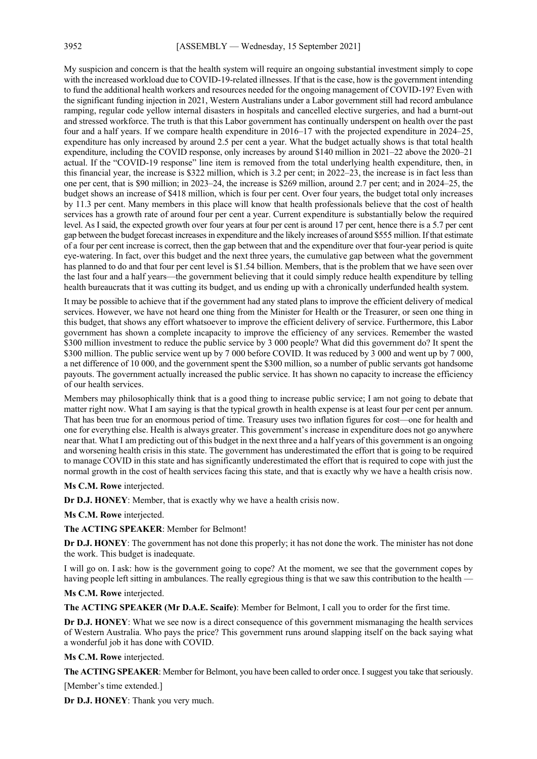My suspicion and concern is that the health system will require an ongoing substantial investment simply to cope with the increased workload due to COVID-19-related illnesses. If that is the case, how is the government intending to fund the additional health workers and resources needed for the ongoing management of COVID-19? Even with the significant funding injection in 2021, Western Australians under a Labor government still had record ambulance ramping, regular code yellow internal disasters in hospitals and cancelled elective surgeries, and had a burnt-out and stressed workforce. The truth is that this Labor government has continually underspent on health over the past four and a half years. If we compare health expenditure in 2016–17 with the projected expenditure in 2024–25, expenditure has only increased by around 2.5 per cent a year. What the budget actually shows is that total health expenditure, including the COVID response, only increases by around \$140 million in 2021–22 above the 2020–21 actual. If the "COVID-19 response" line item is removed from the total underlying health expenditure, then, in this financial year, the increase is \$322 million, which is 3.2 per cent; in 2022–23, the increase is in fact less than one per cent, that is \$90 million; in 2023–24, the increase is \$269 million, around 2.7 per cent; and in 2024–25, the budget shows an increase of \$418 million, which is four per cent. Over four years, the budget total only increases by 11.3 per cent. Many members in this place will know that health professionals believe that the cost of health services has a growth rate of around four per cent a year. Current expenditure is substantially below the required level. As I said, the expected growth over four years at four per cent is around 17 per cent, hence there is a 5.7 per cent gap between the budget forecast increases in expenditure and the likely increases of around \$555 million. If that estimate of a four per cent increase is correct, then the gap between that and the expenditure over that four-year period is quite eye-watering. In fact, over this budget and the next three years, the cumulative gap between what the government has planned to do and that four per cent level is \$1.54 billion. Members, that is the problem that we have seen over the last four and a half years—the government believing that it could simply reduce health expenditure by telling health bureaucrats that it was cutting its budget, and us ending up with a chronically underfunded health system.

It may be possible to achieve that if the government had any stated plans to improve the efficient delivery of medical services. However, we have not heard one thing from the Minister for Health or the Treasurer, or seen one thing in this budget, that shows any effort whatsoever to improve the efficient delivery of service. Furthermore, this Labor government has shown a complete incapacity to improve the efficiency of any services. Remember the wasted \$300 million investment to reduce the public service by 3 000 people? What did this government do? It spent the \$300 million. The public service went up by 7 000 before COVID. It was reduced by 3 000 and went up by 7 000, a net difference of 10 000, and the government spent the \$300 million, so a number of public servants got handsome payouts. The government actually increased the public service. It has shown no capacity to increase the efficiency of our health services.

Members may philosophically think that is a good thing to increase public service; I am not going to debate that matter right now. What I am saying is that the typical growth in health expense is at least four per cent per annum. That has been true for an enormous period of time. Treasury uses two inflation figures for cost—one for health and one for everything else. Health is always greater. This government's increase in expenditure does not go anywhere near that. What I am predicting out of this budget in the next three and a half years of this government is an ongoing and worsening health crisis in this state. The government has underestimated the effort that is going to be required to manage COVID in this state and has significantly underestimated the effort that is required to cope with just the normal growth in the cost of health services facing this state, and that is exactly why we have a health crisis now.

**Ms C.M. Rowe** interjected.

**Dr D.J. HONEY**: Member, that is exactly why we have a health crisis now.

**Ms C.M. Rowe** interjected.

**The ACTING SPEAKER**: Member for Belmont!

**Dr D.J. HONEY**: The government has not done this properly; it has not done the work. The minister has not done the work. This budget is inadequate.

I will go on. I ask: how is the government going to cope? At the moment, we see that the government copes by having people left sitting in ambulances. The really egregious thing is that we saw this contribution to the health —

**Ms C.M. Rowe** interjected.

**The ACTING SPEAKER (Mr D.A.E. Scaife)**: Member for Belmont, I call you to order for the first time.

**Dr D.J. HONEY**: What we see now is a direct consequence of this government mismanaging the health services of Western Australia. Who pays the price? This government runs around slapping itself on the back saying what a wonderful job it has done with COVID.

**Ms C.M. Rowe** interjected.

**The ACTING SPEAKER**: Member for Belmont, you have been called to order once. I suggest you take that seriously.

[Member's time extended.]

**Dr D.J. HONEY**: Thank you very much.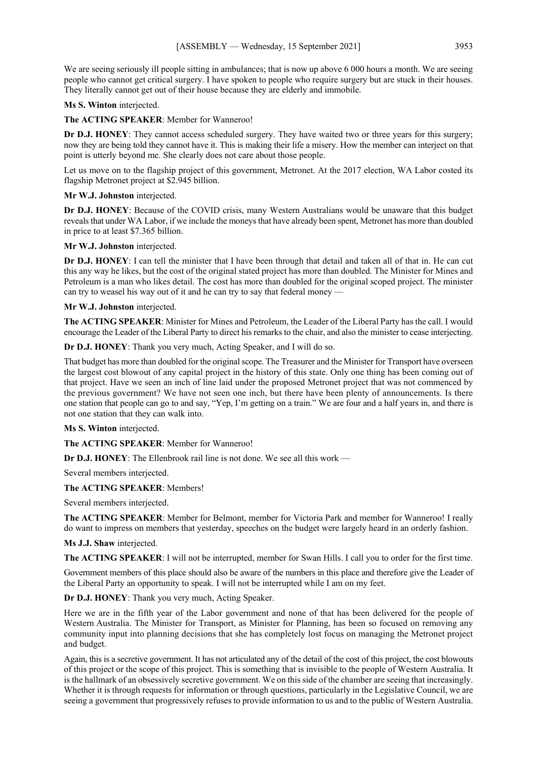We are seeing seriously ill people sitting in ambulances; that is now up above 6 000 hours a month. We are seeing people who cannot get critical surgery. I have spoken to people who require surgery but are stuck in their houses. They literally cannot get out of their house because they are elderly and immobile.

**Ms S. Winton** interjected.

**The ACTING SPEAKER**: Member for Wanneroo!

**Dr D.J. HONEY**: They cannot access scheduled surgery. They have waited two or three years for this surgery; now they are being told they cannot have it. This is making their life a misery. How the member can interject on that point is utterly beyond me. She clearly does not care about those people.

Let us move on to the flagship project of this government, Metronet. At the 2017 election, WA Labor costed its flagship Metronet project at \$2.945 billion.

#### **Mr W.J. Johnston** interjected.

**Dr D.J. HONEY**: Because of the COVID crisis, many Western Australians would be unaware that this budget reveals that under WA Labor, if we include the moneys that have already been spent, Metronet has more than doubled in price to at least \$7.365 billion.

**Mr W.J. Johnston** interjected.

**Dr D.J. HONEY**: I can tell the minister that I have been through that detail and taken all of that in. He can cut this any way he likes, but the cost of the original stated project has more than doubled. The Minister for Mines and Petroleum is a man who likes detail. The cost has more than doubled for the original scoped project. The minister can try to weasel his way out of it and he can try to say that federal money  $\cdot$ 

**Mr W.J. Johnston** interjected.

**The ACTING SPEAKER**: Minister for Mines and Petroleum, the Leader of the Liberal Party has the call. I would encourage the Leader of the Liberal Party to direct his remarks to the chair, and also the minister to cease interjecting.

**Dr D.J. HONEY**: Thank you very much, Acting Speaker, and I will do so.

That budget has more than doubled for the original scope. The Treasurer and the Minister for Transport have overseen the largest cost blowout of any capital project in the history of this state. Only one thing has been coming out of that project. Have we seen an inch of line laid under the proposed Metronet project that was not commenced by the previous government? We have not seen one inch, but there have been plenty of announcements. Is there one station that people can go to and say, "Yep, I'm getting on a train." We are four and a half years in, and there is not one station that they can walk into.

**Ms S. Winton** interjected.

**The ACTING SPEAKER**: Member for Wanneroo!

**Dr D.J. HONEY**: The Ellenbrook rail line is not done. We see all this work —

Several members interjected.

**The ACTING SPEAKER**: Members!

Several members interjected.

**The ACTING SPEAKER**: Member for Belmont, member for Victoria Park and member for Wanneroo! I really do want to impress on members that yesterday, speeches on the budget were largely heard in an orderly fashion.

**Ms J.J. Shaw** interjected.

**The ACTING SPEAKER**: I will not be interrupted, member for Swan Hills. I call you to order for the first time.

Government members of this place should also be aware of the numbers in this place and therefore give the Leader of the Liberal Party an opportunity to speak. I will not be interrupted while I am on my feet.

**Dr D.J. HONEY**: Thank you very much, Acting Speaker.

Here we are in the fifth year of the Labor government and none of that has been delivered for the people of Western Australia. The Minister for Transport, as Minister for Planning, has been so focused on removing any community input into planning decisions that she has completely lost focus on managing the Metronet project and budget.

Again, this is a secretive government. It has not articulated any of the detail of the cost of this project, the cost blowouts of this project or the scope of this project. This is something that is invisible to the people of Western Australia. It is the hallmark of an obsessively secretive government. We on this side of the chamber are seeing that increasingly. Whether it is through requests for information or through questions, particularly in the Legislative Council, we are seeing a government that progressively refuses to provide information to us and to the public of Western Australia.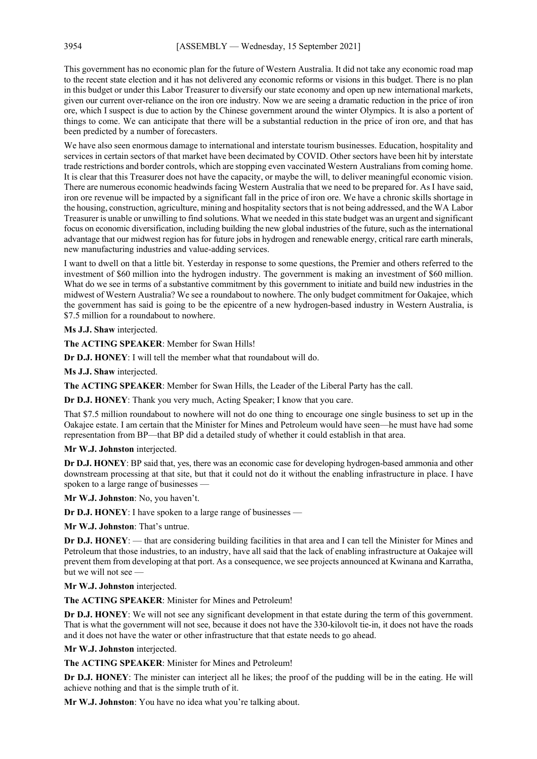This government has no economic plan for the future of Western Australia. It did not take any economic road map to the recent state election and it has not delivered any economic reforms or visions in this budget. There is no plan in this budget or under this Labor Treasurer to diversify our state economy and open up new international markets, given our current over-reliance on the iron ore industry. Now we are seeing a dramatic reduction in the price of iron ore, which I suspect is due to action by the Chinese government around the winter Olympics. It is also a portent of things to come. We can anticipate that there will be a substantial reduction in the price of iron ore, and that has been predicted by a number of forecasters.

We have also seen enormous damage to international and interstate tourism businesses. Education, hospitality and services in certain sectors of that market have been decimated by COVID. Other sectors have been hit by interstate trade restrictions and border controls, which are stopping even vaccinated Western Australians from coming home. It is clear that this Treasurer does not have the capacity, or maybe the will, to deliver meaningful economic vision. There are numerous economic headwinds facing Western Australia that we need to be prepared for. As I have said, iron ore revenue will be impacted by a significant fall in the price of iron ore. We have a chronic skills shortage in the housing, construction, agriculture, mining and hospitality sectors that is not being addressed, and the WA Labor Treasurer is unable or unwilling to find solutions. What we needed in this state budget was an urgent and significant focus on economic diversification, including building the new global industries of the future, such as the international advantage that our midwest region has for future jobs in hydrogen and renewable energy, critical rare earth minerals, new manufacturing industries and value-adding services.

I want to dwell on that a little bit. Yesterday in response to some questions, the Premier and others referred to the investment of \$60 million into the hydrogen industry. The government is making an investment of \$60 million. What do we see in terms of a substantive commitment by this government to initiate and build new industries in the midwest of Western Australia? We see a roundabout to nowhere. The only budget commitment for Oakajee, which the government has said is going to be the epicentre of a new hydrogen-based industry in Western Australia, is \$7.5 million for a roundabout to nowhere.

**Ms J.J. Shaw** interjected.

**The ACTING SPEAKER**: Member for Swan Hills!

**Dr D.J. HONEY**: I will tell the member what that roundabout will do.

**Ms J.J. Shaw** interjected.

**The ACTING SPEAKER**: Member for Swan Hills, the Leader of the Liberal Party has the call.

**Dr D.J. HONEY**: Thank you very much, Acting Speaker; I know that you care.

That \$7.5 million roundabout to nowhere will not do one thing to encourage one single business to set up in the Oakajee estate. I am certain that the Minister for Mines and Petroleum would have seen—he must have had some representation from BP—that BP did a detailed study of whether it could establish in that area.

**Mr W.J. Johnston** interjected.

**Dr D.J. HONEY**: BP said that, yes, there was an economic case for developing hydrogen-based ammonia and other downstream processing at that site, but that it could not do it without the enabling infrastructure in place. I have spoken to a large range of businesses —

**Mr W.J. Johnston**: No, you haven't.

**Dr D.J. HONEY**: I have spoken to a large range of businesses —

**Mr W.J. Johnston**: That's untrue.

**Dr D.J. HONEY**: — that are considering building facilities in that area and I can tell the Minister for Mines and Petroleum that those industries, to an industry, have all said that the lack of enabling infrastructure at Oakajee will prevent them from developing at that port. As a consequence, we see projects announced at Kwinana and Karratha, but we will not see —

**Mr W.J. Johnston** interjected.

**The ACTING SPEAKER**: Minister for Mines and Petroleum!

**Dr D.J. HONEY**: We will not see any significant development in that estate during the term of this government. That is what the government will not see, because it does not have the 330-kilovolt tie-in, it does not have the roads and it does not have the water or other infrastructure that that estate needs to go ahead.

**Mr W.J. Johnston** interjected.

**The ACTING SPEAKER**: Minister for Mines and Petroleum!

**Dr D.J. HONEY**: The minister can interject all he likes; the proof of the pudding will be in the eating. He will achieve nothing and that is the simple truth of it.

**Mr W.J. Johnston**: You have no idea what you're talking about.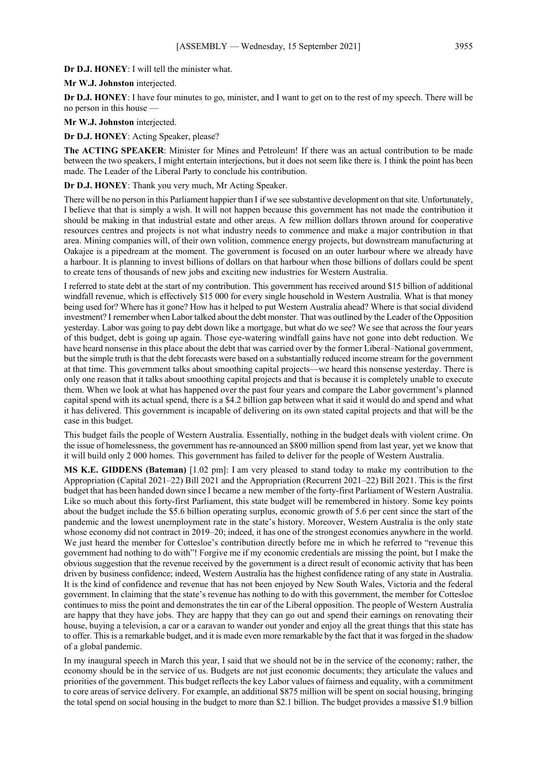**Dr D.J. HONEY**: I will tell the minister what.

**Mr W.J. Johnston** interjected.

**Dr D.J. HONEY**: I have four minutes to go, minister, and I want to get on to the rest of my speech. There will be no person in this house —

**Mr W.J. Johnston** interjected.

**Dr D.J. HONEY**: Acting Speaker, please?

**The ACTING SPEAKER**: Minister for Mines and Petroleum! If there was an actual contribution to be made between the two speakers, I might entertain interjections, but it does not seem like there is. I think the point has been made. The Leader of the Liberal Party to conclude his contribution.

**Dr D.J. HONEY**: Thank you very much, Mr Acting Speaker.

There will be no person in this Parliament happier than I if we see substantive development on that site. Unfortunately, I believe that that is simply a wish. It will not happen because this government has not made the contribution it should be making in that industrial estate and other areas. A few million dollars thrown around for cooperative resources centres and projects is not what industry needs to commence and make a major contribution in that area. Mining companies will, of their own volition, commence energy projects, but downstream manufacturing at Oakajee is a pipedream at the moment. The government is focused on an outer harbour where we already have a harbour. It is planning to invest billions of dollars on that harbour when those billions of dollars could be spent to create tens of thousands of new jobs and exciting new industries for Western Australia.

I referred to state debt at the start of my contribution. This government has received around \$15 billion of additional windfall revenue, which is effectively \$15 000 for every single household in Western Australia. What is that money being used for? Where has it gone? How has it helped to put Western Australia ahead? Where is that social dividend investment? I remember when Labor talked about the debt monster. That was outlined by the Leader of the Opposition yesterday. Labor was going to pay debt down like a mortgage, but what do we see? We see that across the four years of this budget, debt is going up again. Those eye-watering windfall gains have not gone into debt reduction. We have heard nonsense in this place about the debt that was carried over by the former Liberal–National government, but the simple truth is that the debt forecasts were based on a substantially reduced income stream for the government at that time. This government talks about smoothing capital projects—we heard this nonsense yesterday. There is only one reason that it talks about smoothing capital projects and that is because it is completely unable to execute them. When we look at what has happened over the past four years and compare the Labor government's planned capital spend with its actual spend, there is a \$4.2 billion gap between what it said it would do and spend and what it has delivered. This government is incapable of delivering on its own stated capital projects and that will be the case in this budget.

This budget fails the people of Western Australia. Essentially, nothing in the budget deals with violent crime. On the issue of homelessness, the government has re-announced an \$800 million spend from last year, yet we know that it will build only 2 000 homes. This government has failed to deliver for the people of Western Australia.

**MS K.E. GIDDENS (Bateman)** [1.02 pm]: I am very pleased to stand today to make my contribution to the Appropriation (Capital 2021–22) Bill 2021 and the Appropriation (Recurrent 2021–22) Bill 2021. This is the first budget that has been handed down since I became a new member of the forty-first Parliament of Western Australia. Like so much about this forty-first Parliament, this state budget will be remembered in history. Some key points about the budget include the \$5.6 billion operating surplus, economic growth of 5.6 per cent since the start of the pandemic and the lowest unemployment rate in the state's history. Moreover, Western Australia is the only state whose economy did not contract in 2019–20; indeed, it has one of the strongest economies anywhere in the world. We just heard the member for Cottesloe's contribution directly before me in which he referred to "revenue this government had nothing to do with"! Forgive me if my economic credentials are missing the point, but I make the obvious suggestion that the revenue received by the government is a direct result of economic activity that has been driven by business confidence; indeed, Western Australia has the highest confidence rating of any state in Australia. It is the kind of confidence and revenue that has not been enjoyed by New South Wales, Victoria and the federal government. In claiming that the state's revenue has nothing to do with this government, the member for Cottesloe continues to miss the point and demonstrates the tin ear of the Liberal opposition. The people of Western Australia are happy that they have jobs. They are happy that they can go out and spend their earnings on renovating their house, buying a television, a car or a caravan to wander out yonder and enjoy all the great things that this state has to offer. This is a remarkable budget, and it is made even more remarkable by the fact that it was forged in the shadow of a global pandemic.

In my inaugural speech in March this year, I said that we should not be in the service of the economy; rather, the economy should be in the service of us. Budgets are not just economic documents; they articulate the values and priorities of the government. This budget reflects the key Labor values of fairness and equality, with a commitment to core areas of service delivery. For example, an additional \$875 million will be spent on social housing, bringing the total spend on social housing in the budget to more than \$2.1 billion. The budget provides a massive \$1.9 billion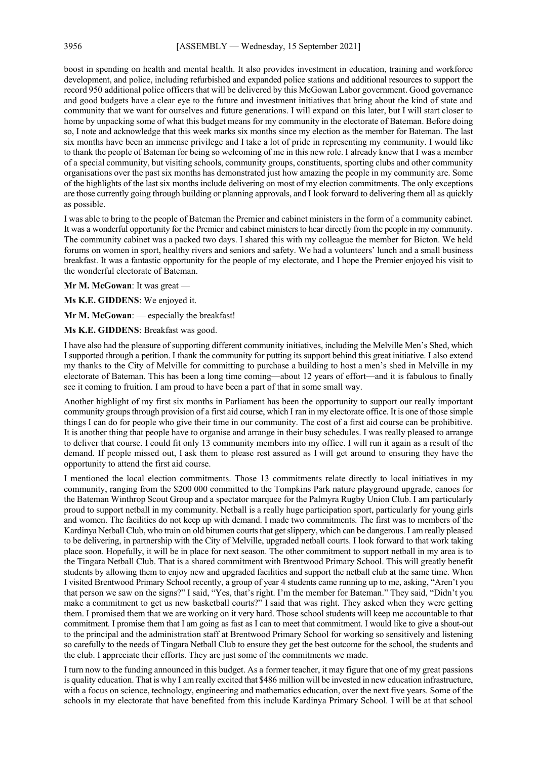boost in spending on health and mental health. It also provides investment in education, training and workforce development, and police, including refurbished and expanded police stations and additional resources to support the record 950 additional police officers that will be delivered by this McGowan Labor government. Good governance and good budgets have a clear eye to the future and investment initiatives that bring about the kind of state and community that we want for ourselves and future generations. I will expand on this later, but I will start closer to home by unpacking some of what this budget means for my community in the electorate of Bateman. Before doing so, I note and acknowledge that this week marks six months since my election as the member for Bateman. The last six months have been an immense privilege and I take a lot of pride in representing my community. I would like to thank the people of Bateman for being so welcoming of me in this new role. I already knew that I was a member of a special community, but visiting schools, community groups, constituents, sporting clubs and other community organisations over the past six months has demonstrated just how amazing the people in my community are. Some of the highlights of the last six months include delivering on most of my election commitments. The only exceptions are those currently going through building or planning approvals, and I look forward to delivering them all as quickly as possible.

I was able to bring to the people of Bateman the Premier and cabinet ministers in the form of a community cabinet. It was a wonderful opportunity for the Premier and cabinet ministers to hear directly from the people in my community. The community cabinet was a packed two days. I shared this with my colleague the member for Bicton. We held forums on women in sport, healthy rivers and seniors and safety. We had a volunteers' lunch and a small business breakfast. It was a fantastic opportunity for the people of my electorate, and I hope the Premier enjoyed his visit to the wonderful electorate of Bateman.

**Mr M. McGowan**: It was great —

**Ms K.E. GIDDENS**: We enjoyed it.

**Mr M. McGowan**: — especially the breakfast!

**Ms K.E. GIDDENS**: Breakfast was good.

I have also had the pleasure of supporting different community initiatives, including the Melville Men's Shed, which I supported through a petition. I thank the community for putting its support behind this great initiative. I also extend my thanks to the City of Melville for committing to purchase a building to host a men's shed in Melville in my electorate of Bateman. This has been a long time coming—about 12 years of effort—and it is fabulous to finally see it coming to fruition. I am proud to have been a part of that in some small way.

Another highlight of my first six months in Parliament has been the opportunity to support our really important community groups through provision of a first aid course, which I ran in my electorate office. It is one of those simple things I can do for people who give their time in our community. The cost of a first aid course can be prohibitive. It is another thing that people have to organise and arrange in their busy schedules. I was really pleased to arrange to deliver that course. I could fit only 13 community members into my office. I will run it again as a result of the demand. If people missed out, I ask them to please rest assured as I will get around to ensuring they have the opportunity to attend the first aid course.

I mentioned the local election commitments. Those 13 commitments relate directly to local initiatives in my community, ranging from the \$200 000 committed to the Tompkins Park nature playground upgrade, canoes for the Bateman Winthrop Scout Group and a spectator marquee for the Palmyra Rugby Union Club. I am particularly proud to support netball in my community. Netball is a really huge participation sport, particularly for young girls and women. The facilities do not keep up with demand. I made two commitments. The first was to members of the Kardinya Netball Club, who train on old bitumen courts that get slippery, which can be dangerous. I am really pleased to be delivering, in partnership with the City of Melville, upgraded netball courts. I look forward to that work taking place soon. Hopefully, it will be in place for next season. The other commitment to support netball in my area is to the Tingara Netball Club. That is a shared commitment with Brentwood Primary School. This will greatly benefit students by allowing them to enjoy new and upgraded facilities and support the netball club at the same time. When I visited Brentwood Primary School recently, a group of year 4 students came running up to me, asking, "Aren't you that person we saw on the signs?" I said, "Yes, that's right. I'm the member for Bateman." They said, "Didn't you make a commitment to get us new basketball courts?" I said that was right. They asked when they were getting them. I promised them that we are working on it very hard. Those school students will keep me accountable to that commitment. I promise them that I am going as fast as I can to meet that commitment. I would like to give a shout-out to the principal and the administration staff at Brentwood Primary School for working so sensitively and listening so carefully to the needs of Tingara Netball Club to ensure they get the best outcome for the school, the students and the club. I appreciate their efforts. They are just some of the commitments we made.

I turn now to the funding announced in this budget. As a former teacher, it may figure that one of my great passions is quality education. That is why I am really excited that \$486 million will be invested in new education infrastructure, with a focus on science, technology, engineering and mathematics education, over the next five years. Some of the schools in my electorate that have benefited from this include Kardinya Primary School. I will be at that school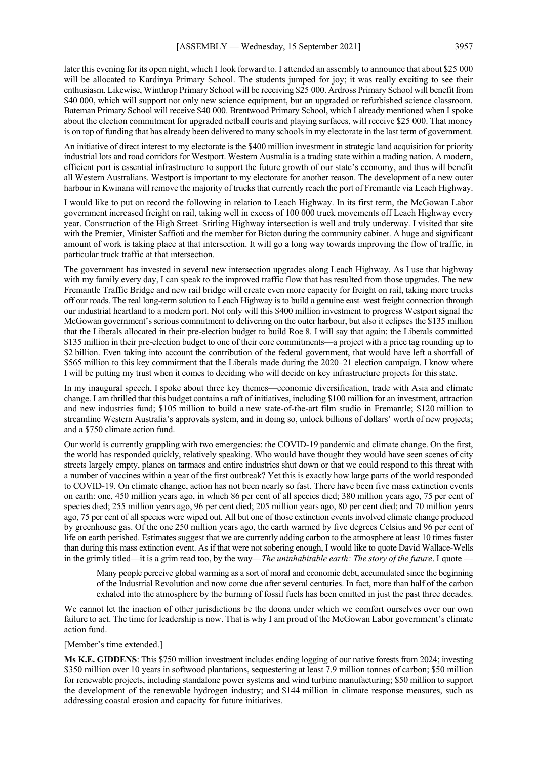later this evening for its open night, which I look forward to. I attended an assembly to announce that about \$25 000 will be allocated to Kardinya Primary School. The students jumped for joy; it was really exciting to see their enthusiasm. Likewise, Winthrop Primary School will be receiving \$25 000. Ardross Primary School will benefit from \$40 000, which will support not only new science equipment, but an upgraded or refurbished science classroom. Bateman Primary School will receive \$40 000. Brentwood Primary School, which I already mentioned when I spoke about the election commitment for upgraded netball courts and playing surfaces, will receive \$25 000. That money is on top of funding that has already been delivered to many schools in my electorate in the last term of government.

An initiative of direct interest to my electorate is the \$400 million investment in strategic land acquisition for priority industrial lots and road corridors for Westport. Western Australia is a trading state within a trading nation. A modern, efficient port is essential infrastructure to support the future growth of our state's economy, and thus will benefit all Western Australians. Westport is important to my electorate for another reason. The development of a new outer harbour in Kwinana will remove the majority of trucks that currently reach the port of Fremantle via Leach Highway.

I would like to put on record the following in relation to Leach Highway. In its first term, the McGowan Labor government increased freight on rail, taking well in excess of 100 000 truck movements off Leach Highway every year. Construction of the High Street–Stirling Highway intersection is well and truly underway. I visited that site with the Premier, Minister Saffioti and the member for Bicton during the community cabinet. A huge and significant amount of work is taking place at that intersection. It will go a long way towards improving the flow of traffic, in particular truck traffic at that intersection.

The government has invested in several new intersection upgrades along Leach Highway. As I use that highway with my family every day, I can speak to the improved traffic flow that has resulted from those upgrades. The new Fremantle Traffic Bridge and new rail bridge will create even more capacity for freight on rail, taking more trucks off our roads. The real long-term solution to Leach Highway is to build a genuine east–west freight connection through our industrial heartland to a modern port. Not only will this \$400 million investment to progress Westport signal the McGowan government's serious commitment to delivering on the outer harbour, but also it eclipses the \$135 million that the Liberals allocated in their pre-election budget to build Roe 8. I will say that again: the Liberals committed \$135 million in their pre-election budget to one of their core commitments—a project with a price tag rounding up to \$2 billion. Even taking into account the contribution of the federal government, that would have left a shortfall of \$565 million to this key commitment that the Liberals made during the 2020–21 election campaign. I know where I will be putting my trust when it comes to deciding who will decide on key infrastructure projects for this state.

In my inaugural speech, I spoke about three key themes—economic diversification, trade with Asia and climate change. I am thrilled that this budget contains a raft of initiatives, including \$100 million for an investment, attraction and new industries fund; \$105 million to build a new state-of-the-art film studio in Fremantle; \$120 million to streamline Western Australia's approvals system, and in doing so, unlock billions of dollars' worth of new projects; and a \$750 climate action fund.

Our world is currently grappling with two emergencies: the COVID-19 pandemic and climate change. On the first, the world has responded quickly, relatively speaking. Who would have thought they would have seen scenes of city streets largely empty, planes on tarmacs and entire industries shut down or that we could respond to this threat with a number of vaccines within a year of the first outbreak? Yet this is exactly how large parts of the world responded to COVID-19. On climate change, action has not been nearly so fast. There have been five mass extinction events on earth: one, 450 million years ago, in which 86 per cent of all species died; 380 million years ago, 75 per cent of species died; 255 million years ago, 96 per cent died; 205 million years ago, 80 per cent died; and 70 million years ago, 75 per cent of all species were wiped out. All but one of those extinction events involved climate change produced by greenhouse gas. Of the one 250 million years ago, the earth warmed by five degrees Celsius and 96 per cent of life on earth perished. Estimates suggest that we are currently adding carbon to the atmosphere at least 10 times faster than during this mass extinction event. As if that were not sobering enough, I would like to quote David Wallace-Wells in the grimly titled—it is a grim read too, by the way—*The uninhabitable earth: The story of the future*. I quote —

Many people perceive global warming as a sort of moral and economic debt, accumulated since the beginning of the Industrial Revolution and now come due after several centuries. In fact, more than half of the carbon exhaled into the atmosphere by the burning of fossil fuels has been emitted in just the past three decades.

We cannot let the inaction of other jurisdictions be the doona under which we comfort ourselves over our own failure to act. The time for leadership is now. That is why I am proud of the McGowan Labor government's climate action fund.

#### [Member's time extended.]

**Ms K.E. GIDDENS**: This \$750 million investment includes ending logging of our native forests from 2024; investing \$350 million over 10 years in softwood plantations, sequestering at least 7.9 million tonnes of carbon; \$50 million for renewable projects, including standalone power systems and wind turbine manufacturing; \$50 million to support the development of the renewable hydrogen industry; and \$144 million in climate response measures, such as addressing coastal erosion and capacity for future initiatives.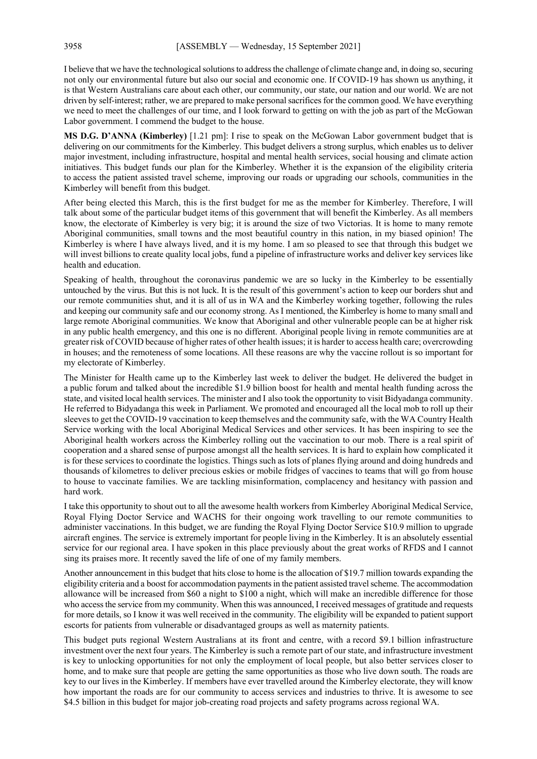I believe that we have the technological solutions to address the challenge of climate change and, in doing so, securing not only our environmental future but also our social and economic one. If COVID-19 has shown us anything, it is that Western Australians care about each other, our community, our state, our nation and our world. We are not driven by self-interest; rather, we are prepared to make personal sacrifices for the common good. We have everything we need to meet the challenges of our time, and I look forward to getting on with the job as part of the McGowan Labor government. I commend the budget to the house.

**MS D.G. D'ANNA (Kimberley)** [1.21 pm]: I rise to speak on the McGowan Labor government budget that is delivering on our commitments for the Kimberley. This budget delivers a strong surplus, which enables us to deliver major investment, including infrastructure, hospital and mental health services, social housing and climate action initiatives. This budget funds our plan for the Kimberley. Whether it is the expansion of the eligibility criteria to access the patient assisted travel scheme, improving our roads or upgrading our schools, communities in the Kimberley will benefit from this budget.

After being elected this March, this is the first budget for me as the member for Kimberley. Therefore, I will talk about some of the particular budget items of this government that will benefit the Kimberley. As all members know, the electorate of Kimberley is very big; it is around the size of two Victorias. It is home to many remote Aboriginal communities, small towns and the most beautiful country in this nation, in my biased opinion! The Kimberley is where I have always lived, and it is my home. I am so pleased to see that through this budget we will invest billions to create quality local jobs, fund a pipeline of infrastructure works and deliver key services like health and education.

Speaking of health, throughout the coronavirus pandemic we are so lucky in the Kimberley to be essentially untouched by the virus. But this is not luck. It is the result of this government's action to keep our borders shut and our remote communities shut, and it is all of us in WA and the Kimberley working together, following the rules and keeping our community safe and our economy strong. As I mentioned, the Kimberley is home to many small and large remote Aboriginal communities. We know that Aboriginal and other vulnerable people can be at higher risk in any public health emergency, and this one is no different. Aboriginal people living in remote communities are at greater risk of COVID because of higher rates of other health issues; it is harder to access health care; overcrowding in houses; and the remoteness of some locations. All these reasons are why the vaccine rollout is so important for my electorate of Kimberley.

The Minister for Health came up to the Kimberley last week to deliver the budget. He delivered the budget in a public forum and talked about the incredible \$1.9 billion boost for health and mental health funding across the state, and visited local health services. The minister and I also took the opportunity to visit Bidyadanga community. He referred to Bidyadanga this week in Parliament. We promoted and encouraged all the local mob to roll up their sleeves to get the COVID-19 vaccination to keep themselves and the community safe, with the WA Country Health Service working with the local Aboriginal Medical Services and other services. It has been inspiring to see the Aboriginal health workers across the Kimberley rolling out the vaccination to our mob. There is a real spirit of cooperation and a shared sense of purpose amongst all the health services. It is hard to explain how complicated it is for these services to coordinate the logistics. Things such as lots of planes flying around and doing hundreds and thousands of kilometres to deliver precious eskies or mobile fridges of vaccines to teams that will go from house to house to vaccinate families. We are tackling misinformation, complacency and hesitancy with passion and hard work.

I take this opportunity to shout out to all the awesome health workers from Kimberley Aboriginal Medical Service, Royal Flying Doctor Service and WACHS for their ongoing work travelling to our remote communities to administer vaccinations. In this budget, we are funding the Royal Flying Doctor Service \$10.9 million to upgrade aircraft engines. The service is extremely important for people living in the Kimberley. It is an absolutely essential service for our regional area. I have spoken in this place previously about the great works of RFDS and I cannot sing its praises more. It recently saved the life of one of my family members.

Another announcement in this budget that hits close to home is the allocation of \$19.7 million towards expanding the eligibility criteria and a boost for accommodation payments in the patient assisted travel scheme. The accommodation allowance will be increased from \$60 a night to \$100 a night, which will make an incredible difference for those who access the service from my community. When this was announced, I received messages of gratitude and requests for more details, so I know it was well received in the community. The eligibility will be expanded to patient support escorts for patients from vulnerable or disadvantaged groups as well as maternity patients.

This budget puts regional Western Australians at its front and centre, with a record \$9.1 billion infrastructure investment over the next four years. The Kimberley is such a remote part of our state, and infrastructure investment is key to unlocking opportunities for not only the employment of local people, but also better services closer to home, and to make sure that people are getting the same opportunities as those who live down south. The roads are key to our lives in the Kimberley. If members have ever travelled around the Kimberley electorate, they will know how important the roads are for our community to access services and industries to thrive. It is awesome to see \$4.5 billion in this budget for major job-creating road projects and safety programs across regional WA.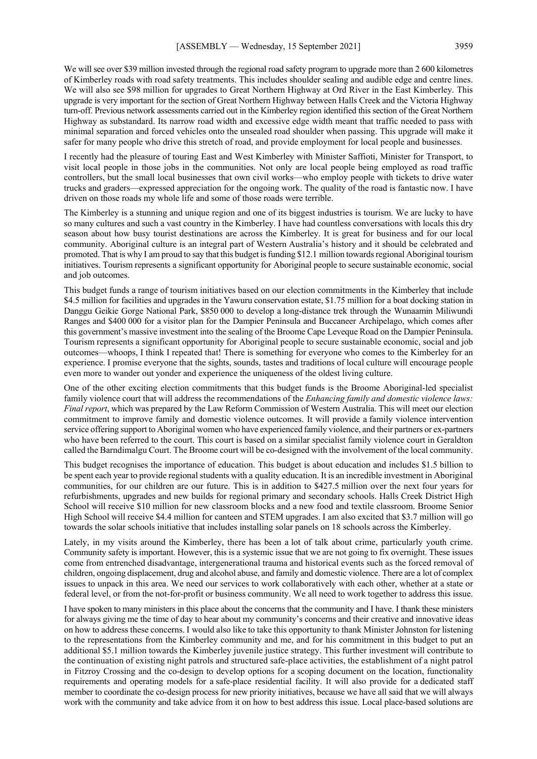We will see over \$39 million invested through the regional road safety program to upgrade more than 2 600 kilometres of Kimberley roads with road safety treatments. This includes shoulder sealing and audible edge and centre lines. We will also see \$98 million for upgrades to Great Northern Highway at Ord River in the East Kimberley. This upgrade is very important for the section of Great Northern Highway between Halls Creek and the Victoria Highway turn-off. Previous network assessments carried out in the Kimberley region identified this section of the Great Northern Highway as substandard. Its narrow road width and excessive edge width meant that traffic needed to pass with minimal separation and forced vehicles onto the unsealed road shoulder when passing. This upgrade will make it safer for many people who drive this stretch of road, and provide employment for local people and businesses.

I recently had the pleasure of touring East and West Kimberley with Minister Saffioti, Minister for Transport, to visit local people in those jobs in the communities. Not only are local people being employed as road traffic controllers, but the small local businesses that own civil works—who employ people with tickets to drive water trucks and graders—expressed appreciation for the ongoing work. The quality of the road is fantastic now. I have driven on those roads my whole life and some of those roads were terrible.

The Kimberley is a stunning and unique region and one of its biggest industries is tourism. We are lucky to have so many cultures and such a vast country in the Kimberley. I have had countless conversations with locals this dry season about how busy tourist destinations are across the Kimberley. It is great for business and for our local community. Aboriginal culture is an integral part of Western Australia's history and it should be celebrated and promoted. That is why I am proud to say that this budget is funding \$12.1 million towards regional Aboriginal tourism initiatives. Tourism represents a significant opportunity for Aboriginal people to secure sustainable economic, social and job outcomes.

This budget funds a range of tourism initiatives based on our election commitments in the Kimberley that include \$4.5 million for facilities and upgrades in the Yawuru conservation estate, \$1.75 million for a boat docking station in Danggu Geikie Gorge National Park, \$850 000 to develop a long-distance trek through the Wunaamin Miliwundi Ranges and \$400 000 for a visitor plan for the Dampier Peninsula and Buccaneer Archipelago, which comes after this government's massive investment into the sealing of the Broome Cape Leveque Road on the Dampier Peninsula. Tourism represents a significant opportunity for Aboriginal people to secure sustainable economic, social and job outcomes—whoops, I think I repeated that! There is something for everyone who comes to the Kimberley for an experience. I promise everyone that the sights, sounds, tastes and traditions of local culture will encourage people even more to wander out yonder and experience the uniqueness of the oldest living culture.

One of the other exciting election commitments that this budget funds is the Broome Aboriginal-led specialist family violence court that will address the recommendations of the *Enhancing family and domestic violence laws: Final report*, which was prepared by the Law Reform Commission of Western Australia. This will meet our election commitment to improve family and domestic violence outcomes. It will provide a family violence intervention service offering support to Aboriginal women who have experienced family violence, and their partners or ex-partners who have been referred to the court. This court is based on a similar specialist family violence court in Geraldton called the Barndimalgu Court. The Broome court will be co-designed with the involvement of the local community.

This budget recognises the importance of education. This budget is about education and includes \$1.5 billion to be spent each year to provide regional students with a quality education. It is an incredible investment in Aboriginal communities, for our children are our future. This is in addition to \$427.5 million over the next four years for refurbishments, upgrades and new builds for regional primary and secondary schools. Halls Creek District High School will receive \$10 million for new classroom blocks and a new food and textile classroom. Broome Senior High School will receive \$4.4 million for canteen and STEM upgrades. I am also excited that \$3.7 million will go towards the solar schools initiative that includes installing solar panels on 18 schools across the Kimberley.

Lately, in my visits around the Kimberley, there has been a lot of talk about crime, particularly youth crime. Community safety is important. However, this is a systemic issue that we are not going to fix overnight. These issues come from entrenched disadvantage, intergenerational trauma and historical events such as the forced removal of children, ongoing displacement, drug and alcohol abuse, and family and domestic violence. There are a lot of complex issues to unpack in this area. We need our services to work collaboratively with each other, whether at a state or federal level, or from the not-for-profit or business community. We all need to work together to address this issue.

I have spoken to many ministers in this place about the concerns that the community and I have. I thank these ministers for always giving me the time of day to hear about my community's concerns and their creative and innovative ideas on how to address these concerns. I would also like to take this opportunity to thank Minister Johnston for listening to the representations from the Kimberley community and me, and for his commitment in this budget to put an additional \$5.1 million towards the Kimberley juvenile justice strategy. This further investment will contribute to the continuation of existing night patrols and structured safe-place activities, the establishment of a night patrol in Fitzroy Crossing and the co-design to develop options for a scoping document on the location, functionality requirements and operating models for a safe-place residential facility. It will also provide for a dedicated staff member to coordinate the co-design process for new priority initiatives, because we have all said that we will always work with the community and take advice from it on how to best address this issue. Local place-based solutions are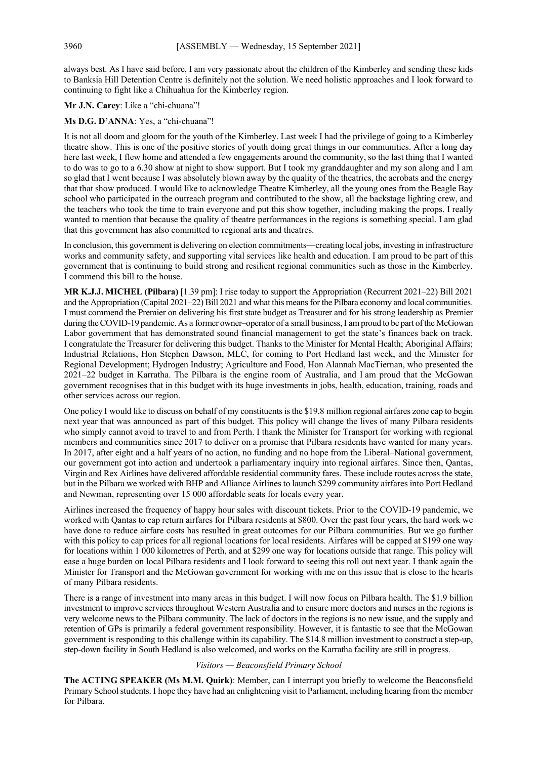always best. As I have said before, I am very passionate about the children of the Kimberley and sending these kids to Banksia Hill Detention Centre is definitely not the solution. We need holistic approaches and I look forward to continuing to fight like a Chihuahua for the Kimberley region.

**Mr J.N. Carey**: Like a "chi-chuana"!

#### **Ms D.G. D'ANNA**: Yes, a "chi-chuana"!

It is not all doom and gloom for the youth of the Kimberley. Last week I had the privilege of going to a Kimberley theatre show. This is one of the positive stories of youth doing great things in our communities. After a long day here last week, I flew home and attended a few engagements around the community, so the last thing that I wanted to do was to go to a 6.30 show at night to show support. But I took my granddaughter and my son along and I am so glad that I went because I was absolutely blown away by the quality of the theatrics, the acrobats and the energy that that show produced. I would like to acknowledge Theatre Kimberley, all the young ones from the Beagle Bay school who participated in the outreach program and contributed to the show, all the backstage lighting crew, and the teachers who took the time to train everyone and put this show together, including making the props. I really wanted to mention that because the quality of theatre performances in the regions is something special. I am glad that this government has also committed to regional arts and theatres.

In conclusion, this government is delivering on election commitments—creating local jobs, investing in infrastructure works and community safety, and supporting vital services like health and education. I am proud to be part of this government that is continuing to build strong and resilient regional communities such as those in the Kimberley. I commend this bill to the house.

**MR K.J.J. MICHEL (Pilbara)** [1.39 pm]: I rise today to support the Appropriation (Recurrent 2021–22) Bill 2021 and the Appropriation (Capital 2021–22) Bill 2021 and what this means for the Pilbara economy and local communities. I must commend the Premier on delivering his first state budget as Treasurer and for his strong leadership as Premier during the COVID-19 pandemic. As a former owner–operator of a small business, I am proud to be part of the McGowan Labor government that has demonstrated sound financial management to get the state's finances back on track. I congratulate the Treasurer for delivering this budget. Thanks to the Minister for Mental Health; Aboriginal Affairs; Industrial Relations, Hon Stephen Dawson, MLC, for coming to Port Hedland last week, and the Minister for Regional Development; Hydrogen Industry; Agriculture and Food, Hon Alannah MacTiernan, who presented the 2021–22 budget in Karratha. The Pilbara is the engine room of Australia, and I am proud that the McGowan government recognises that in this budget with its huge investments in jobs, health, education, training, roads and other services across our region.

One policy I would like to discuss on behalf of my constituents is the \$19.8 million regional airfares zone cap to begin next year that was announced as part of this budget. This policy will change the lives of many Pilbara residents who simply cannot avoid to travel to and from Perth. I thank the Minister for Transport for working with regional members and communities since 2017 to deliver on a promise that Pilbara residents have wanted for many years. In 2017, after eight and a half years of no action, no funding and no hope from the Liberal–National government, our government got into action and undertook a parliamentary inquiry into regional airfares. Since then, Qantas, Virgin and Rex Airlines have delivered affordable residential community fares. These include routes across the state, but in the Pilbara we worked with BHP and Alliance Airlines to launch \$299 community airfares into Port Hedland and Newman, representing over 15 000 affordable seats for locals every year.

Airlines increased the frequency of happy hour sales with discount tickets. Prior to the COVID-19 pandemic, we worked with Qantas to cap return airfares for Pilbara residents at \$800. Over the past four years, the hard work we have done to reduce airfare costs has resulted in great outcomes for our Pilbara communities. But we go further with this policy to cap prices for all regional locations for local residents. Airfares will be capped at \$199 one way for locations within 1 000 kilometres of Perth, and at \$299 one way for locations outside that range. This policy will ease a huge burden on local Pilbara residents and I look forward to seeing this roll out next year. I thank again the Minister for Transport and the McGowan government for working with me on this issue that is close to the hearts of many Pilbara residents.

There is a range of investment into many areas in this budget. I will now focus on Pilbara health. The \$1.9 billion investment to improve services throughout Western Australia and to ensure more doctors and nurses in the regions is very welcome news to the Pilbara community. The lack of doctors in the regions is no new issue, and the supply and retention of GPs is primarily a federal government responsibility. However, it is fantastic to see that the McGowan government is responding to this challenge within its capability. The \$14.8 million investment to construct a step-up, step-down facility in South Hedland is also welcomed, and works on the Karratha facility are still in progress.

#### *Visitors — Beaconsfield Primary School*

**The ACTING SPEAKER (Ms M.M. Quirk)**: Member, can I interrupt you briefly to welcome the Beaconsfield Primary School students. I hope they have had an enlightening visit to Parliament, including hearing from the member for Pilbara.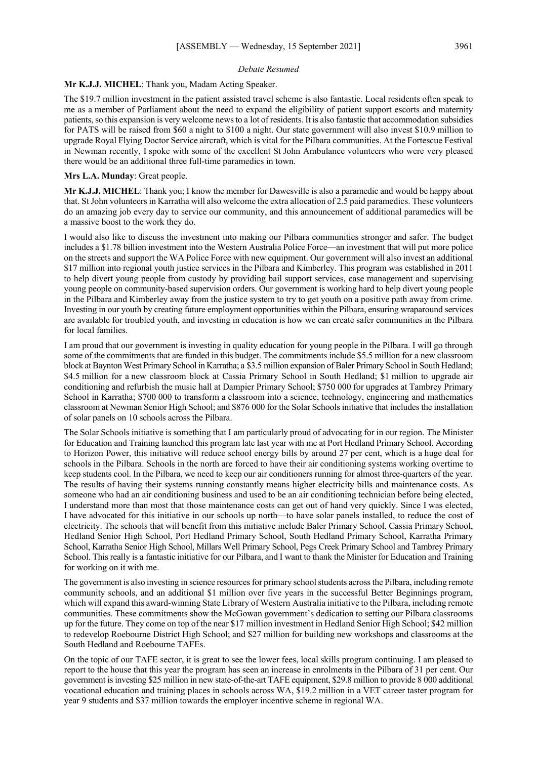#### *Debate Resumed*

#### **Mr K.J.J. MICHEL**: Thank you, Madam Acting Speaker.

The \$19.7 million investment in the patient assisted travel scheme is also fantastic. Local residents often speak to me as a member of Parliament about the need to expand the eligibility of patient support escorts and maternity patients, so this expansion is very welcome news to a lot of residents. It is also fantastic that accommodation subsidies for PATS will be raised from \$60 a night to \$100 a night. Our state government will also invest \$10.9 million to upgrade Royal Flying Doctor Service aircraft, which is vital for the Pilbara communities. At the Fortescue Festival in Newman recently, I spoke with some of the excellent St John Ambulance volunteers who were very pleased there would be an additional three full-time paramedics in town.

#### **Mrs L.A. Munday**: Great people.

**Mr K.J.J. MICHEL**: Thank you; I know the member for Dawesville is also a paramedic and would be happy about that. St John volunteers in Karratha will also welcome the extra allocation of 2.5 paid paramedics. These volunteers do an amazing job every day to service our community, and this announcement of additional paramedics will be a massive boost to the work they do.

I would also like to discuss the investment into making our Pilbara communities stronger and safer. The budget includes a \$1.78 billion investment into the Western Australia Police Force—an investment that will put more police on the streets and support the WA Police Force with new equipment. Our government will also invest an additional \$17 million into regional youth justice services in the Pilbara and Kimberley. This program was established in 2011 to help divert young people from custody by providing bail support services, case management and supervising young people on community-based supervision orders. Our government is working hard to help divert young people in the Pilbara and Kimberley away from the justice system to try to get youth on a positive path away from crime. Investing in our youth by creating future employment opportunities within the Pilbara, ensuring wraparound services are available for troubled youth, and investing in education is how we can create safer communities in the Pilbara for local families.

I am proud that our government is investing in quality education for young people in the Pilbara. I will go through some of the commitments that are funded in this budget. The commitments include \$5.5 million for a new classroom block at Baynton West Primary School in Karratha; a \$3.5 million expansion of Baler Primary School in South Hedland; \$4.5 million for a new classroom block at Cassia Primary School in South Hedland; \$1 million to upgrade air conditioning and refurbish the music hall at Dampier Primary School; \$750 000 for upgrades at Tambrey Primary School in Karratha; \$700 000 to transform a classroom into a science, technology, engineering and mathematics classroom at Newman Senior High School; and \$876 000 for the Solar Schools initiative that includes the installation of solar panels on 10 schools across the Pilbara.

The Solar Schools initiative is something that I am particularly proud of advocating for in our region. The Minister for Education and Training launched this program late last year with me at Port Hedland Primary School. According to Horizon Power, this initiative will reduce school energy bills by around 27 per cent, which is a huge deal for schools in the Pilbara. Schools in the north are forced to have their air conditioning systems working overtime to keep students cool. In the Pilbara, we need to keep our air conditioners running for almost three-quarters of the year. The results of having their systems running constantly means higher electricity bills and maintenance costs. As someone who had an air conditioning business and used to be an air conditioning technician before being elected, I understand more than most that those maintenance costs can get out of hand very quickly. Since I was elected, I have advocated for this initiative in our schools up north—to have solar panels installed, to reduce the cost of electricity. The schools that will benefit from this initiative include Baler Primary School, Cassia Primary School, Hedland Senior High School, Port Hedland Primary School, South Hedland Primary School, Karratha Primary School, Karratha Senior High School, Millars Well Primary School, Pegs Creek Primary School and Tambrey Primary School. This really is a fantastic initiative for our Pilbara, and I want to thank the Minister for Education and Training for working on it with me.

The government is also investing in science resources for primary school students across the Pilbara, including remote community schools, and an additional \$1 million over five years in the successful Better Beginnings program, which will expand this award-winning State Library of Western Australia initiative to the Pilbara, including remote communities. These commitments show the McGowan government's dedication to setting our Pilbara classrooms up for the future. They come on top of the near \$17 million investment in Hedland Senior High School; \$42 million to redevelop Roebourne District High School; and \$27 million for building new workshops and classrooms at the South Hedland and Roebourne TAFEs.

On the topic of our TAFE sector, it is great to see the lower fees, local skills program continuing. I am pleased to report to the house that this year the program has seen an increase in enrolments in the Pilbara of 31 per cent. Our government is investing \$25 million in new state-of-the-art TAFE equipment, \$29.8 million to provide 8 000 additional vocational education and training places in schools across WA, \$19.2 million in a VET career taster program for year 9 students and \$37 million towards the employer incentive scheme in regional WA.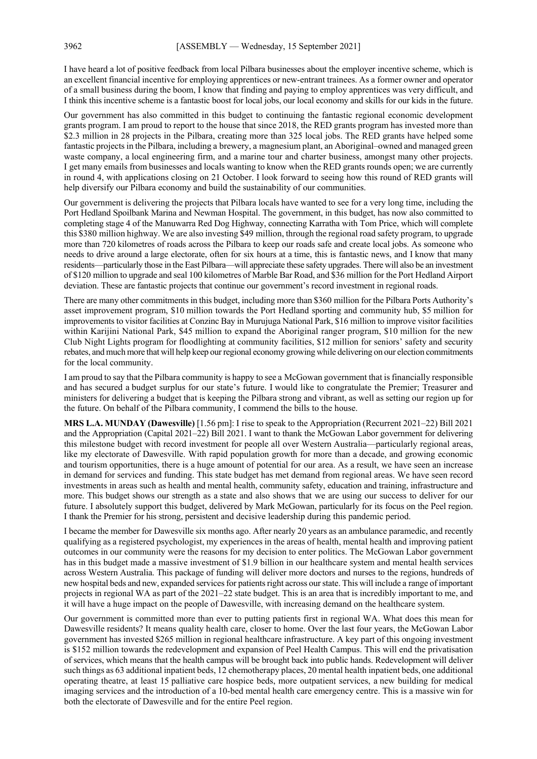I have heard a lot of positive feedback from local Pilbara businesses about the employer incentive scheme, which is an excellent financial incentive for employing apprentices or new-entrant trainees. As a former owner and operator of a small business during the boom, I know that finding and paying to employ apprentices was very difficult, and I think this incentive scheme is a fantastic boost for local jobs, our local economy and skills for our kids in the future.

Our government has also committed in this budget to continuing the fantastic regional economic development grants program. I am proud to report to the house that since 2018, the RED grants program has invested more than \$2.3 million in 28 projects in the Pilbara, creating more than 325 local jobs. The RED grants have helped some fantastic projects in the Pilbara, including a brewery, a magnesium plant, an Aboriginal–owned and managed green waste company, a local engineering firm, and a marine tour and charter business, amongst many other projects. I get many emails from businesses and locals wanting to know when the RED grants rounds open; we are currently in round 4, with applications closing on 21 October. I look forward to seeing how this round of RED grants will help diversify our Pilbara economy and build the sustainability of our communities.

Our government is delivering the projects that Pilbara locals have wanted to see for a very long time, including the Port Hedland Spoilbank Marina and Newman Hospital. The government, in this budget, has now also committed to completing stage 4 of the Manuwarra Red Dog Highway, connecting Karratha with Tom Price, which will complete this \$380 million highway. We are also investing \$49 million, through the regional road safety program, to upgrade more than 720 kilometres of roads across the Pilbara to keep our roads safe and create local jobs. As someone who needs to drive around a large electorate, often for six hours at a time, this is fantastic news, and I know that many residents—particularly those in the East Pilbara—will appreciate these safety upgrades. There will also be an investment of \$120 million to upgrade and seal 100 kilometres of Marble Bar Road, and \$36 million for the Port Hedland Airport deviation. These are fantastic projects that continue our government's record investment in regional roads.

There are many other commitments in this budget, including more than \$360 million for the Pilbara Ports Authority's asset improvement program, \$10 million towards the Port Hedland sporting and community hub, \$5 million for improvements to visitor facilities at Conzinc Bay in Murujuga National Park, \$16 million to improve visitor facilities within Karijini National Park, \$45 million to expand the Aboriginal ranger program, \$10 million for the new Club Night Lights program for floodlighting at community facilities, \$12 million for seniors' safety and security rebates, and much more that will help keep our regional economy growing while delivering on our election commitments for the local community.

I am proud to say that the Pilbara community is happy to see a McGowan government that is financially responsible and has secured a budget surplus for our state's future. I would like to congratulate the Premier; Treasurer and ministers for delivering a budget that is keeping the Pilbara strong and vibrant, as well as setting our region up for the future. On behalf of the Pilbara community, I commend the bills to the house.

**MRS L.A. MUNDAY (Dawesville)** [1.56 pm]: I rise to speak to the Appropriation (Recurrent 2021–22) Bill 2021 and the Appropriation (Capital 2021–22) Bill 2021. I want to thank the McGowan Labor government for delivering this milestone budget with record investment for people all over Western Australia—particularly regional areas, like my electorate of Dawesville. With rapid population growth for more than a decade, and growing economic and tourism opportunities, there is a huge amount of potential for our area. As a result, we have seen an increase in demand for services and funding. This state budget has met demand from regional areas. We have seen record investments in areas such as health and mental health, community safety, education and training, infrastructure and more. This budget shows our strength as a state and also shows that we are using our success to deliver for our future. I absolutely support this budget, delivered by Mark McGowan, particularly for its focus on the Peel region. I thank the Premier for his strong, persistent and decisive leadership during this pandemic period.

I became the member for Dawesville six months ago. After nearly 20 years as an ambulance paramedic, and recently qualifying as a registered psychologist, my experiences in the areas of health, mental health and improving patient outcomes in our community were the reasons for my decision to enter politics. The McGowan Labor government has in this budget made a massive investment of \$1.9 billion in our healthcare system and mental health services across Western Australia. This package of funding will deliver more doctors and nurses to the regions, hundreds of new hospital beds and new, expanded services for patients right across our state. This will include a range of important projects in regional WA as part of the 2021–22 state budget. This is an area that is incredibly important to me, and it will have a huge impact on the people of Dawesville, with increasing demand on the healthcare system.

Our government is committed more than ever to putting patients first in regional WA. What does this mean for Dawesville residents? It means quality health care, closer to home. Over the last four years, the McGowan Labor government has invested \$265 million in regional healthcare infrastructure. A key part of this ongoing investment is \$152 million towards the redevelopment and expansion of Peel Health Campus. This will end the privatisation of services, which means that the health campus will be brought back into public hands. Redevelopment will deliver such things as 63 additional inpatient beds, 12 chemotherapy places, 20 mental health inpatient beds, one additional operating theatre, at least 15 palliative care hospice beds, more outpatient services, a new building for medical imaging services and the introduction of a 10-bed mental health care emergency centre. This is a massive win for both the electorate of Dawesville and for the entire Peel region.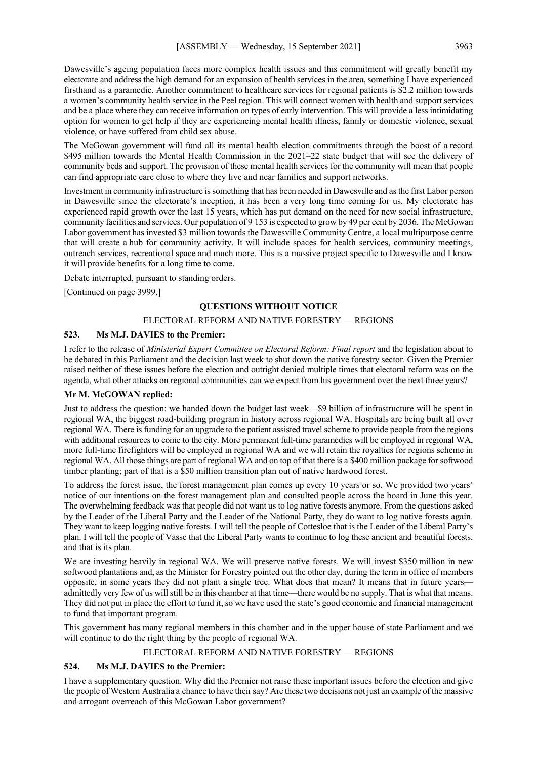Dawesville's ageing population faces more complex health issues and this commitment will greatly benefit my electorate and address the high demand for an expansion of health services in the area, something I have experienced firsthand as a paramedic. Another commitment to healthcare services for regional patients is \$2.2 million towards a women's community health service in the Peel region. This will connect women with health and support services and be a place where they can receive information on types of early intervention. This will provide a less intimidating option for women to get help if they are experiencing mental health illness, family or domestic violence, sexual violence, or have suffered from child sex abuse.

The McGowan government will fund all its mental health election commitments through the boost of a record \$495 million towards the Mental Health Commission in the 2021–22 state budget that will see the delivery of community beds and support. The provision of these mental health services for the community will mean that people can find appropriate care close to where they live and near families and support networks.

Investment in community infrastructure is something that has been needed in Dawesville and as the first Labor person in Dawesville since the electorate's inception, it has been a very long time coming for us. My electorate has experienced rapid growth over the last 15 years, which has put demand on the need for new social infrastructure, community facilities and services. Our population of 9 153 is expected to grow by 49 per cent by 2036. The McGowan Labor government has invested \$3 million towards the Dawesville Community Centre, a local multipurpose centre that will create a hub for community activity. It will include spaces for health services, community meetings, outreach services, recreational space and much more. This is a massive project specific to Dawesville and I know it will provide benefits for a long time to come.

Debate interrupted, pursuant to standing orders.

[Continued on page 3999.]

#### **QUESTIONS WITHOUT NOTICE**

#### ELECTORAL REFORM AND NATIVE FORESTRY — REGIONS

#### **523. Ms M.J. DAVIES to the Premier:**

I refer to the release of *Ministerial Expert Committee on Electoral Reform: Final report* and the legislation about to be debated in this Parliament and the decision last week to shut down the native forestry sector. Given the Premier raised neither of these issues before the election and outright denied multiple times that electoral reform was on the agenda, what other attacks on regional communities can we expect from his government over the next three years?

#### **Mr M. McGOWAN replied:**

Just to address the question: we handed down the budget last week—\$9 billion of infrastructure will be spent in regional WA, the biggest road-building program in history across regional WA. Hospitals are being built all over regional WA. There is funding for an upgrade to the patient assisted travel scheme to provide people from the regions with additional resources to come to the city. More permanent full-time paramedics will be employed in regional WA, more full-time firefighters will be employed in regional WA and we will retain the royalties for regions scheme in regional WA. All those things are part of regional WA and on top of that there is a \$400 million package for softwood timber planting; part of that is a \$50 million transition plan out of native hardwood forest.

To address the forest issue, the forest management plan comes up every 10 years or so. We provided two years' notice of our intentions on the forest management plan and consulted people across the board in June this year. The overwhelming feedback was that people did not want us to log native forests anymore. From the questions asked by the Leader of the Liberal Party and the Leader of the National Party, they do want to log native forests again. They want to keep logging native forests. I will tell the people of Cottesloe that is the Leader of the Liberal Party's plan. I will tell the people of Vasse that the Liberal Party wants to continue to log these ancient and beautiful forests, and that is its plan.

We are investing heavily in regional WA. We will preserve native forests. We will invest \$350 million in new softwood plantations and, as the Minister for Forestry pointed out the other day, during the term in office of members opposite, in some years they did not plant a single tree. What does that mean? It means that in future years admittedly very few of us will still be in this chamber at that time—there would be no supply. That is what that means. They did not put in place the effort to fund it, so we have used the state's good economic and financial management to fund that important program.

This government has many regional members in this chamber and in the upper house of state Parliament and we will continue to do the right thing by the people of regional WA.

#### ELECTORAL REFORM AND NATIVE FORESTRY — REGIONS

#### **524. Ms M.J. DAVIES to the Premier:**

I have a supplementary question. Why did the Premier not raise these important issues before the election and give the people of Western Australia a chance to have their say? Are these two decisions not just an example of the massive and arrogant overreach of this McGowan Labor government?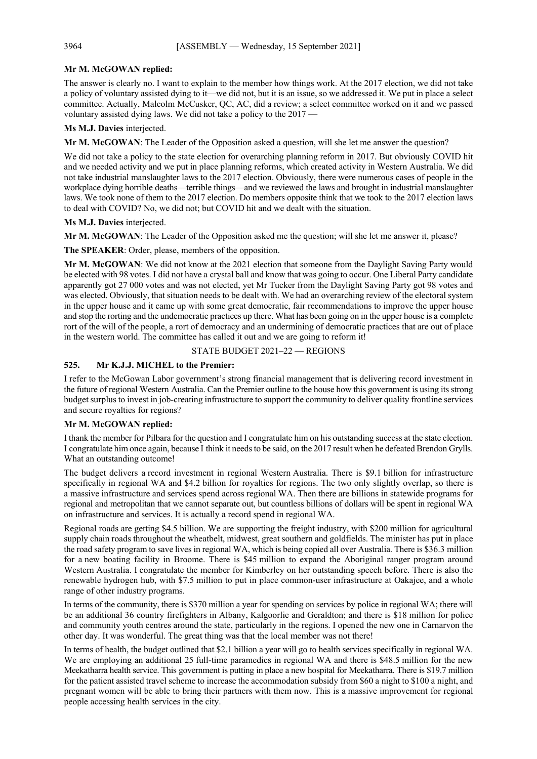#### **Mr M. McGOWAN replied:**

The answer is clearly no. I want to explain to the member how things work. At the 2017 election, we did not take a policy of voluntary assisted dying to it—we did not, but it is an issue, so we addressed it. We put in place a select committee. Actually, Malcolm McCusker, QC, AC, did a review; a select committee worked on it and we passed voluntary assisted dying laws. We did not take a policy to the 2017 —

**Ms M.J. Davies** interjected.

**Mr M. McGOWAN**: The Leader of the Opposition asked a question, will she let me answer the question?

We did not take a policy to the state election for overarching planning reform in 2017. But obviously COVID hit and we needed activity and we put in place planning reforms, which created activity in Western Australia. We did not take industrial manslaughter laws to the 2017 election. Obviously, there were numerous cases of people in the workplace dying horrible deaths—terrible things—and we reviewed the laws and brought in industrial manslaughter laws. We took none of them to the 2017 election. Do members opposite think that we took to the 2017 election laws to deal with COVID? No, we did not; but COVID hit and we dealt with the situation.

**Ms M.J. Davies** interjected.

**Mr M. McGOWAN**: The Leader of the Opposition asked me the question; will she let me answer it, please?

**The SPEAKER**: Order, please, members of the opposition.

**Mr M. McGOWAN**: We did not know at the 2021 election that someone from the Daylight Saving Party would be elected with 98 votes. I did not have a crystal ball and know that was going to occur. One Liberal Party candidate apparently got 27 000 votes and was not elected, yet Mr Tucker from the Daylight Saving Party got 98 votes and was elected. Obviously, that situation needs to be dealt with. We had an overarching review of the electoral system in the upper house and it came up with some great democratic, fair recommendations to improve the upper house and stop the rorting and the undemocratic practices up there. What has been going on in the upper house is a complete rort of the will of the people, a rort of democracy and an undermining of democratic practices that are out of place in the western world. The committee has called it out and we are going to reform it!

STATE BUDGET 2021–22 — REGIONS

#### **525. Mr K.J.J. MICHEL to the Premier:**

I refer to the McGowan Labor government's strong financial management that is delivering record investment in the future of regional Western Australia. Can the Premier outline to the house how this government is using its strong budget surplus to invest in job-creating infrastructure to support the community to deliver quality frontline services and secure royalties for regions?

#### **Mr M. McGOWAN replied:**

I thank the member for Pilbara for the question and I congratulate him on his outstanding success at the state election. I congratulate him once again, because I think it needs to be said, on the 2017 result when he defeated Brendon Grylls. What an outstanding outcome!

The budget delivers a record investment in regional Western Australia. There is \$9.1 billion for infrastructure specifically in regional WA and \$4.2 billion for royalties for regions. The two only slightly overlap, so there is a massive infrastructure and services spend across regional WA. Then there are billions in statewide programs for regional and metropolitan that we cannot separate out, but countless billions of dollars will be spent in regional WA on infrastructure and services. It is actually a record spend in regional WA.

Regional roads are getting \$4.5 billion. We are supporting the freight industry, with \$200 million for agricultural supply chain roads throughout the wheatbelt, midwest, great southern and goldfields. The minister has put in place the road safety program to save lives in regional WA, which is being copied all over Australia. There is \$36.3 million for a new boating facility in Broome. There is \$45 million to expand the Aboriginal ranger program around Western Australia. I congratulate the member for Kimberley on her outstanding speech before. There is also the renewable hydrogen hub, with \$7.5 million to put in place common-user infrastructure at Oakajee, and a whole range of other industry programs.

In terms of the community, there is \$370 million a year for spending on services by police in regional WA; there will be an additional 36 country firefighters in Albany, Kalgoorlie and Geraldton; and there is \$18 million for police and community youth centres around the state, particularly in the regions. I opened the new one in Carnarvon the other day. It was wonderful. The great thing was that the local member was not there!

In terms of health, the budget outlined that \$2.1 billion a year will go to health services specifically in regional WA. We are employing an additional 25 full-time paramedics in regional WA and there is \$48.5 million for the new Meekatharra health service. This government is putting in place a new hospital for Meekatharra. There is \$19.7 million for the patient assisted travel scheme to increase the accommodation subsidy from \$60 a night to \$100 a night, and pregnant women will be able to bring their partners with them now. This is a massive improvement for regional people accessing health services in the city.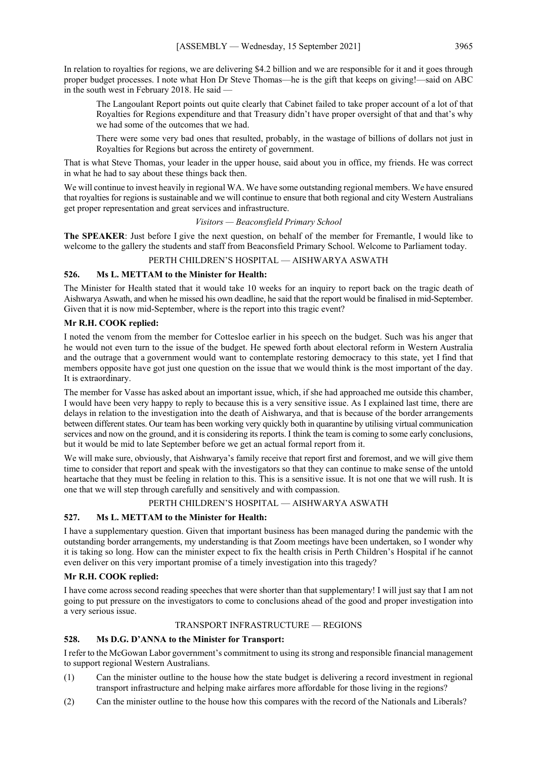In relation to royalties for regions, we are delivering \$4.2 billion and we are responsible for it and it goes through proper budget processes. I note what Hon Dr Steve Thomas—he is the gift that keeps on giving!—said on ABC in the south west in February 2018. He said —

The Langoulant Report points out quite clearly that Cabinet failed to take proper account of a lot of that Royalties for Regions expenditure and that Treasury didn't have proper oversight of that and that's why we had some of the outcomes that we had.

There were some very bad ones that resulted, probably, in the wastage of billions of dollars not just in Royalties for Regions but across the entirety of government.

That is what Steve Thomas, your leader in the upper house, said about you in office, my friends. He was correct in what he had to say about these things back then.

We will continue to invest heavily in regional WA. We have some outstanding regional members. We have ensured that royalties for regions is sustainable and we will continue to ensure that both regional and city Western Australians get proper representation and great services and infrastructure.

#### *Visitors — Beaconsfield Primary School*

**The SPEAKER**: Just before I give the next question, on behalf of the member for Fremantle, I would like to welcome to the gallery the students and staff from Beaconsfield Primary School. Welcome to Parliament today.

#### PERTH CHILDREN'S HOSPITAL — AISHWARYA ASWATH

#### **526. Ms L. METTAM to the Minister for Health:**

The Minister for Health stated that it would take 10 weeks for an inquiry to report back on the tragic death of Aishwarya Aswath, and when he missed his own deadline, he said that the report would be finalised in mid-September. Given that it is now mid-September, where is the report into this tragic event?

#### **Mr R.H. COOK replied:**

I noted the venom from the member for Cottesloe earlier in his speech on the budget. Such was his anger that he would not even turn to the issue of the budget. He spewed forth about electoral reform in Western Australia and the outrage that a government would want to contemplate restoring democracy to this state, yet I find that members opposite have got just one question on the issue that we would think is the most important of the day. It is extraordinary.

The member for Vasse has asked about an important issue, which, if she had approached me outside this chamber, I would have been very happy to reply to because this is a very sensitive issue. As I explained last time, there are delays in relation to the investigation into the death of Aishwarya, and that is because of the border arrangements between different states. Our team has been working very quickly both in quarantine by utilising virtual communication services and now on the ground, and it is considering its reports. I think the team is coming to some early conclusions, but it would be mid to late September before we get an actual formal report from it.

We will make sure, obviously, that Aishwarya's family receive that report first and foremost, and we will give them time to consider that report and speak with the investigators so that they can continue to make sense of the untold heartache that they must be feeling in relation to this. This is a sensitive issue. It is not one that we will rush. It is one that we will step through carefully and sensitively and with compassion.

#### PERTH CHILDREN'S HOSPITAL — AISHWARYA ASWATH

#### **527. Ms L. METTAM to the Minister for Health:**

I have a supplementary question. Given that important business has been managed during the pandemic with the outstanding border arrangements, my understanding is that Zoom meetings have been undertaken, so I wonder why it is taking so long. How can the minister expect to fix the health crisis in Perth Children's Hospital if he cannot even deliver on this very important promise of a timely investigation into this tragedy?

#### **Mr R.H. COOK replied:**

I have come across second reading speeches that were shorter than that supplementary! I will just say that I am not going to put pressure on the investigators to come to conclusions ahead of the good and proper investigation into a very serious issue.

#### TRANSPORT INFRASTRUCTURE — REGIONS

#### **528. Ms D.G. D'ANNA to the Minister for Transport:**

I refer to the McGowan Labor government's commitment to using its strong and responsible financial management to support regional Western Australians.

- (1) Can the minister outline to the house how the state budget is delivering a record investment in regional transport infrastructure and helping make airfares more affordable for those living in the regions?
- (2) Can the minister outline to the house how this compares with the record of the Nationals and Liberals?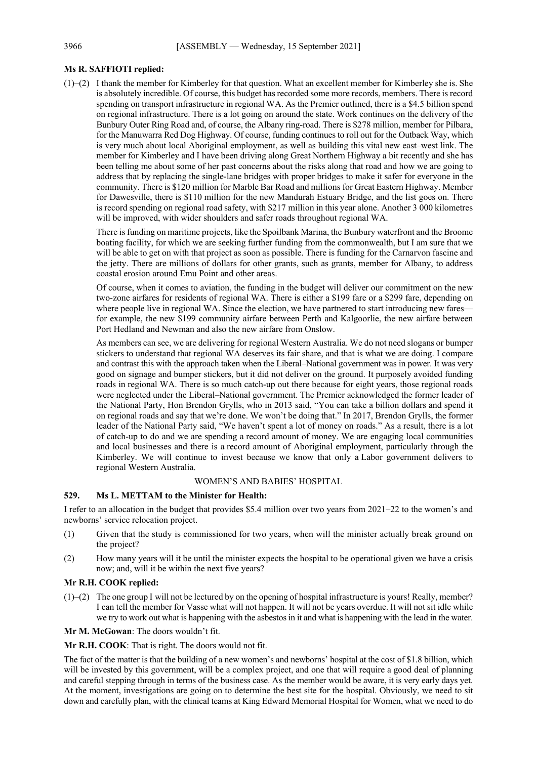#### **Ms R. SAFFIOTI replied:**

(1)–(2) I thank the member for Kimberley for that question. What an excellent member for Kimberley she is. She is absolutely incredible. Of course, this budget has recorded some more records, members. There is record spending on transport infrastructure in regional WA. As the Premier outlined, there is a \$4.5 billion spend on regional infrastructure. There is a lot going on around the state. Work continues on the delivery of the Bunbury Outer Ring Road and, of course, the Albany ring-road. There is \$278 million, member for Pilbara, for the Manuwarra Red Dog Highway. Of course, funding continues to roll out for the Outback Way, which is very much about local Aboriginal employment, as well as building this vital new east–west link. The member for Kimberley and I have been driving along Great Northern Highway a bit recently and she has been telling me about some of her past concerns about the risks along that road and how we are going to address that by replacing the single-lane bridges with proper bridges to make it safer for everyone in the community. There is \$120 million for Marble Bar Road and millions for Great Eastern Highway. Member for Dawesville, there is \$110 million for the new Mandurah Estuary Bridge, and the list goes on. There is record spending on regional road safety, with \$217 million in this year alone. Another 3 000 kilometres will be improved, with wider shoulders and safer roads throughout regional WA.

There is funding on maritime projects, like the Spoilbank Marina, the Bunbury waterfront and the Broome boating facility, for which we are seeking further funding from the commonwealth, but I am sure that we will be able to get on with that project as soon as possible. There is funding for the Carnarvon fascine and the jetty. There are millions of dollars for other grants, such as grants, member for Albany, to address coastal erosion around Emu Point and other areas.

Of course, when it comes to aviation, the funding in the budget will deliver our commitment on the new two-zone airfares for residents of regional WA. There is either a \$199 fare or a \$299 fare, depending on where people live in regional WA. Since the election, we have partnered to start introducing new fares for example, the new \$199 community airfare between Perth and Kalgoorlie, the new airfare between Port Hedland and Newman and also the new airfare from Onslow.

As members can see, we are delivering for regional Western Australia. We do not need slogans or bumper stickers to understand that regional WA deserves its fair share, and that is what we are doing. I compare and contrast this with the approach taken when the Liberal–National government was in power. It was very good on signage and bumper stickers, but it did not deliver on the ground. It purposely avoided funding roads in regional WA. There is so much catch-up out there because for eight years, those regional roads were neglected under the Liberal–National government. The Premier acknowledged the former leader of the National Party, Hon Brendon Grylls, who in 2013 said, "You can take a billion dollars and spend it on regional roads and say that we're done. We won't be doing that." In 2017, Brendon Grylls, the former leader of the National Party said, "We haven't spent a lot of money on roads." As a result, there is a lot of catch-up to do and we are spending a record amount of money. We are engaging local communities and local businesses and there is a record amount of Aboriginal employment, particularly through the Kimberley. We will continue to invest because we know that only a Labor government delivers to regional Western Australia.

#### WOMEN'S AND BABIES' HOSPITAL

#### **529. Ms L. METTAM to the Minister for Health:**

I refer to an allocation in the budget that provides \$5.4 million over two years from 2021–22 to the women's and newborns' service relocation project.

- (1) Given that the study is commissioned for two years, when will the minister actually break ground on the project?
- (2) How many years will it be until the minister expects the hospital to be operational given we have a crisis now; and, will it be within the next five years?

#### **Mr R.H. COOK replied:**

 $(1)$ – $(2)$  The one group I will not be lectured by on the opening of hospital infrastructure is yours! Really, member? I can tell the member for Vasse what will not happen. It will not be years overdue. It will not sit idle while we try to work out what is happening with the asbestos in it and what is happening with the lead in the water.

**Mr M. McGowan**: The doors wouldn't fit.

**Mr R.H. COOK**: That is right. The doors would not fit.

The fact of the matter is that the building of a new women's and newborns' hospital at the cost of \$1.8 billion, which will be invested by this government, will be a complex project, and one that will require a good deal of planning and careful stepping through in terms of the business case. As the member would be aware, it is very early days yet. At the moment, investigations are going on to determine the best site for the hospital. Obviously, we need to sit down and carefully plan, with the clinical teams at King Edward Memorial Hospital for Women, what we need to do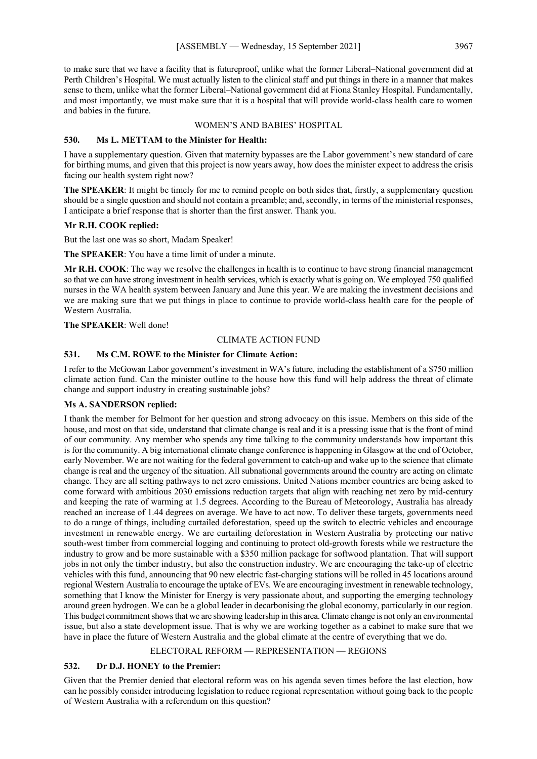to make sure that we have a facility that is futureproof, unlike what the former Liberal–National government did at Perth Children's Hospital. We must actually listen to the clinical staff and put things in there in a manner that makes sense to them, unlike what the former Liberal–National government did at Fiona Stanley Hospital. Fundamentally, and most importantly, we must make sure that it is a hospital that will provide world-class health care to women and babies in the future.

#### WOMEN'S AND BABIES' HOSPITAL

#### **530. Ms L. METTAM to the Minister for Health:**

I have a supplementary question. Given that maternity bypasses are the Labor government's new standard of care for birthing mums, and given that this project is now years away, how does the minister expect to address the crisis facing our health system right now?

**The SPEAKER**: It might be timely for me to remind people on both sides that, firstly, a supplementary question should be a single question and should not contain a preamble; and, secondly, in terms of the ministerial responses, I anticipate a brief response that is shorter than the first answer. Thank you.

#### **Mr R.H. COOK replied:**

But the last one was so short, Madam Speaker!

**The SPEAKER**: You have a time limit of under a minute.

**Mr R.H. COOK**: The way we resolve the challenges in health is to continue to have strong financial management so that we can have strong investment in health services, which is exactly what is going on. We employed 750 qualified nurses in the WA health system between January and June this year. We are making the investment decisions and we are making sure that we put things in place to continue to provide world-class health care for the people of Western Australia.

**The SPEAKER**: Well done!

#### CLIMATE ACTION FUND

#### **531. Ms C.M. ROWE to the Minister for Climate Action:**

I refer to the McGowan Labor government's investment in WA's future, including the establishment of a \$750 million climate action fund. Can the minister outline to the house how this fund will help address the threat of climate change and support industry in creating sustainable jobs?

#### **Ms A. SANDERSON replied:**

I thank the member for Belmont for her question and strong advocacy on this issue. Members on this side of the house, and most on that side, understand that climate change is real and it is a pressing issue that is the front of mind of our community. Any member who spends any time talking to the community understands how important this is for the community. A big international climate change conference is happening in Glasgow at the end of October, early November. We are not waiting for the federal government to catch-up and wake up to the science that climate change is real and the urgency of the situation. All subnational governments around the country are acting on climate change. They are all setting pathways to net zero emissions. United Nations member countries are being asked to come forward with ambitious 2030 emissions reduction targets that align with reaching net zero by mid-century and keeping the rate of warming at 1.5 degrees. According to the Bureau of Meteorology, Australia has already reached an increase of 1.44 degrees on average. We have to act now. To deliver these targets, governments need to do a range of things, including curtailed deforestation, speed up the switch to electric vehicles and encourage investment in renewable energy. We are curtailing deforestation in Western Australia by protecting our native south-west timber from commercial logging and continuing to protect old-growth forests while we restructure the industry to grow and be more sustainable with a \$350 million package for softwood plantation. That will support jobs in not only the timber industry, but also the construction industry. We are encouraging the take-up of electric vehicles with this fund, announcing that 90 new electric fast-charging stations will be rolled in 45 locations around regional Western Australia to encourage the uptake of EVs. We are encouraging investment in renewable technology, something that I know the Minister for Energy is very passionate about, and supporting the emerging technology around green hydrogen. We can be a global leader in decarbonising the global economy, particularly in our region. This budget commitment shows that we are showing leadership in this area. Climate change is not only an environmental issue, but also a state development issue. That is why we are working together as a cabinet to make sure that we have in place the future of Western Australia and the global climate at the centre of everything that we do.

#### ELECTORAL REFORM — REPRESENTATION — REGIONS

#### **532. Dr D.J. HONEY to the Premier:**

Given that the Premier denied that electoral reform was on his agenda seven times before the last election, how can he possibly consider introducing legislation to reduce regional representation without going back to the people of Western Australia with a referendum on this question?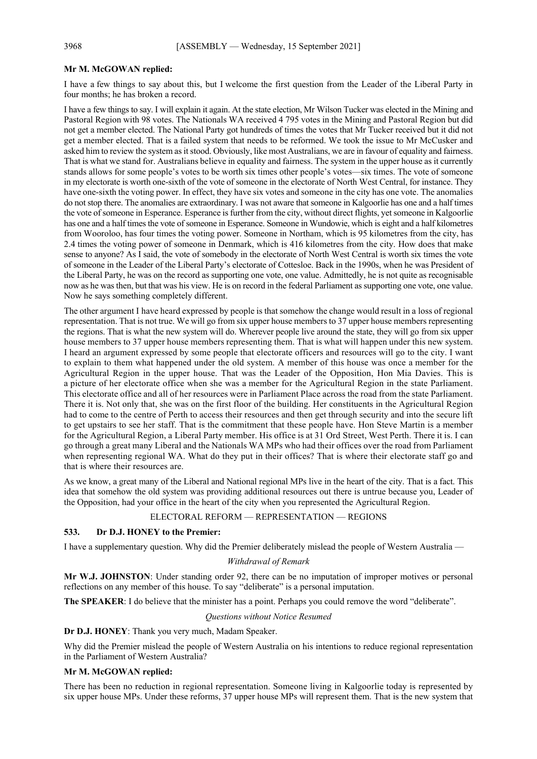#### **Mr M. McGOWAN replied:**

I have a few things to say about this, but I welcome the first question from the Leader of the Liberal Party in four months; he has broken a record.

I have a few things to say. I will explain it again. At the state election, Mr Wilson Tucker was elected in the Mining and Pastoral Region with 98 votes. The Nationals WA received 4 795 votes in the Mining and Pastoral Region but did not get a member elected. The National Party got hundreds of times the votes that Mr Tucker received but it did not get a member elected. That is a failed system that needs to be reformed. We took the issue to Mr McCusker and asked him to review the system as it stood. Obviously, like most Australians, we are in favour of equality and fairness. That is what we stand for. Australians believe in equality and fairness. The system in the upper house as it currently stands allows for some people's votes to be worth six times other people's votes—six times. The vote of someone in my electorate is worth one-sixth of the vote of someone in the electorate of North West Central, for instance. They have one-sixth the voting power. In effect, they have six votes and someone in the city has one vote. The anomalies do not stop there. The anomalies are extraordinary. I was not aware that someone in Kalgoorlie has one and a half times the vote of someone in Esperance. Esperance is further from the city, without direct flights, yet someone in Kalgoorlie has one and a half times the vote of someone in Esperance. Someone in Wundowie, which is eight and a half kilometres from Wooroloo, has four times the voting power. Someone in Northam, which is 95 kilometres from the city, has 2.4 times the voting power of someone in Denmark, which is 416 kilometres from the city. How does that make sense to anyone? As I said, the vote of somebody in the electorate of North West Central is worth six times the vote of someone in the Leader of the Liberal Party's electorate of Cottesloe. Back in the 1990s, when he was President of the Liberal Party, he was on the record as supporting one vote, one value. Admittedly, he is not quite as recognisable now as he was then, but that was his view. He is on record in the federal Parliament as supporting one vote, one value. Now he says something completely different.

The other argument I have heard expressed by people is that somehow the change would result in a loss of regional representation. That is not true. We will go from six upper house members to 37 upper house members representing the regions. That is what the new system will do. Wherever people live around the state, they will go from six upper house members to 37 upper house members representing them. That is what will happen under this new system. I heard an argument expressed by some people that electorate officers and resources will go to the city. I want to explain to them what happened under the old system. A member of this house was once a member for the Agricultural Region in the upper house. That was the Leader of the Opposition, Hon Mia Davies. This is a picture of her electorate office when she was a member for the Agricultural Region in the state Parliament. This electorate office and all of her resources were in Parliament Place across the road from the state Parliament. There it is. Not only that, she was on the first floor of the building. Her constituents in the Agricultural Region had to come to the centre of Perth to access their resources and then get through security and into the secure lift to get upstairs to see her staff. That is the commitment that these people have. Hon Steve Martin is a member for the Agricultural Region, a Liberal Party member. His office is at 31 Ord Street, West Perth. There it is. I can go through a great many Liberal and the Nationals WA MPs who had their offices over the road from Parliament when representing regional WA. What do they put in their offices? That is where their electorate staff go and that is where their resources are.

As we know, a great many of the Liberal and National regional MPs live in the heart of the city. That is a fact. This idea that somehow the old system was providing additional resources out there is untrue because you, Leader of the Opposition, had your office in the heart of the city when you represented the Agricultural Region.

#### ELECTORAL REFORM — REPRESENTATION — REGIONS

#### **533. Dr D.J. HONEY to the Premier:**

I have a supplementary question. Why did the Premier deliberately mislead the people of Western Australia —

#### *Withdrawal of Remark*

**Mr W.J. JOHNSTON**: Under standing order 92, there can be no imputation of improper motives or personal reflections on any member of this house. To say "deliberate" is a personal imputation.

**The SPEAKER**: I do believe that the minister has a point. Perhaps you could remove the word "deliberate".

#### *Questions without Notice Resumed*

**Dr D.J. HONEY**: Thank you very much, Madam Speaker.

Why did the Premier mislead the people of Western Australia on his intentions to reduce regional representation in the Parliament of Western Australia?

#### **Mr M. McGOWAN replied:**

There has been no reduction in regional representation. Someone living in Kalgoorlie today is represented by six upper house MPs. Under these reforms, 37 upper house MPs will represent them. That is the new system that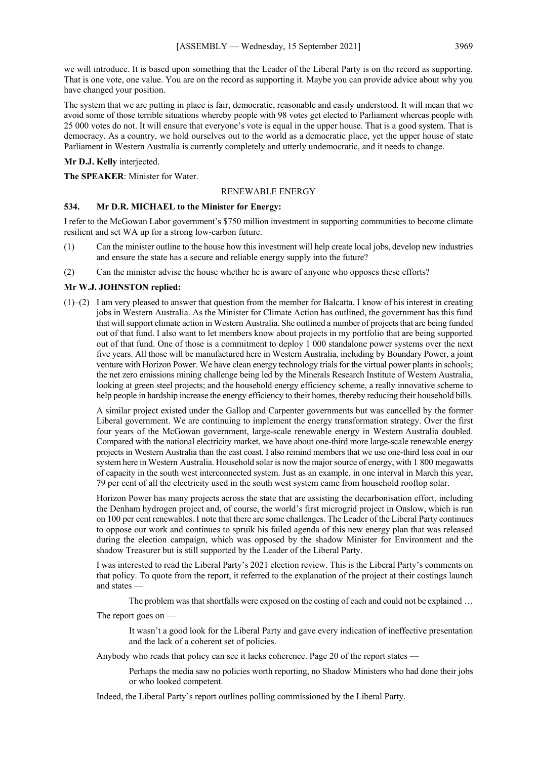we will introduce. It is based upon something that the Leader of the Liberal Party is on the record as supporting. That is one vote, one value. You are on the record as supporting it. Maybe you can provide advice about why you have changed your position.

The system that we are putting in place is fair, democratic, reasonable and easily understood. It will mean that we avoid some of those terrible situations whereby people with 98 votes get elected to Parliament whereas people with 25 000 votes do not. It will ensure that everyone's vote is equal in the upper house. That is a good system. That is democracy. As a country, we hold ourselves out to the world as a democratic place, yet the upper house of state Parliament in Western Australia is currently completely and utterly undemocratic, and it needs to change.

**Mr D.J. Kelly** interjected.

**The SPEAKER**: Minister for Water.

#### RENEWABLE ENERGY

#### **534. Mr D.R. MICHAEL to the Minister for Energy:**

I refer to the McGowan Labor government's \$750 million investment in supporting communities to become climate resilient and set WA up for a strong low-carbon future.

- (1) Can the minister outline to the house how this investment will help create local jobs, develop new industries and ensure the state has a secure and reliable energy supply into the future?
- (2) Can the minister advise the house whether he is aware of anyone who opposes these efforts?

#### **Mr W.J. JOHNSTON replied:**

(1)–(2) I am very pleased to answer that question from the member for Balcatta. I know of his interest in creating jobs in Western Australia. As the Minister for Climate Action has outlined, the government has this fund that will support climate action in Western Australia. She outlined a number of projects that are being funded out of that fund. I also want to let members know about projects in my portfolio that are being supported out of that fund. One of those is a commitment to deploy 1 000 standalone power systems over the next five years. All those will be manufactured here in Western Australia, including by Boundary Power, a joint venture with Horizon Power. We have clean energy technology trials for the virtual power plants in schools; the net zero emissions mining challenge being led by the Minerals Research Institute of Western Australia, looking at green steel projects; and the household energy efficiency scheme, a really innovative scheme to help people in hardship increase the energy efficiency to their homes, thereby reducing their household bills.

A similar project existed under the Gallop and Carpenter governments but was cancelled by the former Liberal government. We are continuing to implement the energy transformation strategy. Over the first four years of the McGowan government, large-scale renewable energy in Western Australia doubled. Compared with the national electricity market, we have about one-third more large-scale renewable energy projects in Western Australia than the east coast. I also remind members that we use one-third less coal in our system here in Western Australia. Household solar is now the major source of energy, with 1 800 megawatts of capacity in the south west interconnected system. Just as an example, in one interval in March this year, 79 per cent of all the electricity used in the south west system came from household rooftop solar.

Horizon Power has many projects across the state that are assisting the decarbonisation effort, including the Denham hydrogen project and, of course, the world's first microgrid project in Onslow, which is run on 100 per cent renewables. I note that there are some challenges. The Leader of the Liberal Party continues to oppose our work and continues to spruik his failed agenda of this new energy plan that was released during the election campaign, which was opposed by the shadow Minister for Environment and the shadow Treasurer but is still supported by the Leader of the Liberal Party.

I was interested to read the Liberal Party's 2021 election review. This is the Liberal Party's comments on that policy. To quote from the report, it referred to the explanation of the project at their costings launch and states

The problem was that shortfalls were exposed on the costing of each and could not be explained …

The report goes on —

It wasn't a good look for the Liberal Party and gave every indication of ineffective presentation and the lack of a coherent set of policies.

Anybody who reads that policy can see it lacks coherence. Page 20 of the report states —

Perhaps the media saw no policies worth reporting, no Shadow Ministers who had done their jobs or who looked competent.

Indeed, the Liberal Party's report outlines polling commissioned by the Liberal Party.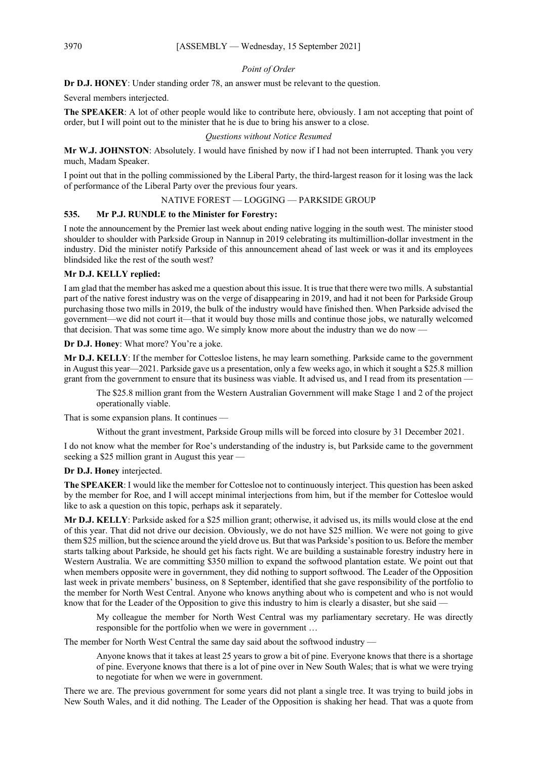#### *Point of Order*

**Dr D.J. HONEY**: Under standing order 78, an answer must be relevant to the question.

Several members interjected.

**The SPEAKER**: A lot of other people would like to contribute here, obviously. I am not accepting that point of order, but I will point out to the minister that he is due to bring his answer to a close.

#### *Questions without Notice Resumed*

**Mr W.J. JOHNSTON**: Absolutely. I would have finished by now if I had not been interrupted. Thank you very much, Madam Speaker.

I point out that in the polling commissioned by the Liberal Party, the third-largest reason for it losing was the lack of performance of the Liberal Party over the previous four years.

#### NATIVE FOREST — LOGGING — PARKSIDE GROUP

#### **535. Mr P.J. RUNDLE to the Minister for Forestry:**

I note the announcement by the Premier last week about ending native logging in the south west. The minister stood shoulder to shoulder with Parkside Group in Nannup in 2019 celebrating its multimillion-dollar investment in the industry. Did the minister notify Parkside of this announcement ahead of last week or was it and its employees blindsided like the rest of the south west?

#### **Mr D.J. KELLY replied:**

I am glad that the member has asked me a question about this issue. It is true that there were two mills. A substantial part of the native forest industry was on the verge of disappearing in 2019, and had it not been for Parkside Group purchasing those two mills in 2019, the bulk of the industry would have finished then. When Parkside advised the government—we did not court it—that it would buy those mills and continue those jobs, we naturally welcomed that decision. That was some time ago. We simply know more about the industry than we do now —

#### **Dr D.J. Honey**: What more? You're a joke.

**Mr D.J. KELLY**: If the member for Cottesloe listens, he may learn something. Parkside came to the government in August this year—2021. Parkside gave us a presentation, only a few weeks ago, in which it sought a \$25.8 million grant from the government to ensure that its business was viable. It advised us, and I read from its presentation —

The \$25.8 million grant from the Western Australian Government will make Stage 1 and 2 of the project operationally viable.

That is some expansion plans. It continues —

Without the grant investment, Parkside Group mills will be forced into closure by 31 December 2021.

I do not know what the member for Roe's understanding of the industry is, but Parkside came to the government seeking a \$25 million grant in August this year —

#### **Dr D.J. Honey** interjected.

**The SPEAKER**: I would like the member for Cottesloe not to continuously interject. This question has been asked by the member for Roe, and I will accept minimal interjections from him, but if the member for Cottesloe would like to ask a question on this topic, perhaps ask it separately.

**Mr D.J. KELLY**: Parkside asked for a \$25 million grant; otherwise, it advised us, its mills would close at the end of this year. That did not drive our decision. Obviously, we do not have \$25 million. We were not going to give them \$25 million, but the science around the yield drove us. But that was Parkside's position to us. Before the member starts talking about Parkside, he should get his facts right. We are building a sustainable forestry industry here in Western Australia. We are committing \$350 million to expand the softwood plantation estate. We point out that when members opposite were in government, they did nothing to support softwood. The Leader of the Opposition last week in private members' business, on 8 September, identified that she gave responsibility of the portfolio to the member for North West Central. Anyone who knows anything about who is competent and who is not would know that for the Leader of the Opposition to give this industry to him is clearly a disaster, but she said —

My colleague the member for North West Central was my parliamentary secretary. He was directly responsible for the portfolio when we were in government …

The member for North West Central the same day said about the softwood industry —

Anyone knows that it takes at least 25 years to grow a bit of pine. Everyone knows that there is a shortage of pine. Everyone knows that there is a lot of pine over in New South Wales; that is what we were trying to negotiate for when we were in government.

There we are. The previous government for some years did not plant a single tree. It was trying to build jobs in New South Wales, and it did nothing. The Leader of the Opposition is shaking her head. That was a quote from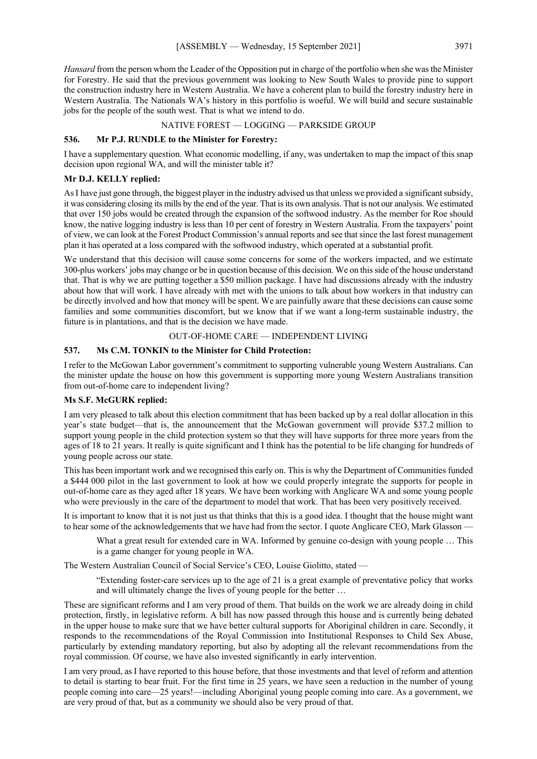*Hansard* from the person whom the Leader of the Opposition put in charge of the portfolio when she was the Minister for Forestry. He said that the previous government was looking to New South Wales to provide pine to support the construction industry here in Western Australia. We have a coherent plan to build the forestry industry here in Western Australia. The Nationals WA's history in this portfolio is woeful. We will build and secure sustainable jobs for the people of the south west. That is what we intend to do.

#### NATIVE FOREST — LOGGING — PARKSIDE GROUP

#### **536. Mr P.J. RUNDLE to the Minister for Forestry:**

I have a supplementary question. What economic modelling, if any, was undertaken to map the impact of this snap decision upon regional WA, and will the minister table it?

#### **Mr D.J. KELLY replied:**

AsI have just gone through, the biggest player in the industry advised us that unless we provided a significant subsidy, it was considering closing its mills by the end of the year. That is its own analysis. That is not our analysis. We estimated that over 150 jobs would be created through the expansion of the softwood industry. As the member for Roe should know, the native logging industry is less than 10 per cent of forestry in Western Australia. From the taxpayers' point of view, we can look at the Forest Product Commission's annual reports and see that since the last forest management plan it has operated at a loss compared with the softwood industry, which operated at a substantial profit.

We understand that this decision will cause some concerns for some of the workers impacted, and we estimate 300-plus workers' jobs may change or be in question because of this decision. We on this side of the house understand that. That is why we are putting together a \$50 million package. I have had discussions already with the industry about how that will work. I have already with met with the unions to talk about how workers in that industry can be directly involved and how that money will be spent. We are painfully aware that these decisions can cause some families and some communities discomfort, but we know that if we want a long-term sustainable industry, the future is in plantations, and that is the decision we have made.

#### OUT-OF-HOME CARE — INDEPENDENT LIVING

#### **537. Ms C.M. TONKIN to the Minister for Child Protection:**

I refer to the McGowan Labor government's commitment to supporting vulnerable young Western Australians. Can the minister update the house on how this government is supporting more young Western Australians transition from out-of-home care to independent living?

#### **Ms S.F. McGURK replied:**

I am very pleased to talk about this election commitment that has been backed up by a real dollar allocation in this year's state budget—that is, the announcement that the McGowan government will provide \$37.2 million to support young people in the child protection system so that they will have supports for three more years from the ages of 18 to 21 years. It really is quite significant and I think has the potential to be life changing for hundreds of young people across our state.

This has been important work and we recognised this early on. This is why the Department of Communities funded a \$444 000 pilot in the last government to look at how we could properly integrate the supports for people in out-of-home care as they aged after 18 years. We have been working with Anglicare WA and some young people who were previously in the care of the department to model that work. That has been very positively received.

It is important to know that it is not just us that thinks that this is a good idea. I thought that the house might want to hear some of the acknowledgements that we have had from the sector. I quote Anglicare CEO, Mark Glasson -

What a great result for extended care in WA. Informed by genuine co-design with young people ... This is a game changer for young people in WA.

The Western Australian Council of Social Service's CEO, Louise Giolitto, stated —

"Extending foster-care services up to the age of 21 is a great example of preventative policy that works and will ultimately change the lives of young people for the better …

These are significant reforms and I am very proud of them. That builds on the work we are already doing in child protection, firstly, in legislative reform. A bill has now passed through this house and is currently being debated in the upper house to make sure that we have better cultural supports for Aboriginal children in care. Secondly, it responds to the recommendations of the Royal Commission into Institutional Responses to Child Sex Abuse, particularly by extending mandatory reporting, but also by adopting all the relevant recommendations from the royal commission. Of course, we have also invested significantly in early intervention.

I am very proud, as I have reported to this house before, that those investments and that level of reform and attention to detail is starting to bear fruit. For the first time in 25 years, we have seen a reduction in the number of young people coming into care—25 years!—including Aboriginal young people coming into care. As a government, we are very proud of that, but as a community we should also be very proud of that.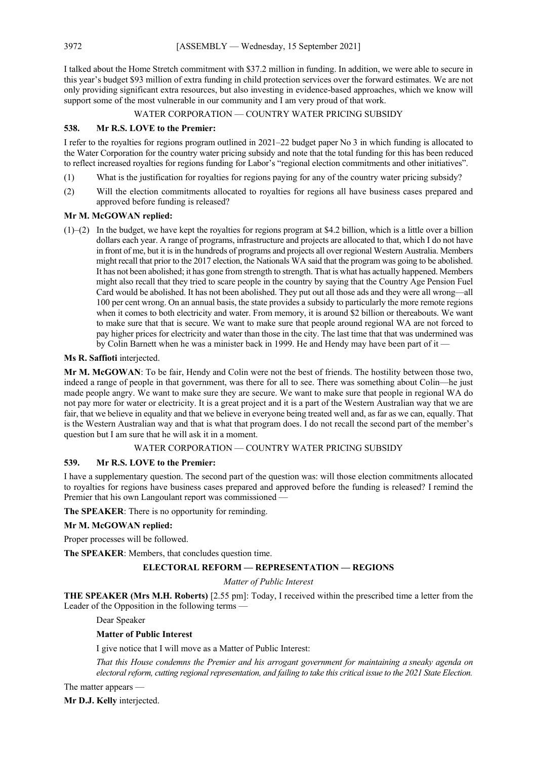I talked about the Home Stretch commitment with \$37.2 million in funding. In addition, we were able to secure in this year's budget \$93 million of extra funding in child protection services over the forward estimates. We are not only providing significant extra resources, but also investing in evidence-based approaches, which we know will support some of the most vulnerable in our community and I am very proud of that work.

#### WATER CORPORATION — COUNTRY WATER PRICING SUBSIDY

#### **538. Mr R.S. LOVE to the Premier:**

I refer to the royalties for regions program outlined in 2021–22 budget paper No 3 in which funding is allocated to the Water Corporation for the country water pricing subsidy and note that the total funding for this has been reduced to reflect increased royalties for regions funding for Labor's "regional election commitments and other initiatives".

- (1) What is the justification for royalties for regions paying for any of the country water pricing subsidy?
- (2) Will the election commitments allocated to royalties for regions all have business cases prepared and approved before funding is released?

#### **Mr M. McGOWAN replied:**

(1)–(2) In the budget, we have kept the royalties for regions program at \$4.2 billion, which is a little over a billion dollars each year. A range of programs, infrastructure and projects are allocated to that, which I do not have in front of me, but it is in the hundreds of programs and projects all over regional Western Australia. Members might recall that prior to the 2017 election, the Nationals WA said that the program was going to be abolished. It has not been abolished; it has gone from strength to strength. That is what has actually happened. Members might also recall that they tried to scare people in the country by saying that the Country Age Pension Fuel Card would be abolished. It has not been abolished. They put out all those ads and they were all wrong—all 100 per cent wrong. On an annual basis, the state provides a subsidy to particularly the more remote regions when it comes to both electricity and water. From memory, it is around \$2 billion or thereabouts. We want to make sure that that is secure. We want to make sure that people around regional WA are not forced to pay higher prices for electricity and water than those in the city. The last time that that was undermined was by Colin Barnett when he was a minister back in 1999. He and Hendy may have been part of it —

#### **Ms R. Saffioti** interjected.

**Mr M. McGOWAN**: To be fair, Hendy and Colin were not the best of friends. The hostility between those two, indeed a range of people in that government, was there for all to see. There was something about Colin—he just made people angry. We want to make sure they are secure. We want to make sure that people in regional WA do not pay more for water or electricity. It is a great project and it is a part of the Western Australian way that we are fair, that we believe in equality and that we believe in everyone being treated well and, as far as we can, equally. That is the Western Australian way and that is what that program does. I do not recall the second part of the member's question but I am sure that he will ask it in a moment.

#### WATER CORPORATION — COUNTRY WATER PRICING SUBSIDY

#### **539. Mr R.S. LOVE to the Premier:**

I have a supplementary question. The second part of the question was: will those election commitments allocated to royalties for regions have business cases prepared and approved before the funding is released? I remind the Premier that his own Langoulant report was commissioned —

**The SPEAKER**: There is no opportunity for reminding.

#### **Mr M. McGOWAN replied:**

Proper processes will be followed.

**The SPEAKER**: Members, that concludes question time.

#### **ELECTORAL REFORM — REPRESENTATION — REGIONS**

#### *Matter of Public Interest*

**THE SPEAKER (Mrs M.H. Roberts)** [2.55 pm]: Today, I received within the prescribed time a letter from the Leader of the Opposition in the following terms -

Dear Speaker

#### **Matter of Public Interest**

I give notice that I will move as a Matter of Public Interest:

*That this House condemns the Premier and his arrogant government for maintaining a sneaky agenda on electoral reform, cutting regional representation, and failing to take this critical issue to the 2021 State Election.*

The matter appears —

**Mr D.J. Kelly** interjected.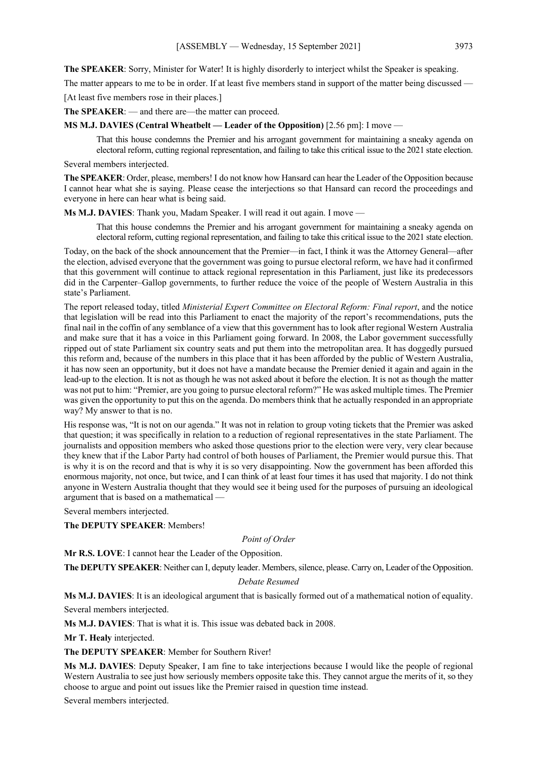**The SPEAKER**: Sorry, Minister for Water! It is highly disorderly to interject whilst the Speaker is speaking.

The matter appears to me to be in order. If at least five members stand in support of the matter being discussed —

[At least five members rose in their places.]

**The SPEAKER**: — and there are—the matter can proceed.

**MS M.J. DAVIES (Central Wheatbelt — Leader of the Opposition)** [2.56 pm]: I move —

That this house condemns the Premier and his arrogant government for maintaining a sneaky agenda on electoral reform, cutting regional representation, and failing to take this critical issue to the 2021 state election.

Several members interjected.

**The SPEAKER**: Order, please, members! I do not know how Hansard can hear the Leader of the Opposition because I cannot hear what she is saying. Please cease the interjections so that Hansard can record the proceedings and everyone in here can hear what is being said.

**Ms M.J. DAVIES**: Thank you, Madam Speaker. I will read it out again. I move —

That this house condemns the Premier and his arrogant government for maintaining a sneaky agenda on electoral reform, cutting regional representation, and failing to take this critical issue to the 2021 state election.

Today, on the back of the shock announcement that the Premier—in fact, I think it was the Attorney General—after the election, advised everyone that the government was going to pursue electoral reform, we have had it confirmed that this government will continue to attack regional representation in this Parliament, just like its predecessors did in the Carpenter–Gallop governments, to further reduce the voice of the people of Western Australia in this state's Parliament.

The report released today, titled *Ministerial Expert Committee on Electoral Reform: Final report*, and the notice that legislation will be read into this Parliament to enact the majority of the report's recommendations, puts the final nail in the coffin of any semblance of a view that this government has to look after regional Western Australia and make sure that it has a voice in this Parliament going forward. In 2008, the Labor government successfully ripped out of state Parliament six country seats and put them into the metropolitan area. It has doggedly pursued this reform and, because of the numbers in this place that it has been afforded by the public of Western Australia, it has now seen an opportunity, but it does not have a mandate because the Premier denied it again and again in the lead-up to the election. It is not as though he was not asked about it before the election. It is not as though the matter was not put to him: "Premier, are you going to pursue electoral reform?" He was asked multiple times. The Premier was given the opportunity to put this on the agenda. Do members think that he actually responded in an appropriate way? My answer to that is no.

His response was, "It is not on our agenda." It was not in relation to group voting tickets that the Premier was asked that question; it was specifically in relation to a reduction of regional representatives in the state Parliament. The journalists and opposition members who asked those questions prior to the election were very, very clear because they knew that if the Labor Party had control of both houses of Parliament, the Premier would pursue this. That is why it is on the record and that is why it is so very disappointing. Now the government has been afforded this enormous majority, not once, but twice, and I can think of at least four times it has used that majority. I do not think anyone in Western Australia thought that they would see it being used for the purposes of pursuing an ideological argument that is based on a mathematical —

Several members interjected.

**The DEPUTY SPEAKER**: Members!

*Point of Order*

**Mr R.S. LOVE**: I cannot hear the Leader of the Opposition.

**The DEPUTY SPEAKER**: Neither can I, deputy leader. Members, silence, please. Carry on, Leader of the Opposition.

#### *Debate Resumed*

**Ms M.J. DAVIES**: It is an ideological argument that is basically formed out of a mathematical notion of equality. Several members interjected.

**Ms M.J. DAVIES**: That is what it is. This issue was debated back in 2008.

**Mr T. Healy** interjected.

**The DEPUTY SPEAKER**: Member for Southern River!

**Ms M.J. DAVIES**: Deputy Speaker, I am fine to take interjections because I would like the people of regional Western Australia to see just how seriously members opposite take this. They cannot argue the merits of it, so they choose to argue and point out issues like the Premier raised in question time instead.

Several members interjected.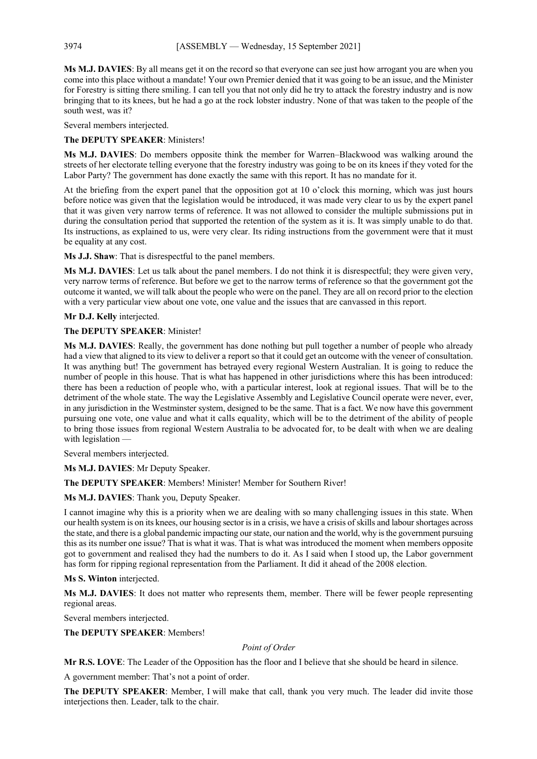**Ms M.J. DAVIES**: By all means get it on the record so that everyone can see just how arrogant you are when you come into this place without a mandate! Your own Premier denied that it was going to be an issue, and the Minister for Forestry is sitting there smiling. I can tell you that not only did he try to attack the forestry industry and is now bringing that to its knees, but he had a go at the rock lobster industry. None of that was taken to the people of the south west, was it?

Several members interjected.

#### **The DEPUTY SPEAKER**: Ministers!

**Ms M.J. DAVIES**: Do members opposite think the member for Warren–Blackwood was walking around the streets of her electorate telling everyone that the forestry industry was going to be on its knees if they voted for the Labor Party? The government has done exactly the same with this report. It has no mandate for it.

At the briefing from the expert panel that the opposition got at 10 o'clock this morning, which was just hours before notice was given that the legislation would be introduced, it was made very clear to us by the expert panel that it was given very narrow terms of reference. It was not allowed to consider the multiple submissions put in during the consultation period that supported the retention of the system as it is. It was simply unable to do that. Its instructions, as explained to us, were very clear. Its riding instructions from the government were that it must be equality at any cost.

**Ms J.J. Shaw**: That is disrespectful to the panel members.

**Ms M.J. DAVIES**: Let us talk about the panel members. I do not think it is disrespectful; they were given very, very narrow terms of reference. But before we get to the narrow terms of reference so that the government got the outcome it wanted, we will talk about the people who were on the panel. They are all on record prior to the election with a very particular view about one vote, one value and the issues that are canvassed in this report.

**Mr D.J. Kelly** interjected.

**The DEPUTY SPEAKER**: Minister!

**Ms M.J. DAVIES**: Really, the government has done nothing but pull together a number of people who already had a view that aligned to its view to deliver a report so that it could get an outcome with the veneer of consultation. It was anything but! The government has betrayed every regional Western Australian. It is going to reduce the number of people in this house. That is what has happened in other jurisdictions where this has been introduced: there has been a reduction of people who, with a particular interest, look at regional issues. That will be to the detriment of the whole state. The way the Legislative Assembly and Legislative Council operate were never, ever, in any jurisdiction in the Westminster system, designed to be the same. That is a fact. We now have this government pursuing one vote, one value and what it calls equality, which will be to the detriment of the ability of people to bring those issues from regional Western Australia to be advocated for, to be dealt with when we are dealing with legislation —

Several members interjected.

**Ms M.J. DAVIES**: Mr Deputy Speaker.

**The DEPUTY SPEAKER**: Members! Minister! Member for Southern River!

**Ms M.J. DAVIES**: Thank you, Deputy Speaker.

I cannot imagine why this is a priority when we are dealing with so many challenging issues in this state. When our health system is on its knees, our housing sector is in a crisis, we have a crisis of skills and labour shortages across the state, and there is a global pandemic impacting our state, our nation and the world, why is the government pursuing this as its number one issue? That is what it was. That is what was introduced the moment when members opposite got to government and realised they had the numbers to do it. As I said when I stood up, the Labor government has form for ripping regional representation from the Parliament. It did it ahead of the 2008 election.

**Ms S. Winton** interjected.

**Ms M.J. DAVIES**: It does not matter who represents them, member. There will be fewer people representing regional areas.

Several members interjected.

**The DEPUTY SPEAKER**: Members!

*Point of Order*

**Mr R.S. LOVE**: The Leader of the Opposition has the floor and I believe that she should be heard in silence.

A government member: That's not a point of order.

**The DEPUTY SPEAKER**: Member, I will make that call, thank you very much. The leader did invite those interjections then. Leader, talk to the chair.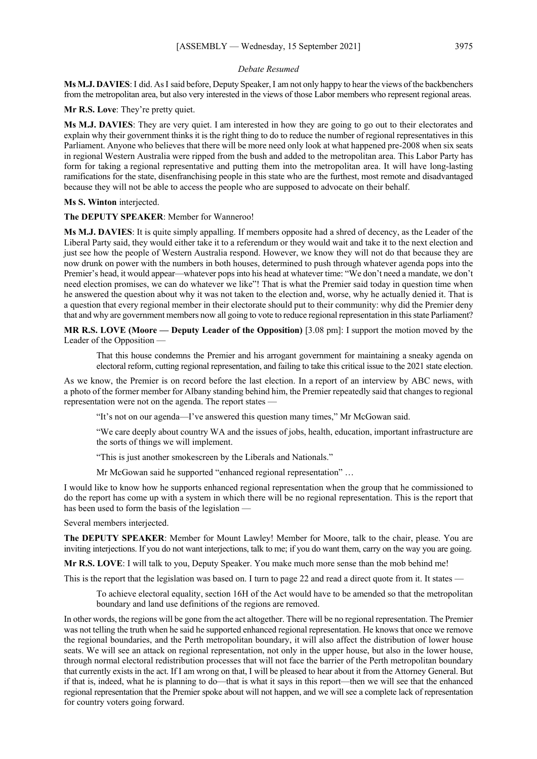#### *Debate Resumed*

**Ms M.J. DAVIES**: I did. AsI said before, Deputy Speaker, I am not only happy to hear the views of the backbenchers from the metropolitan area, but also very interested in the views of those Labor members who represent regional areas.

**Mr R.S. Love**: They're pretty quiet.

**Ms M.J. DAVIES**: They are very quiet. I am interested in how they are going to go out to their electorates and explain why their government thinks it is the right thing to do to reduce the number of regional representatives in this Parliament. Anyone who believes that there will be more need only look at what happened pre-2008 when six seats in regional Western Australia were ripped from the bush and added to the metropolitan area. This Labor Party has form for taking a regional representative and putting them into the metropolitan area. It will have long-lasting ramifications for the state, disenfranchising people in this state who are the furthest, most remote and disadvantaged because they will not be able to access the people who are supposed to advocate on their behalf.

**Ms S. Winton** interjected.

**The DEPUTY SPEAKER**: Member for Wanneroo!

**Ms M.J. DAVIES**: It is quite simply appalling. If members opposite had a shred of decency, as the Leader of the Liberal Party said, they would either take it to a referendum or they would wait and take it to the next election and just see how the people of Western Australia respond. However, we know they will not do that because they are now drunk on power with the numbers in both houses, determined to push through whatever agenda pops into the Premier's head, it would appear—whatever pops into his head at whatever time: "We don't need a mandate, we don't need election promises, we can do whatever we like"! That is what the Premier said today in question time when he answered the question about why it was not taken to the election and, worse, why he actually denied it. That is a question that every regional member in their electorate should put to their community: why did the Premier deny that and why are government members now all going to vote to reduce regional representation in this state Parliament?

**MR R.S. LOVE (Moore — Deputy Leader of the Opposition)** [3.08 pm]: I support the motion moved by the Leader of the Opposition —

That this house condemns the Premier and his arrogant government for maintaining a sneaky agenda on electoral reform, cutting regional representation, and failing to take this critical issue to the 2021 state election.

As we know, the Premier is on record before the last election. In a report of an interview by ABC news, with a photo of the former member for Albany standing behind him, the Premier repeatedly said that changes to regional representation were not on the agenda. The report states —

"It's not on our agenda—I've answered this question many times," Mr McGowan said.

"We care deeply about country WA and the issues of jobs, health, education, important infrastructure are the sorts of things we will implement.

"This is just another smokescreen by the Liberals and Nationals."

Mr McGowan said he supported "enhanced regional representation" …

I would like to know how he supports enhanced regional representation when the group that he commissioned to do the report has come up with a system in which there will be no regional representation. This is the report that has been used to form the basis of the legislation —

Several members interjected.

**The DEPUTY SPEAKER**: Member for Mount Lawley! Member for Moore, talk to the chair, please. You are inviting interjections. If you do not want interjections, talk to me; if you do want them, carry on the way you are going.

**Mr R.S. LOVE**: I will talk to you, Deputy Speaker. You make much more sense than the mob behind me!

This is the report that the legislation was based on. I turn to page 22 and read a direct quote from it. It states —

To achieve electoral equality, section 16H of the Act would have to be amended so that the metropolitan boundary and land use definitions of the regions are removed.

In other words, the regions will be gone from the act altogether. There will be no regional representation. The Premier was not telling the truth when he said he supported enhanced regional representation. He knows that once we remove the regional boundaries, and the Perth metropolitan boundary, it will also affect the distribution of lower house seats. We will see an attack on regional representation, not only in the upper house, but also in the lower house, through normal electoral redistribution processes that will not face the barrier of the Perth metropolitan boundary that currently exists in the act. If I am wrong on that, I will be pleased to hear about it from the Attorney General. But if that is, indeed, what he is planning to do—that is what it says in this report—then we will see that the enhanced regional representation that the Premier spoke about will not happen, and we will see a complete lack of representation for country voters going forward.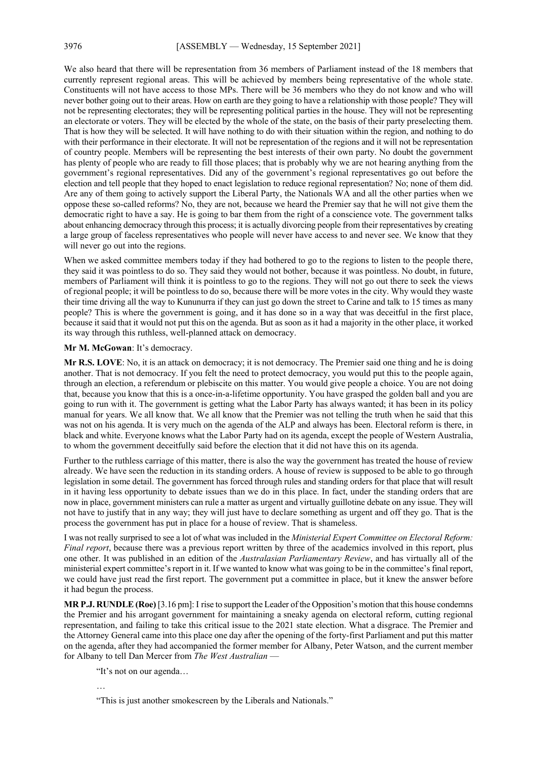We also heard that there will be representation from 36 members of Parliament instead of the 18 members that currently represent regional areas. This will be achieved by members being representative of the whole state. Constituents will not have access to those MPs. There will be 36 members who they do not know and who will never bother going out to their areas. How on earth are they going to have a relationship with those people? They will not be representing electorates; they will be representing political parties in the house. They will not be representing an electorate or voters. They will be elected by the whole of the state, on the basis of their party preselecting them. That is how they will be selected. It will have nothing to do with their situation within the region, and nothing to do with their performance in their electorate. It will not be representation of the regions and it will not be representation of country people. Members will be representing the best interests of their own party. No doubt the government has plenty of people who are ready to fill those places; that is probably why we are not hearing anything from the government's regional representatives. Did any of the government's regional representatives go out before the election and tell people that they hoped to enact legislation to reduce regional representation? No; none of them did. Are any of them going to actively support the Liberal Party, the Nationals WA and all the other parties when we oppose these so-called reforms? No, they are not, because we heard the Premier say that he will not give them the democratic right to have a say. He is going to bar them from the right of a conscience vote. The government talks about enhancing democracy through this process; it is actually divorcing people from their representatives by creating a large group of faceless representatives who people will never have access to and never see. We know that they will never go out into the regions.

When we asked committee members today if they had bothered to go to the regions to listen to the people there, they said it was pointless to do so. They said they would not bother, because it was pointless. No doubt, in future, members of Parliament will think it is pointless to go to the regions. They will not go out there to seek the views of regional people; it will be pointless to do so, because there will be more votes in the city. Why would they waste their time driving all the way to Kununurra if they can just go down the street to Carine and talk to 15 times as many people? This is where the government is going, and it has done so in a way that was deceitful in the first place, because it said that it would not put this on the agenda. But as soon as it had a majority in the other place, it worked its way through this ruthless, well-planned attack on democracy.

**Mr M. McGowan**: It's democracy.

**Mr R.S. LOVE**: No, it is an attack on democracy; it is not democracy. The Premier said one thing and he is doing another. That is not democracy. If you felt the need to protect democracy, you would put this to the people again, through an election, a referendum or plebiscite on this matter. You would give people a choice. You are not doing that, because you know that this is a once-in-a-lifetime opportunity. You have grasped the golden ball and you are going to run with it. The government is getting what the Labor Party has always wanted; it has been in its policy manual for years. We all know that. We all know that the Premier was not telling the truth when he said that this was not on his agenda. It is very much on the agenda of the ALP and always has been. Electoral reform is there, in black and white. Everyone knows what the Labor Party had on its agenda, except the people of Western Australia, to whom the government deceitfully said before the election that it did not have this on its agenda.

Further to the ruthless carriage of this matter, there is also the way the government has treated the house of review already. We have seen the reduction in its standing orders. A house of review is supposed to be able to go through legislation in some detail. The government has forced through rules and standing orders for that place that will result in it having less opportunity to debate issues than we do in this place. In fact, under the standing orders that are now in place, government ministers can rule a matter as urgent and virtually guillotine debate on any issue. They will not have to justify that in any way; they will just have to declare something as urgent and off they go. That is the process the government has put in place for a house of review. That is shameless.

I was not really surprised to see a lot of what was included in the *Ministerial Expert Committee on Electoral Reform: Final report*, because there was a previous report written by three of the academics involved in this report, plus one other. It was published in an edition of the *Australasian Parliamentary Review*, and has virtually all of the ministerial expert committee's report in it. If we wanted to know what was going to be in the committee's final report, we could have just read the first report. The government put a committee in place, but it knew the answer before it had begun the process.

**MR P.J. RUNDLE (Roe)** [3.16 pm]: I rise to support the Leader of the Opposition's motion that this house condemns the Premier and his arrogant government for maintaining a sneaky agenda on electoral reform, cutting regional representation, and failing to take this critical issue to the 2021 state election. What a disgrace. The Premier and the Attorney General came into this place one day after the opening of the forty-first Parliament and put this matter on the agenda, after they had accompanied the former member for Albany, Peter Watson, and the current member for Albany to tell Dan Mercer from *The West Australian* —

"It's not on our agenda…

…

"This is just another smokescreen by the Liberals and Nationals."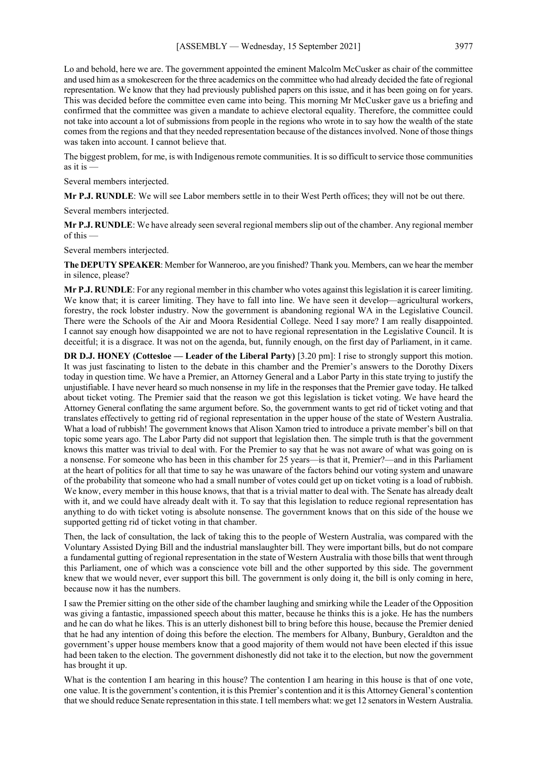Lo and behold, here we are. The government appointed the eminent Malcolm McCusker as chair of the committee and used him as a smokescreen for the three academics on the committee who had already decided the fate of regional representation. We know that they had previously published papers on this issue, and it has been going on for years. This was decided before the committee even came into being. This morning Mr McCusker gave us a briefing and confirmed that the committee was given a mandate to achieve electoral equality. Therefore, the committee could not take into account a lot of submissions from people in the regions who wrote in to say how the wealth of the state comes from the regions and that they needed representation because of the distances involved. None of those things was taken into account. I cannot believe that.

The biggest problem, for me, is with Indigenous remote communities. It is so difficult to service those communities as it is —

Several members interjected.

**Mr P.J. RUNDLE**: We will see Labor members settle in to their West Perth offices; they will not be out there.

Several members interjected.

**Mr P.J. RUNDLE**: We have already seen several regional members slip out of the chamber. Any regional member of this —

Several members interjected.

**The DEPUTY SPEAKER**: Member for Wanneroo, are you finished? Thank you. Members, can we hear the member in silence, please?

**Mr P.J. RUNDLE**: For any regional member in this chamber who votes against this legislation it is career limiting. We know that; it is career limiting. They have to fall into line. We have seen it develop—agricultural workers, forestry, the rock lobster industry. Now the government is abandoning regional WA in the Legislative Council. There were the Schools of the Air and Moora Residential College. Need I say more? I am really disappointed. I cannot say enough how disappointed we are not to have regional representation in the Legislative Council. It is deceitful; it is a disgrace. It was not on the agenda, but, funnily enough, on the first day of Parliament, in it came.

**DR D.J. HONEY (Cottesloe — Leader of the Liberal Party)** [3.20 pm]: I rise to strongly support this motion. It was just fascinating to listen to the debate in this chamber and the Premier's answers to the Dorothy Dixers today in question time. We have a Premier, an Attorney General and a Labor Party in this state trying to justify the unjustifiable. I have never heard so much nonsense in my life in the responses that the Premier gave today. He talked about ticket voting. The Premier said that the reason we got this legislation is ticket voting. We have heard the Attorney General conflating the same argument before. So, the government wants to get rid of ticket voting and that translates effectively to getting rid of regional representation in the upper house of the state of Western Australia. What a load of rubbish! The government knows that Alison Xamon tried to introduce a private member's bill on that topic some years ago. The Labor Party did not support that legislation then. The simple truth is that the government knows this matter was trivial to deal with. For the Premier to say that he was not aware of what was going on is a nonsense. For someone who has been in this chamber for 25 years—is that it, Premier?—and in this Parliament at the heart of politics for all that time to say he was unaware of the factors behind our voting system and unaware of the probability that someone who had a small number of votes could get up on ticket voting is a load of rubbish. We know, every member in this house knows, that that is a trivial matter to deal with. The Senate has already dealt with it, and we could have already dealt with it. To say that this legislation to reduce regional representation has anything to do with ticket voting is absolute nonsense. The government knows that on this side of the house we supported getting rid of ticket voting in that chamber.

Then, the lack of consultation, the lack of taking this to the people of Western Australia, was compared with the Voluntary Assisted Dying Bill and the industrial manslaughter bill. They were important bills, but do not compare a fundamental gutting of regional representation in the state of Western Australia with those bills that went through this Parliament, one of which was a conscience vote bill and the other supported by this side. The government knew that we would never, ever support this bill. The government is only doing it, the bill is only coming in here, because now it has the numbers.

I saw the Premier sitting on the other side of the chamber laughing and smirking while the Leader of the Opposition was giving a fantastic, impassioned speech about this matter, because he thinks this is a joke. He has the numbers and he can do what he likes. This is an utterly dishonest bill to bring before this house, because the Premier denied that he had any intention of doing this before the election. The members for Albany, Bunbury, Geraldton and the government's upper house members know that a good majority of them would not have been elected if this issue had been taken to the election. The government dishonestly did not take it to the election, but now the government has brought it up.

What is the contention I am hearing in this house? The contention I am hearing in this house is that of one vote, one value. It is the government's contention, it is this Premier's contention and it is this Attorney General's contention that we should reduce Senate representation in this state. I tell members what: we get 12 senators in Western Australia.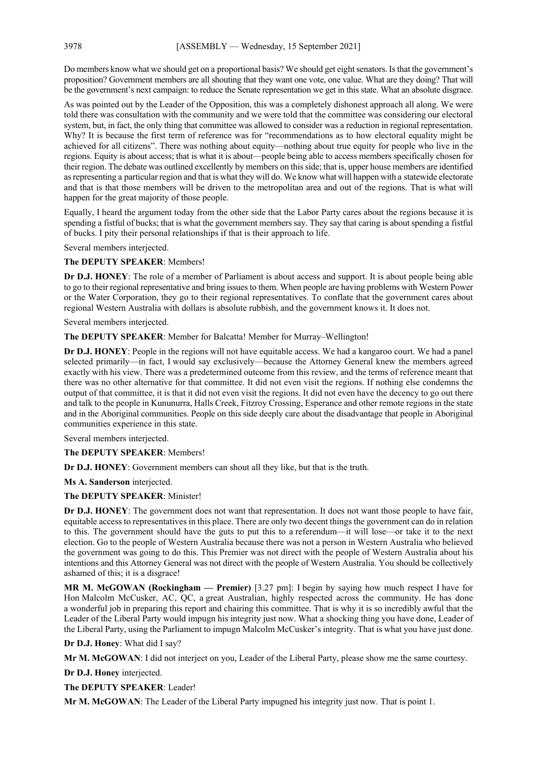Do members know what we should get on a proportional basis? We should get eight senators. Is that the government's proposition? Government members are all shouting that they want one vote, one value. What are they doing? That will be the government's next campaign: to reduce the Senate representation we get in this state. What an absolute disgrace.

As was pointed out by the Leader of the Opposition, this was a completely dishonest approach all along. We were told there was consultation with the community and we were told that the committee was considering our electoral system, but, in fact, the only thing that committee was allowed to consider was a reduction in regional representation. Why? It is because the first term of reference was for "recommendations as to how electoral equality might be achieved for all citizens". There was nothing about equity—nothing about true equity for people who live in the regions. Equity is about access; that is what it is about—people being able to access members specifically chosen for their region. The debate was outlined excellently by members on this side; that is, upper house members are identified as representing a particular region and that is what they will do. We know what will happen with a statewide electorate and that is that those members will be driven to the metropolitan area and out of the regions. That is what will happen for the great majority of those people.

Equally, I heard the argument today from the other side that the Labor Party cares about the regions because it is spending a fistful of bucks; that is what the government members say. They say that caring is about spending a fistful of bucks. I pity their personal relationships if that is their approach to life.

Several members interjected.

#### **The DEPUTY SPEAKER**: Members!

**Dr D.J. HONEY**: The role of a member of Parliament is about access and support. It is about people being able to go to their regional representative and bring issues to them. When people are having problems with Western Power or the Water Corporation, they go to their regional representatives. To conflate that the government cares about regional Western Australia with dollars is absolute rubbish, and the government knows it. It does not.

Several members interjected.

**The DEPUTY SPEAKER**: Member for Balcatta! Member for Murray–Wellington!

**Dr D.J. HONEY**: People in the regions will not have equitable access. We had a kangaroo court. We had a panel selected primarily—in fact, I would say exclusively—because the Attorney General knew the members agreed exactly with his view. There was a predetermined outcome from this review, and the terms of reference meant that there was no other alternative for that committee. It did not even visit the regions. If nothing else condemns the output of that committee, it is that it did not even visit the regions. It did not even have the decency to go out there and talk to the people in Kununurra, Halls Creek, Fitzroy Crossing, Esperance and other remote regions in the state and in the Aboriginal communities. People on this side deeply care about the disadvantage that people in Aboriginal communities experience in this state.

Several members interjected.

#### **The DEPUTY SPEAKER**: Members!

**Dr D.J. HONEY**: Government members can shout all they like, but that is the truth.

**Ms A. Sanderson** interjected.

#### **The DEPUTY SPEAKER**: Minister!

**Dr D.J. HONEY**: The government does not want that representation. It does not want those people to have fair, equitable access to representatives in this place. There are only two decent things the government can do in relation to this. The government should have the guts to put this to a referendum—it will lose—or take it to the next election. Go to the people of Western Australia because there was not a person in Western Australia who believed the government was going to do this. This Premier was not direct with the people of Western Australia about his intentions and this Attorney General was not direct with the people of Western Australia. You should be collectively ashamed of this; it is a disgrace!

**MR M. McGOWAN (Rockingham — Premier)** [3.27 pm]: I begin by saying how much respect I have for Hon Malcolm McCusker, AC, QC, a great Australian, highly respected across the community. He has done a wonderful job in preparing this report and chairing this committee. That is why it is so incredibly awful that the Leader of the Liberal Party would impugn his integrity just now. What a shocking thing you have done, Leader of the Liberal Party, using the Parliament to impugn Malcolm McCusker's integrity. That is what you have just done.

**Dr D.J. Honey**: What did I say?

**Mr M. McGOWAN**: I did not interject on you, Leader of the Liberal Party, please show me the same courtesy.

**Dr D.J. Honey** interjected.

**The DEPUTY SPEAKER**: Leader!

**Mr M. McGOWAN**: The Leader of the Liberal Party impugned his integrity just now. That is point 1.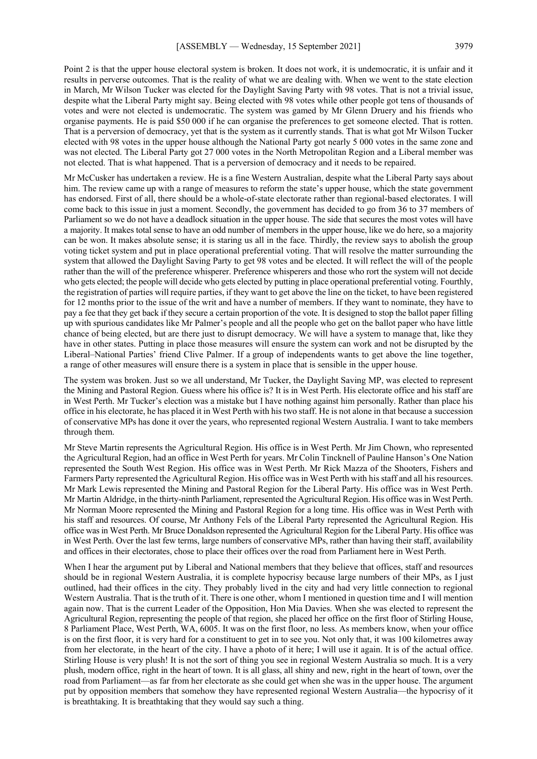Point 2 is that the upper house electoral system is broken. It does not work, it is undemocratic, it is unfair and it results in perverse outcomes. That is the reality of what we are dealing with. When we went to the state election in March, Mr Wilson Tucker was elected for the Daylight Saving Party with 98 votes. That is not a trivial issue, despite what the Liberal Party might say. Being elected with 98 votes while other people got tens of thousands of votes and were not elected is undemocratic. The system was gamed by Mr Glenn Druery and his friends who organise payments. He is paid \$50 000 if he can organise the preferences to get someone elected. That is rotten. That is a perversion of democracy, yet that is the system as it currently stands. That is what got Mr Wilson Tucker elected with 98 votes in the upper house although the National Party got nearly 5 000 votes in the same zone and was not elected. The Liberal Party got 27 000 votes in the North Metropolitan Region and a Liberal member was not elected. That is what happened. That is a perversion of democracy and it needs to be repaired.

Mr McCusker has undertaken a review. He is a fine Western Australian, despite what the Liberal Party says about him. The review came up with a range of measures to reform the state's upper house, which the state government has endorsed. First of all, there should be a whole-of-state electorate rather than regional-based electorates. I will come back to this issue in just a moment. Secondly, the government has decided to go from 36 to 37 members of Parliament so we do not have a deadlock situation in the upper house. The side that secures the most votes will have a majority. It makes total sense to have an odd number of members in the upper house, like we do here, so a majority can be won. It makes absolute sense; it is staring us all in the face. Thirdly, the review says to abolish the group voting ticket system and put in place operational preferential voting. That will resolve the matter surrounding the system that allowed the Daylight Saving Party to get 98 votes and be elected. It will reflect the will of the people rather than the will of the preference whisperer. Preference whisperers and those who rort the system will not decide who gets elected; the people will decide who gets elected by putting in place operational preferential voting. Fourthly, the registration of parties will require parties, if they want to get above the line on the ticket, to have been registered for 12 months prior to the issue of the writ and have a number of members. If they want to nominate, they have to pay a fee that they get back if they secure a certain proportion of the vote. It is designed to stop the ballot paper filling up with spurious candidates like Mr Palmer's people and all the people who get on the ballot paper who have little chance of being elected, but are there just to disrupt democracy. We will have a system to manage that, like they have in other states. Putting in place those measures will ensure the system can work and not be disrupted by the Liberal–National Parties' friend Clive Palmer. If a group of independents wants to get above the line together, a range of other measures will ensure there is a system in place that is sensible in the upper house.

The system was broken. Just so we all understand, Mr Tucker, the Daylight Saving MP, was elected to represent the Mining and Pastoral Region. Guess where his office is? It is in West Perth. His electorate office and his staff are in West Perth. Mr Tucker's election was a mistake but I have nothing against him personally. Rather than place his office in his electorate, he has placed it in West Perth with his two staff. He is not alone in that because a succession of conservative MPs has done it over the years, who represented regional Western Australia. I want to take members through them.

Mr Steve Martin represents the Agricultural Region. His office is in West Perth. Mr Jim Chown, who represented the Agricultural Region, had an office in West Perth for years. Mr Colin Tincknell of Pauline Hanson's One Nation represented the South West Region. His office was in West Perth. Mr Rick Mazza of the Shooters, Fishers and Farmers Party represented the Agricultural Region. His office was in West Perth with his staff and all his resources. Mr Mark Lewis represented the Mining and Pastoral Region for the Liberal Party. His office was in West Perth. Mr Martin Aldridge, in the thirty-ninth Parliament, represented the Agricultural Region. His office was in West Perth. Mr Norman Moore represented the Mining and Pastoral Region for a long time. His office was in West Perth with his staff and resources. Of course, Mr Anthony Fels of the Liberal Party represented the Agricultural Region. His office was in West Perth. Mr Bruce Donaldson represented the Agricultural Region for the Liberal Party. His office was in West Perth. Over the last few terms, large numbers of conservative MPs, rather than having their staff, availability and offices in their electorates, chose to place their offices over the road from Parliament here in West Perth.

When I hear the argument put by Liberal and National members that they believe that offices, staff and resources should be in regional Western Australia, it is complete hypocrisy because large numbers of their MPs, as I just outlined, had their offices in the city. They probably lived in the city and had very little connection to regional Western Australia. That is the truth of it. There is one other, whom I mentioned in question time and I will mention again now. That is the current Leader of the Opposition, Hon Mia Davies. When she was elected to represent the Agricultural Region, representing the people of that region, she placed her office on the first floor of Stirling House, 8 Parliament Place, West Perth, WA, 6005. It was on the first floor, no less. As members know, when your office is on the first floor, it is very hard for a constituent to get in to see you. Not only that, it was 100 kilometres away from her electorate, in the heart of the city. I have a photo of it here; I will use it again. It is of the actual office. Stirling House is very plush! It is not the sort of thing you see in regional Western Australia so much. It is a very plush, modern office, right in the heart of town. It is all glass, all shiny and new, right in the heart of town, over the road from Parliament—as far from her electorate as she could get when she was in the upper house. The argument put by opposition members that somehow they have represented regional Western Australia—the hypocrisy of it is breathtaking. It is breathtaking that they would say such a thing.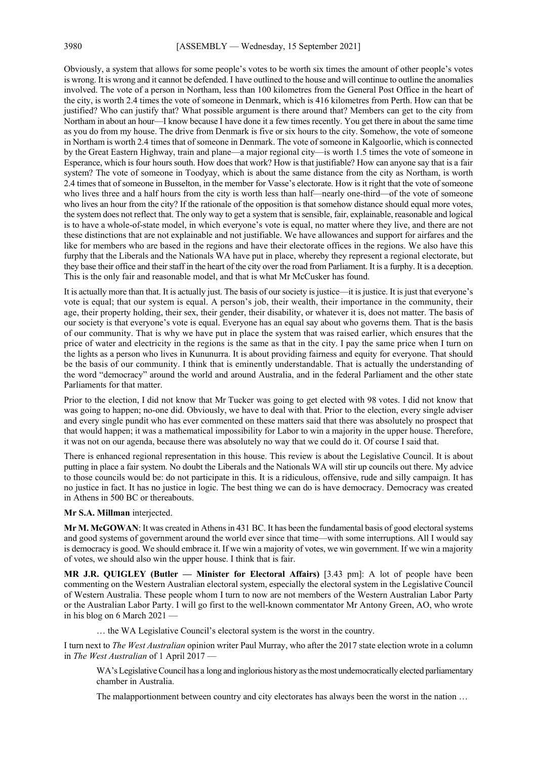Obviously, a system that allows for some people's votes to be worth six times the amount of other people's votes is wrong. It is wrong and it cannot be defended. I have outlined to the house and will continue to outline the anomalies involved. The vote of a person in Northam, less than 100 kilometres from the General Post Office in the heart of the city, is worth 2.4 times the vote of someone in Denmark, which is 416 kilometres from Perth. How can that be justified? Who can justify that? What possible argument is there around that? Members can get to the city from Northam in about an hour—I know because I have done it a few times recently. You get there in about the same time as you do from my house. The drive from Denmark is five or six hours to the city. Somehow, the vote of someone in Northam is worth 2.4 times that of someone in Denmark. The vote of someone in Kalgoorlie, which is connected by the Great Eastern Highway, train and plane—a major regional city—is worth 1.5 times the vote of someone in Esperance, which is four hours south. How does that work? How is that justifiable? How can anyone say that is a fair system? The vote of someone in Toodyay, which is about the same distance from the city as Northam, is worth 2.4 times that of someone in Busselton, in the member for Vasse's electorate. How is it right that the vote of someone who lives three and a half hours from the city is worth less than half—nearly one-third—of the vote of someone who lives an hour from the city? If the rationale of the opposition is that somehow distance should equal more votes, the system does not reflect that. The only way to get a system that is sensible, fair, explainable, reasonable and logical is to have a whole-of-state model, in which everyone's vote is equal, no matter where they live, and there are not these distinctions that are not explainable and not justifiable. We have allowances and support for airfares and the like for members who are based in the regions and have their electorate offices in the regions. We also have this furphy that the Liberals and the Nationals WA have put in place, whereby they represent a regional electorate, but they base their office and their staff in the heart of the city over the road from Parliament. It is a furphy. It is a deception. This is the only fair and reasonable model, and that is what Mr McCusker has found.

It is actually more than that. It is actually just. The basis of our society is justice—it is justice. It is just that everyone's vote is equal; that our system is equal. A person's job, their wealth, their importance in the community, their age, their property holding, their sex, their gender, their disability, or whatever it is, does not matter. The basis of our society is that everyone's vote is equal. Everyone has an equal say about who governs them. That is the basis of our community. That is why we have put in place the system that was raised earlier, which ensures that the price of water and electricity in the regions is the same as that in the city. I pay the same price when I turn on the lights as a person who lives in Kununurra. It is about providing fairness and equity for everyone. That should be the basis of our community. I think that is eminently understandable. That is actually the understanding of the word "democracy" around the world and around Australia, and in the federal Parliament and the other state Parliaments for that matter.

Prior to the election, I did not know that Mr Tucker was going to get elected with 98 votes. I did not know that was going to happen; no-one did. Obviously, we have to deal with that. Prior to the election, every single adviser and every single pundit who has ever commented on these matters said that there was absolutely no prospect that that would happen; it was a mathematical impossibility for Labor to win a majority in the upper house. Therefore, it was not on our agenda, because there was absolutely no way that we could do it. Of course I said that.

There is enhanced regional representation in this house. This review is about the Legislative Council. It is about putting in place a fair system. No doubt the Liberals and the Nationals WA will stir up councils out there. My advice to those councils would be: do not participate in this. It is a ridiculous, offensive, rude and silly campaign. It has no justice in fact. It has no justice in logic. The best thing we can do is have democracy. Democracy was created in Athens in 500 BC or thereabouts.

#### **Mr S.A. Millman** interjected.

**Mr M. McGOWAN**: It was created in Athens in 431 BC. It has been the fundamental basis of good electoral systems and good systems of government around the world ever since that time—with some interruptions. All I would say is democracy is good. We should embrace it. If we win a majority of votes, we win government. If we win a majority of votes, we should also win the upper house. I think that is fair.

**MR J.R. QUIGLEY (Butler — Minister for Electoral Affairs)** [3.43 pm]: A lot of people have been commenting on the Western Australian electoral system, especially the electoral system in the Legislative Council of Western Australia. These people whom I turn to now are not members of the Western Australian Labor Party or the Australian Labor Party. I will go first to the well-known commentator Mr Antony Green, AO, who wrote in his blog on 6 March 2021 -

… the WA Legislative Council's electoral system is the worst in the country.

I turn next to *The West Australian* opinion writer Paul Murray, who after the 2017 state election wrote in a column in *The West Australian* of 1 April 2017 —

WA's Legislative Council has a long and inglorious history as the most undemocratically elected parliamentary chamber in Australia.

The malapportionment between country and city electorates has always been the worst in the nation ...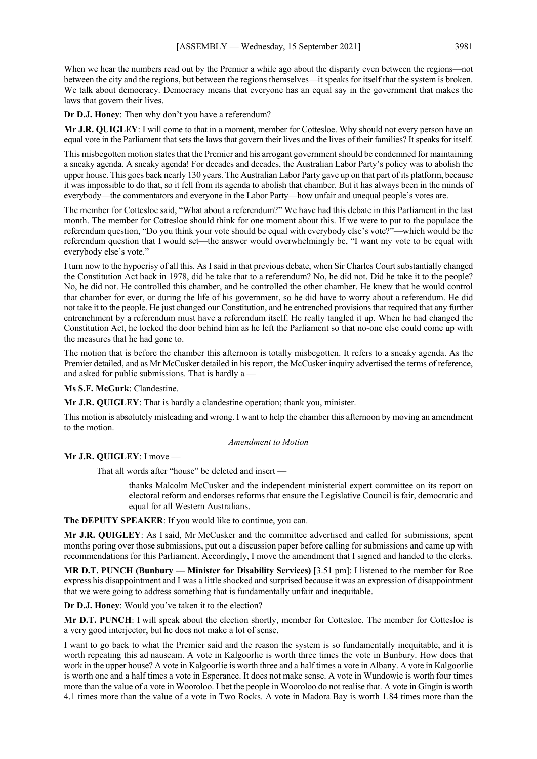When we hear the numbers read out by the Premier a while ago about the disparity even between the regions—not between the city and the regions, but between the regions themselves—it speaks for itself that the system is broken. We talk about democracy. Democracy means that everyone has an equal say in the government that makes the laws that govern their lives.

**Dr D.J. Honey**: Then why don't you have a referendum?

**Mr J.R. QUIGLEY**: I will come to that in a moment, member for Cottesloe. Why should not every person have an equal vote in the Parliament that sets the laws that govern their lives and the lives of their families? It speaks for itself.

This misbegotten motion states that the Premier and his arrogant government should be condemned for maintaining a sneaky agenda. A sneaky agenda! For decades and decades, the Australian Labor Party's policy was to abolish the upper house. This goes back nearly 130 years. The Australian Labor Party gave up on that part of its platform, because it was impossible to do that, so it fell from its agenda to abolish that chamber. But it has always been in the minds of everybody—the commentators and everyone in the Labor Party—how unfair and unequal people's votes are.

The member for Cottesloe said, "What about a referendum?" We have had this debate in this Parliament in the last month. The member for Cottesloe should think for one moment about this. If we were to put to the populace the referendum question, "Do you think your vote should be equal with everybody else's vote?"—which would be the referendum question that I would set—the answer would overwhelmingly be, "I want my vote to be equal with everybody else's vote."

I turn now to the hypocrisy of all this. As I said in that previous debate, when Sir Charles Court substantially changed the Constitution Act back in 1978, did he take that to a referendum? No, he did not. Did he take it to the people? No, he did not. He controlled this chamber, and he controlled the other chamber. He knew that he would control that chamber for ever, or during the life of his government, so he did have to worry about a referendum. He did not take it to the people. He just changed our Constitution, and he entrenched provisions that required that any further entrenchment by a referendum must have a referendum itself. He really tangled it up. When he had changed the Constitution Act, he locked the door behind him as he left the Parliament so that no-one else could come up with the measures that he had gone to.

The motion that is before the chamber this afternoon is totally misbegotten. It refers to a sneaky agenda. As the Premier detailed, and as Mr McCusker detailed in his report, the McCusker inquiry advertised the terms of reference, and asked for public submissions. That is hardly a —

**Ms S.F. McGurk**: Clandestine.

**Mr J.R. QUIGLEY**: That is hardly a clandestine operation; thank you, minister.

This motion is absolutely misleading and wrong. I want to help the chamber this afternoon by moving an amendment to the motion.

### *Amendment to Motion*

### **Mr J.R. QUIGLEY**: I move —

That all words after "house" be deleted and insert —

thanks Malcolm McCusker and the independent ministerial expert committee on its report on electoral reform and endorses reforms that ensure the Legislative Council is fair, democratic and equal for all Western Australians.

**The DEPUTY SPEAKER**: If you would like to continue, you can.

**Mr J.R. QUIGLEY**: As I said, Mr McCusker and the committee advertised and called for submissions, spent months poring over those submissions, put out a discussion paper before calling for submissions and came up with recommendations for this Parliament. Accordingly, I move the amendment that I signed and handed to the clerks.

**MR D.T. PUNCH (Bunbury — Minister for Disability Services)** [3.51 pm]: I listened to the member for Roe express his disappointment and I was a little shocked and surprised because it was an expression of disappointment that we were going to address something that is fundamentally unfair and inequitable.

**Dr D.J. Honey**: Would you've taken it to the election?

**Mr D.T. PUNCH**: I will speak about the election shortly, member for Cottesloe. The member for Cottesloe is a very good interjector, but he does not make a lot of sense.

I want to go back to what the Premier said and the reason the system is so fundamentally inequitable, and it is worth repeating this ad nauseam. A vote in Kalgoorlie is worth three times the vote in Bunbury. How does that work in the upper house? A vote in Kalgoorlie is worth three and a half times a vote in Albany. A vote in Kalgoorlie is worth one and a half times a vote in Esperance. It does not make sense. A vote in Wundowie is worth four times more than the value of a vote in Wooroloo. I bet the people in Wooroloo do not realise that. A vote in Gingin is worth 4.1 times more than the value of a vote in Two Rocks. A vote in Madora Bay is worth 1.84 times more than the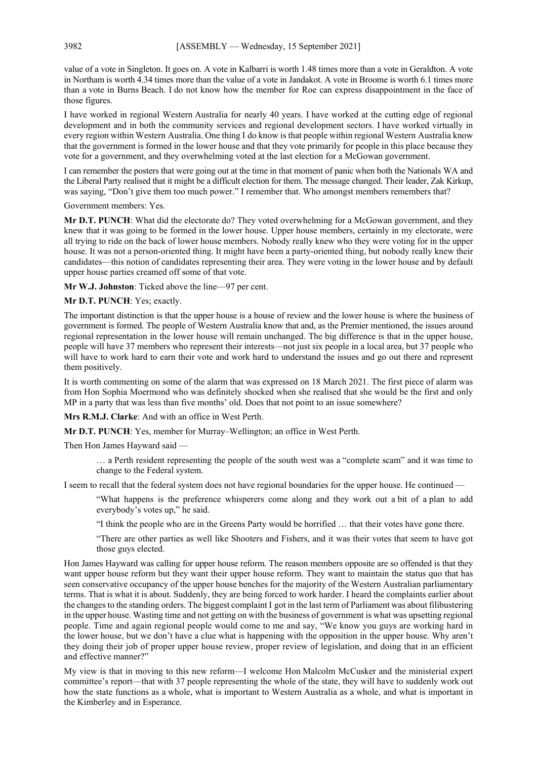value of a vote in Singleton. It goes on. A vote in Kalbarri is worth 1.48 times more than a vote in Geraldton. A vote in Northam is worth 4.34 times more than the value of a vote in Jandakot. A vote in Broome is worth 6.1 times more than a vote in Burns Beach. I do not know how the member for Roe can express disappointment in the face of those figures.

I have worked in regional Western Australia for nearly 40 years. I have worked at the cutting edge of regional development and in both the community services and regional development sectors. I have worked virtually in every region within Western Australia. One thing I do know is that people within regional Western Australia know that the government is formed in the lower house and that they vote primarily for people in this place because they vote for a government, and they overwhelming voted at the last election for a McGowan government.

I can remember the posters that were going out at the time in that moment of panic when both the Nationals WA and the Liberal Party realised that it might be a difficult election for them. The message changed. Their leader, Zak Kirkup, was saying, "Don't give them too much power." I remember that. Who amongst members remembers that?

Government members: Yes.

**Mr D.T. PUNCH**: What did the electorate do? They voted overwhelming for a McGowan government, and they knew that it was going to be formed in the lower house. Upper house members, certainly in my electorate, were all trying to ride on the back of lower house members. Nobody really knew who they were voting for in the upper house. It was not a person-oriented thing. It might have been a party-oriented thing, but nobody really knew their candidates—this notion of candidates representing their area. They were voting in the lower house and by default upper house parties creamed off some of that vote.

**Mr W.J. Johnston**: Ticked above the line—97 per cent.

**Mr D.T. PUNCH**: Yes; exactly.

The important distinction is that the upper house is a house of review and the lower house is where the business of government is formed. The people of Western Australia know that and, as the Premier mentioned, the issues around regional representation in the lower house will remain unchanged. The big difference is that in the upper house, people will have 37 members who represent their interests—not just six people in a local area, but 37 people who will have to work hard to earn their vote and work hard to understand the issues and go out there and represent them positively.

It is worth commenting on some of the alarm that was expressed on 18 March 2021. The first piece of alarm was from Hon Sophia Moermond who was definitely shocked when she realised that she would be the first and only MP in a party that was less than five months' old. Does that not point to an issue somewhere?

**Mrs R.M.J. Clarke**: And with an office in West Perth.

**Mr D.T. PUNCH**: Yes, member for Murray–Wellington; an office in West Perth.

Then Hon James Hayward said —

… a Perth resident representing the people of the south west was a "complete scam" and it was time to change to the Federal system.

I seem to recall that the federal system does not have regional boundaries for the upper house. He continued —

"What happens is the preference whisperers come along and they work out a bit of a plan to add everybody's votes up," he said.

"I think the people who are in the Greens Party would be horrified … that their votes have gone there.

"There are other parties as well like Shooters and Fishers, and it was their votes that seem to have got those guys elected.

Hon James Hayward was calling for upper house reform. The reason members opposite are so offended is that they want upper house reform but they want their upper house reform. They want to maintain the status quo that has seen conservative occupancy of the upper house benches for the majority of the Western Australian parliamentary terms. That is what it is about. Suddenly, they are being forced to work harder. I heard the complaints earlier about the changes to the standing orders. The biggest complaint I got in the last term of Parliament was about filibustering in the upper house. Wasting time and not getting on with the business of government is what was upsetting regional people. Time and again regional people would come to me and say, "We know you guys are working hard in the lower house, but we don't have a clue what is happening with the opposition in the upper house. Why aren't they doing their job of proper upper house review, proper review of legislation, and doing that in an efficient and effective manner?"

My view is that in moving to this new reform—I welcome Hon Malcolm McCusker and the ministerial expert committee's report—that with 37 people representing the whole of the state, they will have to suddenly work out how the state functions as a whole, what is important to Western Australia as a whole, and what is important in the Kimberley and in Esperance.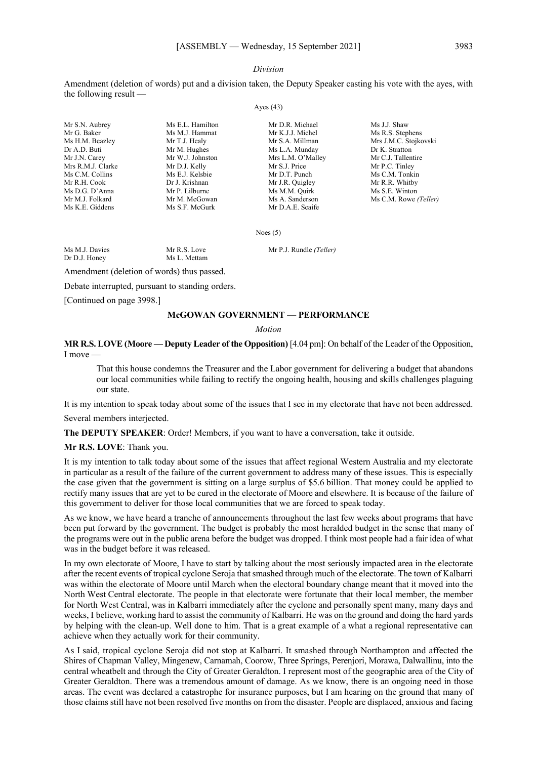### *Division*

Amendment (deletion of words) put and a division taken, the Deputy Speaker casting his vote with the ayes, with the following result —

#### Ayes (43)

Mr S.N. Aubrey Ms E.L. Hamilton Mr D.R. Michael Ms J.J. Shaw<br>Mr G. Baker Ms M.J. Hammat Mr K.J.J. Michel Ms R.S. Step Mr G. Baker Ms M.J. Hammat Mr K.J.J. Michel Ms R.S. Stephens Dr A.D. Buti Mr M. Hughes Mr M. Hughes Mr M. A. Munday Mr J.N. Carev Mr W.J. Johnston Mrs L.M. O'Malley Mrs R.M.J. Clarke Mr D.J. Kelly Mr S.J. Price Mr P.C. Tinley Ms C.M. Collins Ms E.J. Kelsbie Mr D.T. Punch Ms C.M. Tonkin<br>Mr R.H. Cook Dr J. Krishnan Mr J.R. Quigley Mr R.R. Whitby Mr R.H. Cook Dr J. Krishnan Mr J.R. Quigley Mr R.R. Whitby<br>
Ms D.G. D'Anna Mr P. Lilburne Ms M.M. Ouirk Ms S.E. Winton Ms M.M. Quirk Mr M.J. Folkard Mr M. McGowan Ms A. Sanderson Ms C.M. Rowe *(Teller)* Ms K.E. Giddens Ms S.F. McGurk Mr D.A.E. Scaife

Ms H.M. Beazley Mr T.J. Healy Mr S.A. Millman Mrs J.M.C. Stojkovski<br>
Dr A.D. Buti Mr M. Hughes Mr M. Hughes Ms L.A. Munday Dr K. Stratton Mr C.J. Tallentire

Noes (5)

Ms M.J. Davies Mr R.S. Love Mr P.J. Rundle *(Teller)*<br>Dr D.J. Honey Ms L. Mettam Ms L. Mettam

Amendment (deletion of words) thus passed.

Debate interrupted, pursuant to standing orders.

[Continued on page 3998.]

### **McGOWAN GOVERNMENT — PERFORMANCE**

### *Motion*

**MR R.S. LOVE (Moore — Deputy Leader of the Opposition)** [4.04 pm]: On behalf of the Leader of the Opposition, I move —

That this house condemns the Treasurer and the Labor government for delivering a budget that abandons our local communities while failing to rectify the ongoing health, housing and skills challenges plaguing our state.

It is my intention to speak today about some of the issues that I see in my electorate that have not been addressed.

Several members interjected.

**The DEPUTY SPEAKER**: Order! Members, if you want to have a conversation, take it outside.

### **Mr R.S. LOVE**: Thank you.

It is my intention to talk today about some of the issues that affect regional Western Australia and my electorate in particular as a result of the failure of the current government to address many of these issues. This is especially the case given that the government is sitting on a large surplus of \$5.6 billion. That money could be applied to rectify many issues that are yet to be cured in the electorate of Moore and elsewhere. It is because of the failure of this government to deliver for those local communities that we are forced to speak today.

As we know, we have heard a tranche of announcements throughout the last few weeks about programs that have been put forward by the government. The budget is probably the most heralded budget in the sense that many of the programs were out in the public arena before the budget was dropped. I think most people had a fair idea of what was in the budget before it was released.

In my own electorate of Moore, I have to start by talking about the most seriously impacted area in the electorate after the recent events of tropical cyclone Seroja that smashed through much of the electorate. The town of Kalbarri was within the electorate of Moore until March when the electoral boundary change meant that it moved into the North West Central electorate. The people in that electorate were fortunate that their local member, the member for North West Central, was in Kalbarri immediately after the cyclone and personally spent many, many days and weeks, I believe, working hard to assist the community of Kalbarri. He was on the ground and doing the hard yards by helping with the clean-up. Well done to him. That is a great example of a what a regional representative can achieve when they actually work for their community.

As I said, tropical cyclone Seroja did not stop at Kalbarri. It smashed through Northampton and affected the Shires of Chapman Valley, Mingenew, Carnamah, Coorow, Three Springs, Perenjori, Morawa, Dalwallinu, into the central wheatbelt and through the City of Greater Geraldton. I represent most of the geographic area of the City of Greater Geraldton. There was a tremendous amount of damage. As we know, there is an ongoing need in those areas. The event was declared a catastrophe for insurance purposes, but I am hearing on the ground that many of those claims still have not been resolved five months on from the disaster. People are displaced, anxious and facing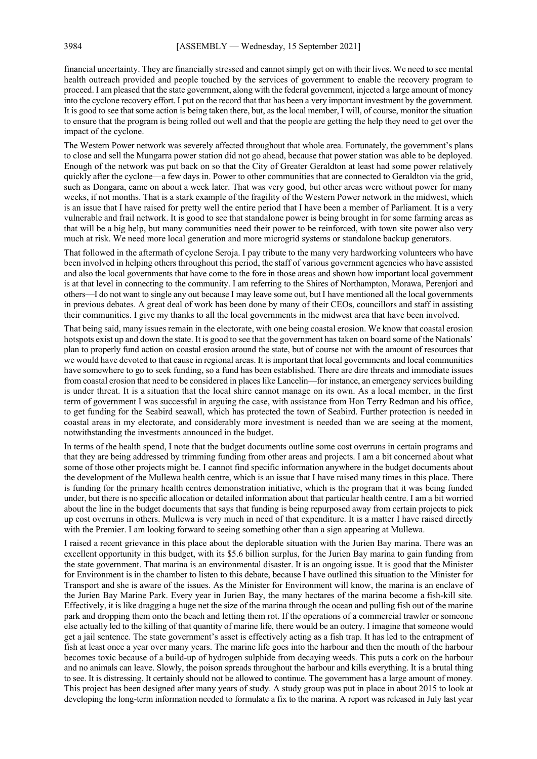financial uncertainty. They are financially stressed and cannot simply get on with their lives. We need to see mental health outreach provided and people touched by the services of government to enable the recovery program to proceed. I am pleased that the state government, along with the federal government, injected a large amount of money into the cyclone recovery effort. I put on the record that that has been a very important investment by the government. It is good to see that some action is being taken there, but, as the local member, I will, of course, monitor the situation to ensure that the program is being rolled out well and that the people are getting the help they need to get over the impact of the cyclone.

The Western Power network was severely affected throughout that whole area. Fortunately, the government's plans to close and sell the Mungarra power station did not go ahead, because that power station was able to be deployed. Enough of the network was put back on so that the City of Greater Geraldton at least had some power relatively quickly after the cyclone—a few days in. Power to other communities that are connected to Geraldton via the grid, such as Dongara, came on about a week later. That was very good, but other areas were without power for many weeks, if not months. That is a stark example of the fragility of the Western Power network in the midwest, which is an issue that I have raised for pretty well the entire period that I have been a member of Parliament. It is a very vulnerable and frail network. It is good to see that standalone power is being brought in for some farming areas as that will be a big help, but many communities need their power to be reinforced, with town site power also very much at risk. We need more local generation and more microgrid systems or standalone backup generators.

That followed in the aftermath of cyclone Seroja. I pay tribute to the many very hardworking volunteers who have been involved in helping others throughout this period, the staff of various government agencies who have assisted and also the local governments that have come to the fore in those areas and shown how important local government is at that level in connecting to the community. I am referring to the Shires of Northampton, Morawa, Perenjori and others—I do not want to single any out because I may leave some out, but I have mentioned all the local governments in previous debates. A great deal of work has been done by many of their CEOs, councillors and staff in assisting their communities. I give my thanks to all the local governments in the midwest area that have been involved.

That being said, many issues remain in the electorate, with one being coastal erosion. We know that coastal erosion hotspots exist up and down the state. It is good to see that the government has taken on board some of the Nationals' plan to properly fund action on coastal erosion around the state, but of course not with the amount of resources that we would have devoted to that cause in regional areas. It is important that local governments and local communities have somewhere to go to seek funding, so a fund has been established. There are dire threats and immediate issues from coastal erosion that need to be considered in places like Lancelin—for instance, an emergency services building is under threat. It is a situation that the local shire cannot manage on its own. As a local member, in the first term of government I was successful in arguing the case, with assistance from Hon Terry Redman and his office, to get funding for the Seabird seawall, which has protected the town of Seabird. Further protection is needed in coastal areas in my electorate, and considerably more investment is needed than we are seeing at the moment, notwithstanding the investments announced in the budget.

In terms of the health spend, I note that the budget documents outline some cost overruns in certain programs and that they are being addressed by trimming funding from other areas and projects. I am a bit concerned about what some of those other projects might be. I cannot find specific information anywhere in the budget documents about the development of the Mullewa health centre, which is an issue that I have raised many times in this place. There is funding for the primary health centres demonstration initiative, which is the program that it was being funded under, but there is no specific allocation or detailed information about that particular health centre. I am a bit worried about the line in the budget documents that says that funding is being repurposed away from certain projects to pick up cost overruns in others. Mullewa is very much in need of that expenditure. It is a matter I have raised directly with the Premier. I am looking forward to seeing something other than a sign appearing at Mullewa.

I raised a recent grievance in this place about the deplorable situation with the Jurien Bay marina. There was an excellent opportunity in this budget, with its \$5.6 billion surplus, for the Jurien Bay marina to gain funding from the state government. That marina is an environmental disaster. It is an ongoing issue. It is good that the Minister for Environment is in the chamber to listen to this debate, because I have outlined this situation to the Minister for Transport and she is aware of the issues. As the Minister for Environment will know, the marina is an enclave of the Jurien Bay Marine Park. Every year in Jurien Bay, the many hectares of the marina become a fish-kill site. Effectively, it is like dragging a huge net the size of the marina through the ocean and pulling fish out of the marine park and dropping them onto the beach and letting them rot. If the operations of a commercial trawler or someone else actually led to the killing of that quantity of marine life, there would be an outcry. I imagine that someone would get a jail sentence. The state government's asset is effectively acting as a fish trap. It has led to the entrapment of fish at least once a year over many years. The marine life goes into the harbour and then the mouth of the harbour becomes toxic because of a build-up of hydrogen sulphide from decaying weeds. This puts a cork on the harbour and no animals can leave. Slowly, the poison spreads throughout the harbour and kills everything. It is a brutal thing to see. It is distressing. It certainly should not be allowed to continue. The government has a large amount of money. This project has been designed after many years of study. A study group was put in place in about 2015 to look at developing the long-term information needed to formulate a fix to the marina. A report was released in July last year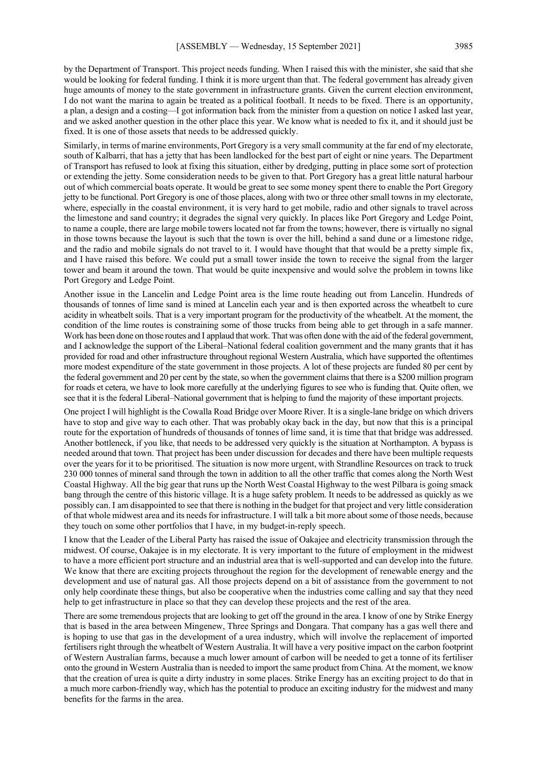by the Department of Transport. This project needs funding. When I raised this with the minister, she said that she would be looking for federal funding. I think it is more urgent than that. The federal government has already given huge amounts of money to the state government in infrastructure grants. Given the current election environment, I do not want the marina to again be treated as a political football. It needs to be fixed. There is an opportunity, a plan, a design and a costing—I got information back from the minister from a question on notice I asked last year, and we asked another question in the other place this year. We know what is needed to fix it, and it should just be fixed. It is one of those assets that needs to be addressed quickly.

Similarly, in terms of marine environments, Port Gregory is a very small community at the far end of my electorate, south of Kalbarri, that has a jetty that has been landlocked for the best part of eight or nine years. The Department of Transport has refused to look at fixing this situation, either by dredging, putting in place some sort of protection or extending the jetty. Some consideration needs to be given to that. Port Gregory has a great little natural harbour out of which commercial boats operate. It would be great to see some money spent there to enable the Port Gregory jetty to be functional. Port Gregory is one of those places, along with two or three other small towns in my electorate, where, especially in the coastal environment, it is very hard to get mobile, radio and other signals to travel across the limestone and sand country; it degrades the signal very quickly. In places like Port Gregory and Ledge Point, to name a couple, there are large mobile towers located not far from the towns; however, there is virtually no signal in those towns because the layout is such that the town is over the hill, behind a sand dune or a limestone ridge, and the radio and mobile signals do not travel to it. I would have thought that that would be a pretty simple fix, and I have raised this before. We could put a small tower inside the town to receive the signal from the larger tower and beam it around the town. That would be quite inexpensive and would solve the problem in towns like Port Gregory and Ledge Point.

Another issue in the Lancelin and Ledge Point area is the lime route heading out from Lancelin. Hundreds of thousands of tonnes of lime sand is mined at Lancelin each year and is then exported across the wheatbelt to cure acidity in wheatbelt soils. That is a very important program for the productivity of the wheatbelt. At the moment, the condition of the lime routes is constraining some of those trucks from being able to get through in a safe manner. Work has been done on those routes and I applaud that work. That was often done with the aid of the federal government, and I acknowledge the support of the Liberal–National federal coalition government and the many grants that it has provided for road and other infrastructure throughout regional Western Australia, which have supported the oftentimes more modest expenditure of the state government in those projects. A lot of these projects are funded 80 per cent by the federal government and 20 per cent by the state, so when the government claims that there is a \$200 million program for roads et cetera, we have to look more carefully at the underlying figures to see who is funding that. Quite often, we see that it is the federal Liberal–National government that is helping to fund the majority of these important projects.

One project I will highlight is the Cowalla Road Bridge over Moore River. It is a single-lane bridge on which drivers have to stop and give way to each other. That was probably okay back in the day, but now that this is a principal route for the exportation of hundreds of thousands of tonnes of lime sand, it is time that that bridge was addressed. Another bottleneck, if you like, that needs to be addressed very quickly is the situation at Northampton. A bypass is needed around that town. That project has been under discussion for decades and there have been multiple requests over the years for it to be prioritised. The situation is now more urgent, with Strandline Resources on track to truck 230 000 tonnes of mineral sand through the town in addition to all the other traffic that comes along the North West Coastal Highway. All the big gear that runs up the North West Coastal Highway to the west Pilbara is going smack bang through the centre of this historic village. It is a huge safety problem. It needs to be addressed as quickly as we possibly can. I am disappointed to see that there is nothing in the budget for that project and very little consideration of that whole midwest area and its needs for infrastructure. I will talk a bit more about some of those needs, because they touch on some other portfolios that I have, in my budget-in-reply speech.

I know that the Leader of the Liberal Party has raised the issue of Oakajee and electricity transmission through the midwest. Of course, Oakajee is in my electorate. It is very important to the future of employment in the midwest to have a more efficient port structure and an industrial area that is well-supported and can develop into the future. We know that there are exciting projects throughout the region for the development of renewable energy and the development and use of natural gas. All those projects depend on a bit of assistance from the government to not only help coordinate these things, but also be cooperative when the industries come calling and say that they need help to get infrastructure in place so that they can develop these projects and the rest of the area.

There are some tremendous projects that are looking to get off the ground in the area. I know of one by Strike Energy that is based in the area between Mingenew, Three Springs and Dongara. That company has a gas well there and is hoping to use that gas in the development of a urea industry, which will involve the replacement of imported fertilisers right through the wheatbelt of Western Australia. It will have a very positive impact on the carbon footprint of Western Australian farms, because a much lower amount of carbon will be needed to get a tonne of its fertiliser onto the ground in Western Australia than is needed to import the same product from China. At the moment, we know that the creation of urea is quite a dirty industry in some places. Strike Energy has an exciting project to do that in a much more carbon-friendly way, which has the potential to produce an exciting industry for the midwest and many benefits for the farms in the area.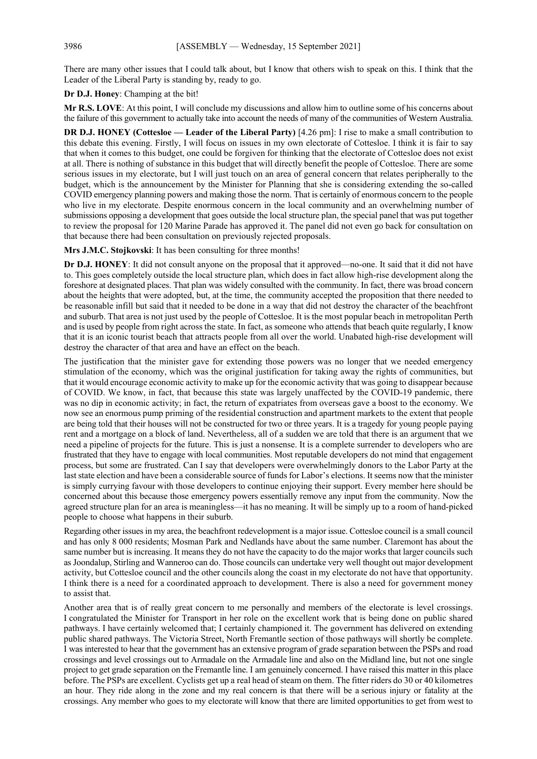There are many other issues that I could talk about, but I know that others wish to speak on this. I think that the Leader of the Liberal Party is standing by, ready to go.

**Dr D.J. Honey**: Champing at the bit!

**Mr R.S. LOVE**: At this point, I will conclude my discussions and allow him to outline some of his concerns about the failure of this government to actually take into account the needs of many of the communities of Western Australia.

**DR D.J. HONEY (Cottesloe — Leader of the Liberal Party)** [4.26 pm]: I rise to make a small contribution to this debate this evening. Firstly, I will focus on issues in my own electorate of Cottesloe. I think it is fair to say that when it comes to this budget, one could be forgiven for thinking that the electorate of Cottesloe does not exist at all. There is nothing of substance in this budget that will directly benefit the people of Cottesloe. There are some serious issues in my electorate, but I will just touch on an area of general concern that relates peripherally to the budget, which is the announcement by the Minister for Planning that she is considering extending the so-called COVID emergency planning powers and making those the norm. That is certainly of enormous concern to the people who live in my electorate. Despite enormous concern in the local community and an overwhelming number of submissions opposing a development that goes outside the local structure plan, the special panel that was put together to review the proposal for 120 Marine Parade has approved it. The panel did not even go back for consultation on that because there had been consultation on previously rejected proposals.

**Mrs J.M.C. Stojkovski**: It has been consulting for three months!

**Dr D.J. HONEY**: It did not consult anyone on the proposal that it approved—no-one. It said that it did not have to. This goes completely outside the local structure plan, which does in fact allow high-rise development along the foreshore at designated places. That plan was widely consulted with the community. In fact, there was broad concern about the heights that were adopted, but, at the time, the community accepted the proposition that there needed to be reasonable infill but said that it needed to be done in a way that did not destroy the character of the beachfront and suburb. That area is not just used by the people of Cottesloe. It is the most popular beach in metropolitan Perth and is used by people from right across the state. In fact, as someone who attends that beach quite regularly, I know that it is an iconic tourist beach that attracts people from all over the world. Unabated high-rise development will destroy the character of that area and have an effect on the beach.

The justification that the minister gave for extending those powers was no longer that we needed emergency stimulation of the economy, which was the original justification for taking away the rights of communities, but that it would encourage economic activity to make up for the economic activity that was going to disappear because of COVID. We know, in fact, that because this state was largely unaffected by the COVID-19 pandemic, there was no dip in economic activity; in fact, the return of expatriates from overseas gave a boost to the economy. We now see an enormous pump priming of the residential construction and apartment markets to the extent that people are being told that their houses will not be constructed for two or three years. It is a tragedy for young people paying rent and a mortgage on a block of land. Nevertheless, all of a sudden we are told that there is an argument that we need a pipeline of projects for the future. This is just a nonsense. It is a complete surrender to developers who are frustrated that they have to engage with local communities. Most reputable developers do not mind that engagement process, but some are frustrated. Can I say that developers were overwhelmingly donors to the Labor Party at the last state election and have been a considerable source of funds for Labor's elections. It seems now that the minister is simply currying favour with those developers to continue enjoying their support. Every member here should be concerned about this because those emergency powers essentially remove any input from the community. Now the agreed structure plan for an area is meaningless—it has no meaning. It will be simply up to a room of hand-picked people to choose what happens in their suburb.

Regarding other issues in my area, the beachfront redevelopment is a major issue. Cottesloe council is a small council and has only 8 000 residents; Mosman Park and Nedlands have about the same number. Claremont has about the same number but is increasing. It means they do not have the capacity to do the major works that larger councils such as Joondalup, Stirling and Wanneroo can do. Those councils can undertake very well thought out major development activity, but Cottesloe council and the other councils along the coast in my electorate do not have that opportunity. I think there is a need for a coordinated approach to development. There is also a need for government money to assist that.

Another area that is of really great concern to me personally and members of the electorate is level crossings. I congratulated the Minister for Transport in her role on the excellent work that is being done on public shared pathways. I have certainly welcomed that; I certainly championed it. The government has delivered on extending public shared pathways. The Victoria Street, North Fremantle section of those pathways will shortly be complete. I was interested to hear that the government has an extensive program of grade separation between the PSPs and road crossings and level crossings out to Armadale on the Armadale line and also on the Midland line, but not one single project to get grade separation on the Fremantle line. I am genuinely concerned. I have raised this matter in this place before. The PSPs are excellent. Cyclists get up a real head of steam on them. The fitter riders do 30 or 40 kilometres an hour. They ride along in the zone and my real concern is that there will be a serious injury or fatality at the crossings. Any member who goes to my electorate will know that there are limited opportunities to get from west to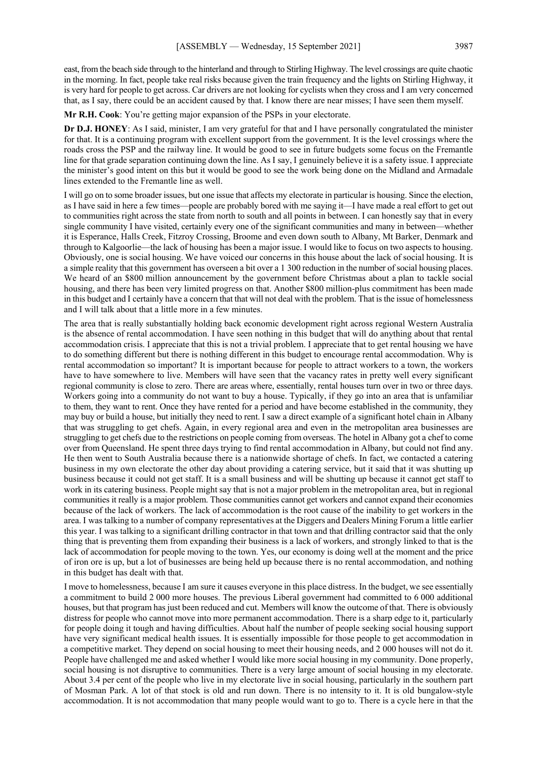east, from the beach side through to the hinterland and through to Stirling Highway. The level crossings are quite chaotic in the morning. In fact, people take real risks because given the train frequency and the lights on Stirling Highway, it is very hard for people to get across. Car drivers are not looking for cyclists when they cross and I am very concerned that, as I say, there could be an accident caused by that. I know there are near misses; I have seen them myself.

**Mr R.H. Cook**: You're getting major expansion of the PSPs in your electorate.

**Dr D.J. HONEY**: As I said, minister, I am very grateful for that and I have personally congratulated the minister for that. It is a continuing program with excellent support from the government. It is the level crossings where the roads cross the PSP and the railway line. It would be good to see in future budgets some focus on the Fremantle line for that grade separation continuing down the line. As I say, I genuinely believe it is a safety issue. I appreciate the minister's good intent on this but it would be good to see the work being done on the Midland and Armadale lines extended to the Fremantle line as well.

I will go on to some broader issues, but one issue that affects my electorate in particular is housing. Since the election, as I have said in here a few times—people are probably bored with me saying it—I have made a real effort to get out to communities right across the state from north to south and all points in between. I can honestly say that in every single community I have visited, certainly every one of the significant communities and many in between—whether it is Esperance, Halls Creek, Fitzroy Crossing, Broome and even down south to Albany, Mt Barker, Denmark and through to Kalgoorlie—the lack of housing has been a major issue. I would like to focus on two aspects to housing. Obviously, one is social housing. We have voiced our concerns in this house about the lack of social housing. It is a simple reality that this government has overseen a bit over a 1 300 reduction in the number of social housing places. We heard of an \$800 million announcement by the government before Christmas about a plan to tackle social housing, and there has been very limited progress on that. Another \$800 million-plus commitment has been made in this budget and I certainly have a concern that that will not deal with the problem. That is the issue of homelessness and I will talk about that a little more in a few minutes.

The area that is really substantially holding back economic development right across regional Western Australia is the absence of rental accommodation. I have seen nothing in this budget that will do anything about that rental accommodation crisis. I appreciate that this is not a trivial problem. I appreciate that to get rental housing we have to do something different but there is nothing different in this budget to encourage rental accommodation. Why is rental accommodation so important? It is important because for people to attract workers to a town, the workers have to have somewhere to live. Members will have seen that the vacancy rates in pretty well every significant regional community is close to zero. There are areas where, essentially, rental houses turn over in two or three days. Workers going into a community do not want to buy a house. Typically, if they go into an area that is unfamiliar to them, they want to rent. Once they have rented for a period and have become established in the community, they may buy or build a house, but initially they need to rent. I saw a direct example of a significant hotel chain in Albany that was struggling to get chefs. Again, in every regional area and even in the metropolitan area businesses are struggling to get chefs due to the restrictions on people coming from overseas. The hotel in Albany got a chef to come over from Queensland. He spent three days trying to find rental accommodation in Albany, but could not find any. He then went to South Australia because there is a nationwide shortage of chefs. In fact, we contacted a catering business in my own electorate the other day about providing a catering service, but it said that it was shutting up business because it could not get staff. It is a small business and will be shutting up because it cannot get staff to work in its catering business. People might say that is not a major problem in the metropolitan area, but in regional communities it really is a major problem. Those communities cannot get workers and cannot expand their economies because of the lack of workers. The lack of accommodation is the root cause of the inability to get workers in the area. I was talking to a number of company representatives at the Diggers and Dealers Mining Forum a little earlier this year. I was talking to a significant drilling contractor in that town and that drilling contractor said that the only thing that is preventing them from expanding their business is a lack of workers, and strongly linked to that is the lack of accommodation for people moving to the town. Yes, our economy is doing well at the moment and the price of iron ore is up, but a lot of businesses are being held up because there is no rental accommodation, and nothing in this budget has dealt with that.

I move to homelessness, because I am sure it causes everyone in this place distress. In the budget, we see essentially a commitment to build 2 000 more houses. The previous Liberal government had committed to 6 000 additional houses, but that program has just been reduced and cut. Members will know the outcome of that. There is obviously distress for people who cannot move into more permanent accommodation. There is a sharp edge to it, particularly for people doing it tough and having difficulties. About half the number of people seeking social housing support have very significant medical health issues. It is essentially impossible for those people to get accommodation in a competitive market. They depend on social housing to meet their housing needs, and 2 000 houses will not do it. People have challenged me and asked whether I would like more social housing in my community. Done properly, social housing is not disruptive to communities. There is a very large amount of social housing in my electorate. About 3.4 per cent of the people who live in my electorate live in social housing, particularly in the southern part of Mosman Park. A lot of that stock is old and run down. There is no intensity to it. It is old bungalow-style accommodation. It is not accommodation that many people would want to go to. There is a cycle here in that the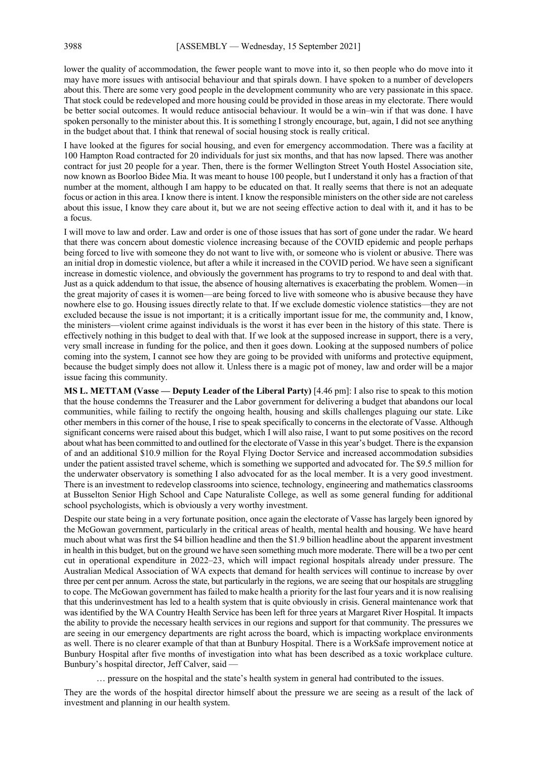lower the quality of accommodation, the fewer people want to move into it, so then people who do move into it may have more issues with antisocial behaviour and that spirals down. I have spoken to a number of developers about this. There are some very good people in the development community who are very passionate in this space. That stock could be redeveloped and more housing could be provided in those areas in my electorate. There would be better social outcomes. It would reduce antisocial behaviour. It would be a win–win if that was done. I have spoken personally to the minister about this. It is something I strongly encourage, but, again, I did not see anything in the budget about that. I think that renewal of social housing stock is really critical.

I have looked at the figures for social housing, and even for emergency accommodation. There was a facility at 100 Hampton Road contracted for 20 individuals for just six months, and that has now lapsed. There was another contract for just 20 people for a year. Then, there is the former Wellington Street Youth Hostel Association site, now known as Boorloo Bidee Mia. It was meant to house 100 people, but I understand it only has a fraction of that number at the moment, although I am happy to be educated on that. It really seems that there is not an adequate focus or action in this area. I know there is intent. I know the responsible ministers on the other side are not careless about this issue, I know they care about it, but we are not seeing effective action to deal with it, and it has to be a focus.

I will move to law and order. Law and order is one of those issues that has sort of gone under the radar. We heard that there was concern about domestic violence increasing because of the COVID epidemic and people perhaps being forced to live with someone they do not want to live with, or someone who is violent or abusive. There was an initial drop in domestic violence, but after a while it increased in the COVID period. We have seen a significant increase in domestic violence, and obviously the government has programs to try to respond to and deal with that. Just as a quick addendum to that issue, the absence of housing alternatives is exacerbating the problem. Women—in the great majority of cases it is women—are being forced to live with someone who is abusive because they have nowhere else to go. Housing issues directly relate to that. If we exclude domestic violence statistics—they are not excluded because the issue is not important; it is a critically important issue for me, the community and, I know, the ministers—violent crime against individuals is the worst it has ever been in the history of this state. There is effectively nothing in this budget to deal with that. If we look at the supposed increase in support, there is a very, very small increase in funding for the police, and then it goes down. Looking at the supposed numbers of police coming into the system, I cannot see how they are going to be provided with uniforms and protective equipment, because the budget simply does not allow it. Unless there is a magic pot of money, law and order will be a major issue facing this community.

**MS L. METTAM (Vasse — Deputy Leader of the Liberal Party)** [4.46 pm]: I also rise to speak to this motion that the house condemns the Treasurer and the Labor government for delivering a budget that abandons our local communities, while failing to rectify the ongoing health, housing and skills challenges plaguing our state. Like other members in this corner of the house, I rise to speak specifically to concerns in the electorate of Vasse. Although significant concerns were raised about this budget, which I will also raise, I want to put some positives on the record about what has been committed to and outlined for the electorate of Vasse in this year's budget. There is the expansion of and an additional \$10.9 million for the Royal Flying Doctor Service and increased accommodation subsidies under the patient assisted travel scheme, which is something we supported and advocated for. The \$9.5 million for the underwater observatory is something I also advocated for as the local member. It is a very good investment. There is an investment to redevelop classrooms into science, technology, engineering and mathematics classrooms at Busselton Senior High School and Cape Naturaliste College, as well as some general funding for additional school psychologists, which is obviously a very worthy investment.

Despite our state being in a very fortunate position, once again the electorate of Vasse has largely been ignored by the McGowan government, particularly in the critical areas of health, mental health and housing. We have heard much about what was first the \$4 billion headline and then the \$1.9 billion headline about the apparent investment in health in this budget, but on the ground we have seen something much more moderate. There will be a two per cent cut in operational expenditure in 2022–23, which will impact regional hospitals already under pressure. The Australian Medical Association of WA expects that demand for health services will continue to increase by over three per cent per annum. Across the state, but particularly in the regions, we are seeing that our hospitals are struggling to cope. The McGowan government has failed to make health a priority for the last four years and it is now realising that this underinvestment has led to a health system that is quite obviously in crisis. General maintenance work that was identified by the WA Country Health Service has been left for three years at Margaret River Hospital. It impacts the ability to provide the necessary health services in our regions and support for that community. The pressures we are seeing in our emergency departments are right across the board, which is impacting workplace environments as well. There is no clearer example of that than at Bunbury Hospital. There is a WorkSafe improvement notice at Bunbury Hospital after five months of investigation into what has been described as a toxic workplace culture. Bunbury's hospital director, Jeff Calver, said —

… pressure on the hospital and the state's health system in general had contributed to the issues.

They are the words of the hospital director himself about the pressure we are seeing as a result of the lack of investment and planning in our health system.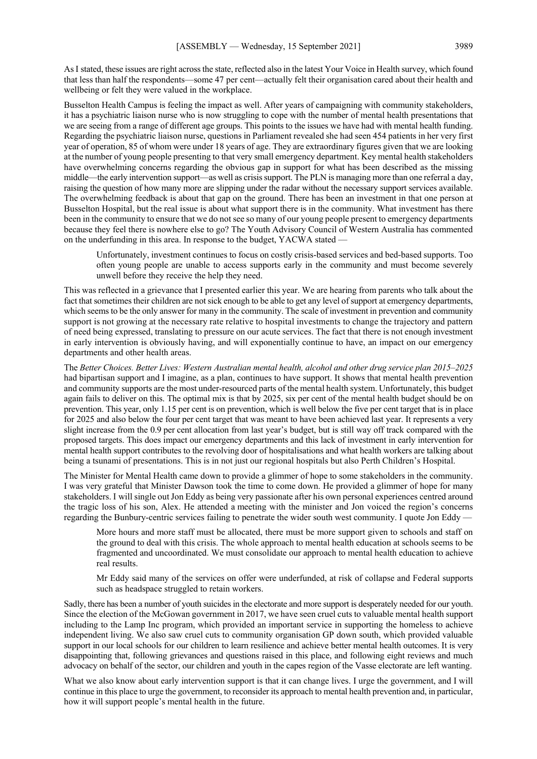AsI stated, these issues are right across the state, reflected also in the latest Your Voice in Health survey, which found that less than half the respondents—some 47 per cent—actually felt their organisation cared about their health and wellbeing or felt they were valued in the workplace.

Busselton Health Campus is feeling the impact as well. After years of campaigning with community stakeholders, it has a psychiatric liaison nurse who is now struggling to cope with the number of mental health presentations that we are seeing from a range of different age groups. This points to the issues we have had with mental health funding. Regarding the psychiatric liaison nurse, questions in Parliament revealed she had seen 454 patients in her very first year of operation, 85 of whom were under 18 years of age. They are extraordinary figures given that we are looking at the number of young people presenting to that very small emergency department. Key mental health stakeholders have overwhelming concerns regarding the obvious gap in support for what has been described as the missing middle—the early intervention support—as well as crisis support. The PLN is managing more than one referral a day, raising the question of how many more are slipping under the radar without the necessary support services available. The overwhelming feedback is about that gap on the ground. There has been an investment in that one person at Busselton Hospital, but the real issue is about what support there is in the community. What investment has there been in the community to ensure that we do not see so many of our young people present to emergency departments because they feel there is nowhere else to go? The Youth Advisory Council of Western Australia has commented on the underfunding in this area. In response to the budget, YACWA stated —

Unfortunately, investment continues to focus on costly crisis-based services and bed-based supports. Too often young people are unable to access supports early in the community and must become severely unwell before they receive the help they need.

This was reflected in a grievance that I presented earlier this year. We are hearing from parents who talk about the fact that sometimes their children are not sick enough to be able to get any level of support at emergency departments, which seems to be the only answer for many in the community. The scale of investment in prevention and community support is not growing at the necessary rate relative to hospital investments to change the trajectory and pattern of need being expressed, translating to pressure on our acute services. The fact that there is not enough investment in early intervention is obviously having, and will exponentially continue to have, an impact on our emergency departments and other health areas.

The *Better Choices. Better Lives: Western Australian mental health, alcohol and other drug service plan 2015–2025* had bipartisan support and I imagine, as a plan, continues to have support. It shows that mental health prevention and community supports are the most under-resourced parts of the mental health system. Unfortunately, this budget again fails to deliver on this. The optimal mix is that by 2025, six per cent of the mental health budget should be on prevention. This year, only 1.15 per cent is on prevention, which is well below the five per cent target that is in place for 2025 and also below the four per cent target that was meant to have been achieved last year. It represents a very slight increase from the 0.9 per cent allocation from last year's budget, but is still way off track compared with the proposed targets. This does impact our emergency departments and this lack of investment in early intervention for mental health support contributes to the revolving door of hospitalisations and what health workers are talking about being a tsunami of presentations. This is in not just our regional hospitals but also Perth Children's Hospital.

The Minister for Mental Health came down to provide a glimmer of hope to some stakeholders in the community. I was very grateful that Minister Dawson took the time to come down. He provided a glimmer of hope for many stakeholders. I will single out Jon Eddy as being very passionate after his own personal experiences centred around the tragic loss of his son, Alex. He attended a meeting with the minister and Jon voiced the region's concerns regarding the Bunbury-centric services failing to penetrate the wider south west community. I quote Jon Eddy -

More hours and more staff must be allocated, there must be more support given to schools and staff on the ground to deal with this crisis. The whole approach to mental health education at schools seems to be fragmented and uncoordinated. We must consolidate our approach to mental health education to achieve real results.

Mr Eddy said many of the services on offer were underfunded, at risk of collapse and Federal supports such as headspace struggled to retain workers.

Sadly, there has been a number of youth suicides in the electorate and more support is desperately needed for our youth. Since the election of the McGowan government in 2017, we have seen cruel cuts to valuable mental health support including to the Lamp Inc program, which provided an important service in supporting the homeless to achieve independent living. We also saw cruel cuts to community organisation GP down south, which provided valuable support in our local schools for our children to learn resilience and achieve better mental health outcomes. It is very disappointing that, following grievances and questions raised in this place, and following eight reviews and much advocacy on behalf of the sector, our children and youth in the capes region of the Vasse electorate are left wanting.

What we also know about early intervention support is that it can change lives. I urge the government, and I will continue in this place to urge the government, to reconsider its approach to mental health prevention and, in particular, how it will support people's mental health in the future.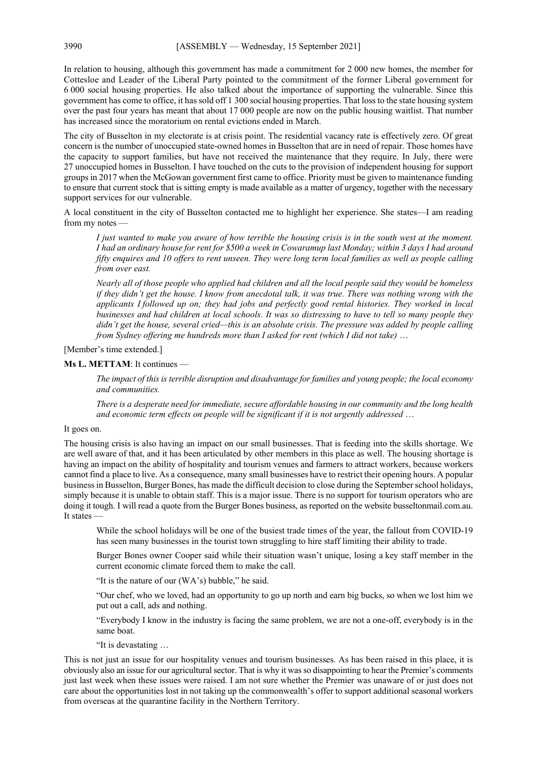In relation to housing, although this government has made a commitment for 2 000 new homes, the member for Cottesloe and Leader of the Liberal Party pointed to the commitment of the former Liberal government for 6 000 social housing properties. He also talked about the importance of supporting the vulnerable. Since this government has come to office, it has sold off 1 300 social housing properties. That loss to the state housing system over the past four years has meant that about 17 000 people are now on the public housing waitlist. That number has increased since the moratorium on rental evictions ended in March.

The city of Busselton in my electorate is at crisis point. The residential vacancy rate is effectively zero. Of great concern is the number of unoccupied state-owned homes in Busselton that are in need of repair. Those homes have the capacity to support families, but have not received the maintenance that they require. In July, there were 27 unoccupied homes in Busselton. I have touched on the cuts to the provision of independent housing for support groups in 2017 when the McGowan government first came to office. Priority must be given to maintenance funding to ensure that current stock that is sitting empty is made available as a matter of urgency, together with the necessary support services for our vulnerable.

A local constituent in the city of Busselton contacted me to highlight her experience. She states—I am reading from my notes —

*I just wanted to make you aware of how terrible the housing crisis is in the south west at the moment. I had an ordinary house for rent for \$500 a week in Cowaramup last Monday; within 3 days I had around fifty enquires and 10 offers to rent unseen. They were long term local families as well as people calling from over east.*

*Nearly all of those people who applied had children and all the local people said they would be homeless if they didn't get the house. I know from anecdotal talk, it was true. There was nothing wrong with the applicants I followed up on; they had jobs and perfectly good rental histories. They worked in local businesses and had children at local schools. It was so distressing to have to tell so many people they didn't get the house, several cried—this is an absolute crisis. The pressure was added by people calling from Sydney offering me hundreds more than I asked for rent (which I did not take)* …

[Member's time extended.]

### **Ms L. METTAM**: It continues —

*The impact of this is terrible disruption and disadvantage for families and young people; the local economy and communities.*

*There is a desperate need for immediate, secure affordable housing in our community and the long health and economic term effects on people will be significant if it is not urgently addressed* …

# It goes on.

The housing crisis is also having an impact on our small businesses. That is feeding into the skills shortage. We are well aware of that, and it has been articulated by other members in this place as well. The housing shortage is having an impact on the ability of hospitality and tourism venues and farmers to attract workers, because workers cannot find a place to live. As a consequence, many small businesses have to restrict their opening hours. A popular business in Busselton, Burger Bones, has made the difficult decision to close during the September school holidays, simply because it is unable to obtain staff. This is a major issue. There is no support for tourism operators who are doing it tough. I will read a quote from the Burger Bones business, as reported on the website busseltonmail.com.au. It states -

While the school holidays will be one of the busiest trade times of the year, the fallout from COVID-19 has seen many businesses in the tourist town struggling to hire staff limiting their ability to trade.

Burger Bones owner Cooper said while their situation wasn't unique, losing a key staff member in the current economic climate forced them to make the call.

"It is the nature of our (WA's) bubble," he said.

"Our chef, who we loved, had an opportunity to go up north and earn big bucks, so when we lost him we put out a call, ads and nothing.

"Everybody I know in the industry is facing the same problem, we are not a one-off, everybody is in the same boat.

"It is devastating …

This is not just an issue for our hospitality venues and tourism businesses. As has been raised in this place, it is obviously also an issue for our agricultural sector. That is why it was so disappointing to hear the Premier's comments just last week when these issues were raised. I am not sure whether the Premier was unaware of or just does not care about the opportunities lost in not taking up the commonwealth's offer to support additional seasonal workers from overseas at the quarantine facility in the Northern Territory.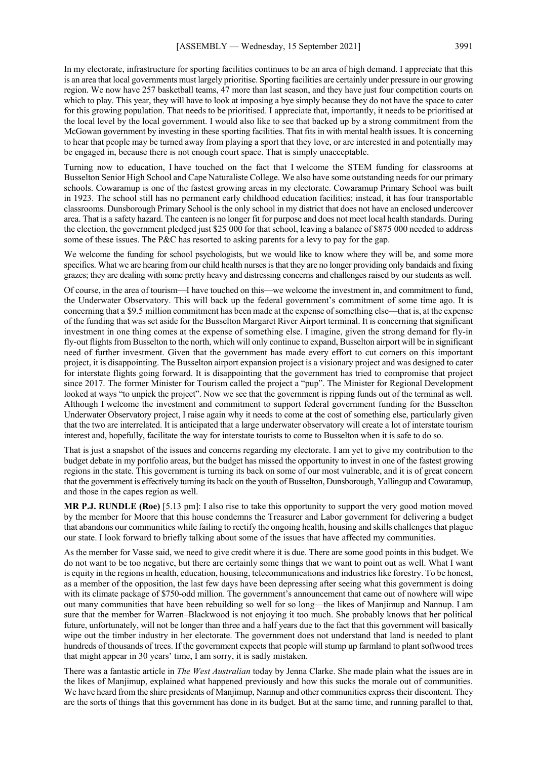In my electorate, infrastructure for sporting facilities continues to be an area of high demand. I appreciate that this is an area that local governments must largely prioritise. Sporting facilities are certainly under pressure in our growing region. We now have 257 basketball teams, 47 more than last season, and they have just four competition courts on which to play. This year, they will have to look at imposing a bye simply because they do not have the space to cater for this growing population. That needs to be prioritised. I appreciate that, importantly, it needs to be prioritised at the local level by the local government. I would also like to see that backed up by a strong commitment from the McGowan government by investing in these sporting facilities. That fits in with mental health issues. It is concerning to hear that people may be turned away from playing a sport that they love, or are interested in and potentially may be engaged in, because there is not enough court space. That is simply unacceptable.

Turning now to education, I have touched on the fact that I welcome the STEM funding for classrooms at Busselton Senior High School and Cape Naturaliste College. We also have some outstanding needs for our primary schools. Cowaramup is one of the fastest growing areas in my electorate. Cowaramup Primary School was built in 1923. The school still has no permanent early childhood education facilities; instead, it has four transportable classrooms. Dunsborough Primary School is the only school in my district that does not have an enclosed undercover area. That is a safety hazard. The canteen is no longer fit for purpose and does not meet local health standards. During the election, the government pledged just \$25 000 for that school, leaving a balance of \$875 000 needed to address some of these issues. The P&C has resorted to asking parents for a levy to pay for the gap.

We welcome the funding for school psychologists, but we would like to know where they will be, and some more specifics. What we are hearing from our child health nurses is that they are no longer providing only bandaids and fixing grazes; they are dealing with some pretty heavy and distressing concerns and challenges raised by our students as well.

Of course, in the area of tourism—I have touched on this—we welcome the investment in, and commitment to fund, the Underwater Observatory. This will back up the federal government's commitment of some time ago. It is concerning that a \$9.5 million commitment has been made at the expense of something else—that is, at the expense of the funding that was set aside for the Busselton Margaret River Airport terminal. It is concerning that significant investment in one thing comes at the expense of something else. I imagine, given the strong demand for fly-in fly-out flights from Busselton to the north, which will only continue to expand, Busselton airport will be in significant need of further investment. Given that the government has made every effort to cut corners on this important project, it is disappointing. The Busselton airport expansion project is a visionary project and was designed to cater for interstate flights going forward. It is disappointing that the government has tried to compromise that project since 2017. The former Minister for Tourism called the project a "pup". The Minister for Regional Development looked at ways "to unpick the project". Now we see that the government is ripping funds out of the terminal as well. Although I welcome the investment and commitment to support federal government funding for the Busselton Underwater Observatory project, I raise again why it needs to come at the cost of something else, particularly given that the two are interrelated. It is anticipated that a large underwater observatory will create a lot of interstate tourism interest and, hopefully, facilitate the way for interstate tourists to come to Busselton when it is safe to do so.

That is just a snapshot of the issues and concerns regarding my electorate. I am yet to give my contribution to the budget debate in my portfolio areas, but the budget has missed the opportunity to invest in one of the fastest growing regions in the state. This government is turning its back on some of our most vulnerable, and it is of great concern that the government is effectively turning its back on the youth of Busselton, Dunsborough, Yallingup and Cowaramup, and those in the capes region as well.

**MR P.J. RUNDLE (Roe)** [5.13 pm]: I also rise to take this opportunity to support the very good motion moved by the member for Moore that this house condemns the Treasurer and Labor government for delivering a budget that abandons our communities while failing to rectify the ongoing health, housing and skills challenges that plague our state. I look forward to briefly talking about some of the issues that have affected my communities.

As the member for Vasse said, we need to give credit where it is due. There are some good points in this budget. We do not want to be too negative, but there are certainly some things that we want to point out as well. What I want is equity in the regions in health, education, housing, telecommunications and industries like forestry. To be honest, as a member of the opposition, the last few days have been depressing after seeing what this government is doing with its climate package of \$750-odd million. The government's announcement that came out of nowhere will wipe out many communities that have been rebuilding so well for so long—the likes of Manjimup and Nannup. I am sure that the member for Warren–Blackwood is not enjoying it too much. She probably knows that her political future, unfortunately, will not be longer than three and a half years due to the fact that this government will basically wipe out the timber industry in her electorate. The government does not understand that land is needed to plant hundreds of thousands of trees. If the government expects that people will stump up farmland to plant softwood trees that might appear in 30 years' time, I am sorry, it is sadly mistaken.

There was a fantastic article in *The West Australian* today by Jenna Clarke. She made plain what the issues are in the likes of Manjimup, explained what happened previously and how this sucks the morale out of communities. We have heard from the shire presidents of Manjimup, Nannup and other communities express their discontent. They are the sorts of things that this government has done in its budget. But at the same time, and running parallel to that,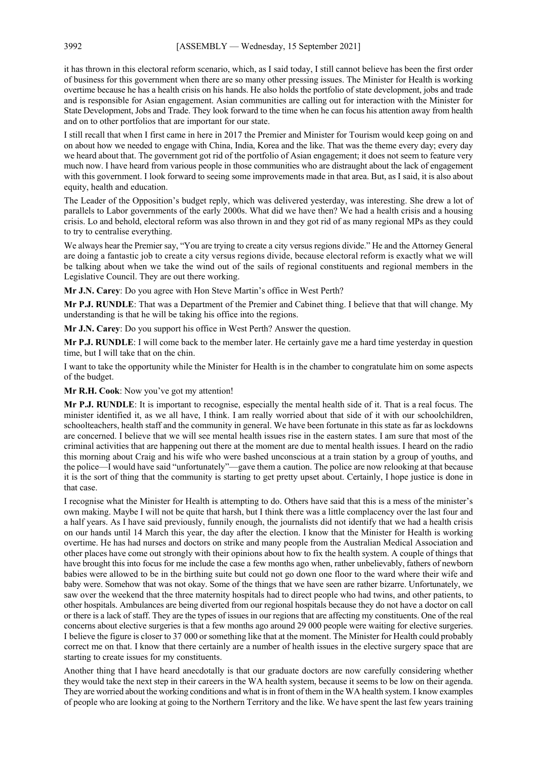it has thrown in this electoral reform scenario, which, as I said today, I still cannot believe has been the first order of business for this government when there are so many other pressing issues. The Minister for Health is working overtime because he has a health crisis on his hands. He also holds the portfolio of state development, jobs and trade and is responsible for Asian engagement. Asian communities are calling out for interaction with the Minister for State Development, Jobs and Trade. They look forward to the time when he can focus his attention away from health and on to other portfolios that are important for our state.

I still recall that when I first came in here in 2017 the Premier and Minister for Tourism would keep going on and on about how we needed to engage with China, India, Korea and the like. That was the theme every day; every day we heard about that. The government got rid of the portfolio of Asian engagement; it does not seem to feature very much now. I have heard from various people in those communities who are distraught about the lack of engagement with this government. I look forward to seeing some improvements made in that area. But, as I said, it is also about equity, health and education.

The Leader of the Opposition's budget reply, which was delivered yesterday, was interesting. She drew a lot of parallels to Labor governments of the early 2000s. What did we have then? We had a health crisis and a housing crisis. Lo and behold, electoral reform was also thrown in and they got rid of as many regional MPs as they could to try to centralise everything.

We always hear the Premier say, "You are trying to create a city versus regions divide." He and the Attorney General are doing a fantastic job to create a city versus regions divide, because electoral reform is exactly what we will be talking about when we take the wind out of the sails of regional constituents and regional members in the Legislative Council. They are out there working.

**Mr J.N. Carey**: Do you agree with Hon Steve Martin's office in West Perth?

**Mr P.J. RUNDLE**: That was a Department of the Premier and Cabinet thing. I believe that that will change. My understanding is that he will be taking his office into the regions.

**Mr J.N. Carey**: Do you support his office in West Perth? Answer the question.

**Mr P.J. RUNDLE**: I will come back to the member later. He certainly gave me a hard time yesterday in question time, but I will take that on the chin.

I want to take the opportunity while the Minister for Health is in the chamber to congratulate him on some aspects of the budget.

**Mr R.H. Cook**: Now you've got my attention!

**Mr P.J. RUNDLE**: It is important to recognise, especially the mental health side of it. That is a real focus. The minister identified it, as we all have, I think. I am really worried about that side of it with our schoolchildren, schoolteachers, health staff and the community in general. We have been fortunate in this state as far as lockdowns are concerned. I believe that we will see mental health issues rise in the eastern states. I am sure that most of the criminal activities that are happening out there at the moment are due to mental health issues. I heard on the radio this morning about Craig and his wife who were bashed unconscious at a train station by a group of youths, and the police—I would have said "unfortunately"—gave them a caution. The police are now relooking at that because it is the sort of thing that the community is starting to get pretty upset about. Certainly, I hope justice is done in that case.

I recognise what the Minister for Health is attempting to do. Others have said that this is a mess of the minister's own making. Maybe I will not be quite that harsh, but I think there was a little complacency over the last four and a half years. As I have said previously, funnily enough, the journalists did not identify that we had a health crisis on our hands until 14 March this year, the day after the election. I know that the Minister for Health is working overtime. He has had nurses and doctors on strike and many people from the Australian Medical Association and other places have come out strongly with their opinions about how to fix the health system. A couple of things that have brought this into focus for me include the case a few months ago when, rather unbelievably, fathers of newborn babies were allowed to be in the birthing suite but could not go down one floor to the ward where their wife and baby were. Somehow that was not okay. Some of the things that we have seen are rather bizarre. Unfortunately, we saw over the weekend that the three maternity hospitals had to direct people who had twins, and other patients, to other hospitals. Ambulances are being diverted from our regional hospitals because they do not have a doctor on call or there is a lack of staff. They are the types of issues in our regions that are affecting my constituents. One of the real concerns about elective surgeries is that a few months ago around 29 000 people were waiting for elective surgeries. I believe the figure is closer to 37 000 or something like that at the moment. The Minister for Health could probably correct me on that. I know that there certainly are a number of health issues in the elective surgery space that are starting to create issues for my constituents.

Another thing that I have heard anecdotally is that our graduate doctors are now carefully considering whether they would take the next step in their careers in the WA health system, because it seems to be low on their agenda. They are worried about the working conditions and what is in front of them in the WA health system. I know examples of people who are looking at going to the Northern Territory and the like. We have spent the last few years training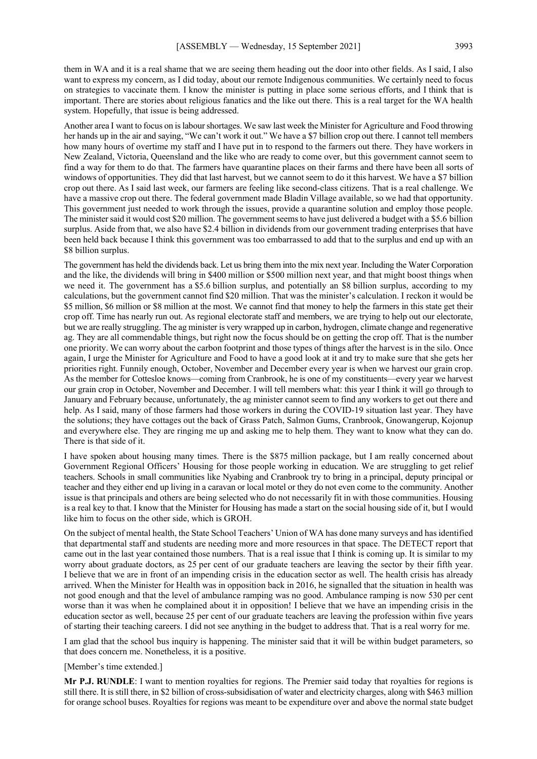them in WA and it is a real shame that we are seeing them heading out the door into other fields. As I said, I also want to express my concern, as I did today, about our remote Indigenous communities. We certainly need to focus on strategies to vaccinate them. I know the minister is putting in place some serious efforts, and I think that is important. There are stories about religious fanatics and the like out there. This is a real target for the WA health system. Hopefully, that issue is being addressed.

Another area I want to focus on is labour shortages. We saw last week the Minister for Agriculture and Food throwing her hands up in the air and saying, "We can't work it out." We have a \$7 billion crop out there. I cannot tell members how many hours of overtime my staff and I have put in to respond to the farmers out there. They have workers in New Zealand, Victoria, Queensland and the like who are ready to come over, but this government cannot seem to find a way for them to do that. The farmers have quarantine places on their farms and there have been all sorts of windows of opportunities. They did that last harvest, but we cannot seem to do it this harvest. We have a \$7 billion crop out there. As I said last week, our farmers are feeling like second-class citizens. That is a real challenge. We have a massive crop out there. The federal government made Bladin Village available, so we had that opportunity. This government just needed to work through the issues, provide a quarantine solution and employ those people. The minister said it would cost \$20 million. The government seems to have just delivered a budget with a \$5.6 billion surplus. Aside from that, we also have \$2.4 billion in dividends from our government trading enterprises that have been held back because I think this government was too embarrassed to add that to the surplus and end up with an \$8 billion surplus.

The government has held the dividends back. Let us bring them into the mix next year. Including the Water Corporation and the like, the dividends will bring in \$400 million or \$500 million next year, and that might boost things when we need it. The government has a \$5.6 billion surplus, and potentially an \$8 billion surplus, according to my calculations, but the government cannot find \$20 million. That was the minister's calculation. I reckon it would be \$5 million, \$6 million or \$8 million at the most. We cannot find that money to help the farmers in this state get their crop off. Time has nearly run out. As regional electorate staff and members, we are trying to help out our electorate, but we are really struggling. The ag minister is very wrapped up in carbon, hydrogen, climate change and regenerative ag. They are all commendable things, but right now the focus should be on getting the crop off. That is the number one priority. We can worry about the carbon footprint and those types of things after the harvest is in the silo. Once again, I urge the Minister for Agriculture and Food to have a good look at it and try to make sure that she gets her priorities right. Funnily enough, October, November and December every year is when we harvest our grain crop. As the member for Cottesloe knows—coming from Cranbrook, he is one of my constituents—every year we harvest our grain crop in October, November and December. I will tell members what: this year I think it will go through to January and February because, unfortunately, the ag minister cannot seem to find any workers to get out there and help. As I said, many of those farmers had those workers in during the COVID-19 situation last year. They have the solutions; they have cottages out the back of Grass Patch, Salmon Gums, Cranbrook, Gnowangerup, Kojonup and everywhere else. They are ringing me up and asking me to help them. They want to know what they can do. There is that side of it.

I have spoken about housing many times. There is the \$875 million package, but I am really concerned about Government Regional Officers' Housing for those people working in education. We are struggling to get relief teachers. Schools in small communities like Nyabing and Cranbrook try to bring in a principal, deputy principal or teacher and they either end up living in a caravan or local motel or they do not even come to the community. Another issue is that principals and others are being selected who do not necessarily fit in with those communities. Housing is a real key to that. I know that the Minister for Housing has made a start on the social housing side of it, but I would like him to focus on the other side, which is GROH.

On the subject of mental health, the State School Teachers' Union of WA has done many surveys and has identified that departmental staff and students are needing more and more resources in that space. The DETECT report that came out in the last year contained those numbers. That is a real issue that I think is coming up. It is similar to my worry about graduate doctors, as 25 per cent of our graduate teachers are leaving the sector by their fifth year. I believe that we are in front of an impending crisis in the education sector as well. The health crisis has already arrived. When the Minister for Health was in opposition back in 2016, he signalled that the situation in health was not good enough and that the level of ambulance ramping was no good. Ambulance ramping is now 530 per cent worse than it was when he complained about it in opposition! I believe that we have an impending crisis in the education sector as well, because 25 per cent of our graduate teachers are leaving the profession within five years of starting their teaching careers. I did not see anything in the budget to address that. That is a real worry for me.

I am glad that the school bus inquiry is happening. The minister said that it will be within budget parameters, so that does concern me. Nonetheless, it is a positive.

### [Member's time extended.]

**Mr P.J. RUNDLE**: I want to mention royalties for regions. The Premier said today that royalties for regions is still there. It is still there, in \$2 billion of cross-subsidisation of water and electricity charges, along with \$463 million for orange school buses. Royalties for regions was meant to be expenditure over and above the normal state budget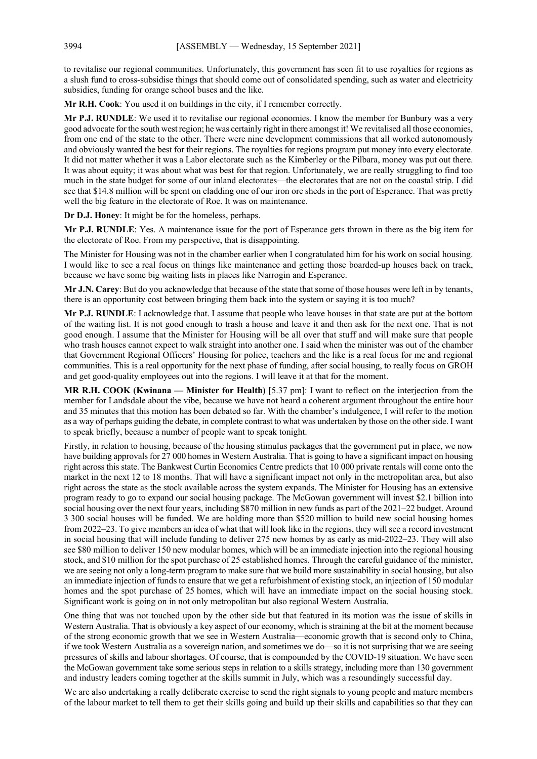to revitalise our regional communities. Unfortunately, this government has seen fit to use royalties for regions as a slush fund to cross-subsidise things that should come out of consolidated spending, such as water and electricity subsidies, funding for orange school buses and the like.

**Mr R.H. Cook**: You used it on buildings in the city, if I remember correctly.

**Mr P.J. RUNDLE**: We used it to revitalise our regional economies. I know the member for Bunbury was a very good advocate for the south west region; he was certainly right in there amongst it! We revitalised all those economies, from one end of the state to the other. There were nine development commissions that all worked autonomously and obviously wanted the best for their regions. The royalties for regions program put money into every electorate. It did not matter whether it was a Labor electorate such as the Kimberley or the Pilbara, money was put out there. It was about equity; it was about what was best for that region. Unfortunately, we are really struggling to find too much in the state budget for some of our inland electorates—the electorates that are not on the coastal strip. I did see that \$14.8 million will be spent on cladding one of our iron ore sheds in the port of Esperance. That was pretty well the big feature in the electorate of Roe. It was on maintenance.

**Dr D.J. Honey**: It might be for the homeless, perhaps.

**Mr P.J. RUNDLE**: Yes. A maintenance issue for the port of Esperance gets thrown in there as the big item for the electorate of Roe. From my perspective, that is disappointing.

The Minister for Housing was not in the chamber earlier when I congratulated him for his work on social housing. I would like to see a real focus on things like maintenance and getting those boarded-up houses back on track, because we have some big waiting lists in places like Narrogin and Esperance.

**Mr J.N. Carey**: But do you acknowledge that because of the state that some of those houses were left in by tenants, there is an opportunity cost between bringing them back into the system or saying it is too much?

**Mr P.J. RUNDLE**: I acknowledge that. I assume that people who leave houses in that state are put at the bottom of the waiting list. It is not good enough to trash a house and leave it and then ask for the next one. That is not good enough. I assume that the Minister for Housing will be all over that stuff and will make sure that people who trash houses cannot expect to walk straight into another one. I said when the minister was out of the chamber that Government Regional Officers' Housing for police, teachers and the like is a real focus for me and regional communities. This is a real opportunity for the next phase of funding, after social housing, to really focus on GROH and get good-quality employees out into the regions. I will leave it at that for the moment.

**MR R.H. COOK (Kwinana — Minister for Health)** [5.37 pm]: I want to reflect on the interjection from the member for Landsdale about the vibe, because we have not heard a coherent argument throughout the entire hour and 35 minutes that this motion has been debated so far. With the chamber's indulgence, I will refer to the motion as a way of perhaps guiding the debate, in complete contrast to what was undertaken by those on the other side. I want to speak briefly, because a number of people want to speak tonight.

Firstly, in relation to housing, because of the housing stimulus packages that the government put in place, we now have building approvals for 27 000 homes in Western Australia. That is going to have a significant impact on housing right across this state. The Bankwest Curtin Economics Centre predicts that 10 000 private rentals will come onto the market in the next 12 to 18 months. That will have a significant impact not only in the metropolitan area, but also right across the state as the stock available across the system expands. The Minister for Housing has an extensive program ready to go to expand our social housing package. The McGowan government will invest \$2.1 billion into social housing over the next four years, including \$870 million in new funds as part of the 2021–22 budget. Around 3 300 social houses will be funded. We are holding more than \$520 million to build new social housing homes from 2022–23. To give members an idea of what that will look like in the regions, they will see a record investment in social housing that will include funding to deliver 275 new homes by as early as mid-2022–23. They will also see \$80 million to deliver 150 new modular homes, which will be an immediate injection into the regional housing stock, and \$10 million for the spot purchase of 25 established homes. Through the careful guidance of the minister, we are seeing not only a long-term program to make sure that we build more sustainability in social housing, but also an immediate injection of funds to ensure that we get a refurbishment of existing stock, an injection of 150 modular homes and the spot purchase of 25 homes, which will have an immediate impact on the social housing stock. Significant work is going on in not only metropolitan but also regional Western Australia.

One thing that was not touched upon by the other side but that featured in its motion was the issue of skills in Western Australia. That is obviously a key aspect of our economy, which is straining at the bit at the moment because of the strong economic growth that we see in Western Australia—economic growth that is second only to China, if we took Western Australia as a sovereign nation, and sometimes we do—so it is not surprising that we are seeing pressures of skills and labour shortages. Of course, that is compounded by the COVID-19 situation. We have seen the McGowan government take some serious steps in relation to a skills strategy, including more than 130 government and industry leaders coming together at the skills summit in July, which was a resoundingly successful day.

We are also undertaking a really deliberate exercise to send the right signals to young people and mature members of the labour market to tell them to get their skills going and build up their skills and capabilities so that they can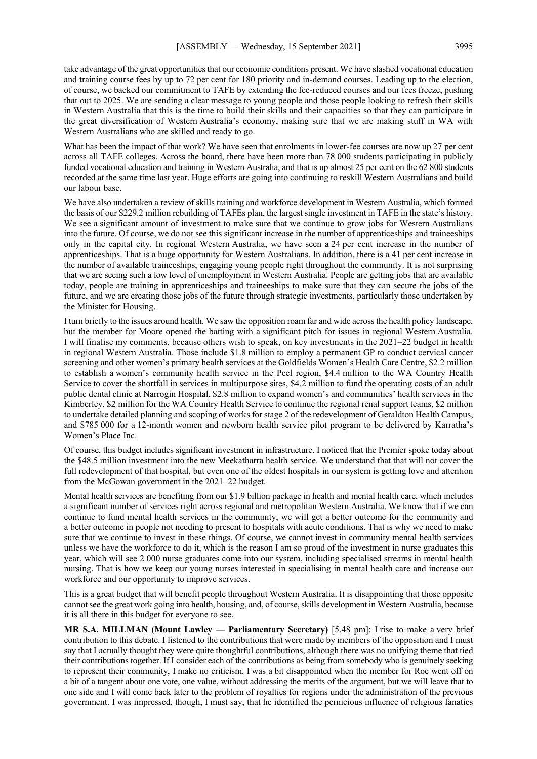take advantage of the great opportunities that our economic conditions present. We have slashed vocational education and training course fees by up to 72 per cent for 180 priority and in-demand courses. Leading up to the election, of course, we backed our commitment to TAFE by extending the fee-reduced courses and our fees freeze, pushing that out to 2025. We are sending a clear message to young people and those people looking to refresh their skills in Western Australia that this is the time to build their skills and their capacities so that they can participate in the great diversification of Western Australia's economy, making sure that we are making stuff in WA with Western Australians who are skilled and ready to go.

What has been the impact of that work? We have seen that enrolments in lower-fee courses are now up 27 per cent across all TAFE colleges. Across the board, there have been more than 78 000 students participating in publicly funded vocational education and training in Western Australia, and that is up almost 25 per cent on the 62 800 students recorded at the same time last year. Huge efforts are going into continuing to reskill Western Australians and build our labour base.

We have also undertaken a review of skills training and workforce development in Western Australia, which formed the basis of our \$229.2 million rebuilding of TAFEs plan, the largest single investment in TAFE in the state's history. We see a significant amount of investment to make sure that we continue to grow jobs for Western Australians into the future. Of course, we do not see this significant increase in the number of apprenticeships and traineeships only in the capital city. In regional Western Australia, we have seen a 24 per cent increase in the number of apprenticeships. That is a huge opportunity for Western Australians. In addition, there is a 41 per cent increase in the number of available traineeships, engaging young people right throughout the community. It is not surprising that we are seeing such a low level of unemployment in Western Australia. People are getting jobs that are available today, people are training in apprenticeships and traineeships to make sure that they can secure the jobs of the future, and we are creating those jobs of the future through strategic investments, particularly those undertaken by the Minister for Housing.

I turn briefly to the issues around health. We saw the opposition roam far and wide across the health policy landscape, but the member for Moore opened the batting with a significant pitch for issues in regional Western Australia. I will finalise my comments, because others wish to speak, on key investments in the 2021–22 budget in health in regional Western Australia. Those include \$1.8 million to employ a permanent GP to conduct cervical cancer screening and other women's primary health services at the Goldfields Women's Health Care Centre, \$2.2 million to establish a women's community health service in the Peel region, \$4.4 million to the WA Country Health Service to cover the shortfall in services in multipurpose sites, \$4.2 million to fund the operating costs of an adult public dental clinic at Narrogin Hospital, \$2.8 million to expand women's and communities' health services in the Kimberley, \$2 million for the WA Country Health Service to continue the regional renal support teams, \$2 million to undertake detailed planning and scoping of works for stage 2 of the redevelopment of Geraldton Health Campus, and \$785 000 for a 12-month women and newborn health service pilot program to be delivered by Karratha's Women's Place Inc.

Of course, this budget includes significant investment in infrastructure. I noticed that the Premier spoke today about the \$48.5 million investment into the new Meekatharra health service. We understand that that will not cover the full redevelopment of that hospital, but even one of the oldest hospitals in our system is getting love and attention from the McGowan government in the 2021–22 budget.

Mental health services are benefiting from our \$1.9 billion package in health and mental health care, which includes a significant number of services right across regional and metropolitan Western Australia. We know that if we can continue to fund mental health services in the community, we will get a better outcome for the community and a better outcome in people not needing to present to hospitals with acute conditions. That is why we need to make sure that we continue to invest in these things. Of course, we cannot invest in community mental health services unless we have the workforce to do it, which is the reason I am so proud of the investment in nurse graduates this year, which will see 2 000 nurse graduates come into our system, including specialised streams in mental health nursing. That is how we keep our young nurses interested in specialising in mental health care and increase our workforce and our opportunity to improve services.

This is a great budget that will benefit people throughout Western Australia. It is disappointing that those opposite cannot see the great work going into health, housing, and, of course, skills development in Western Australia, because it is all there in this budget for everyone to see.

**MR S.A. MILLMAN (Mount Lawley — Parliamentary Secretary)** [5.48 pm]: I rise to make a very brief contribution to this debate. I listened to the contributions that were made by members of the opposition and I must say that I actually thought they were quite thoughtful contributions, although there was no unifying theme that tied their contributions together. If I consider each of the contributions as being from somebody who is genuinely seeking to represent their community, I make no criticism. I was a bit disappointed when the member for Roe went off on a bit of a tangent about one vote, one value, without addressing the merits of the argument, but we will leave that to one side and I will come back later to the problem of royalties for regions under the administration of the previous government. I was impressed, though, I must say, that he identified the pernicious influence of religious fanatics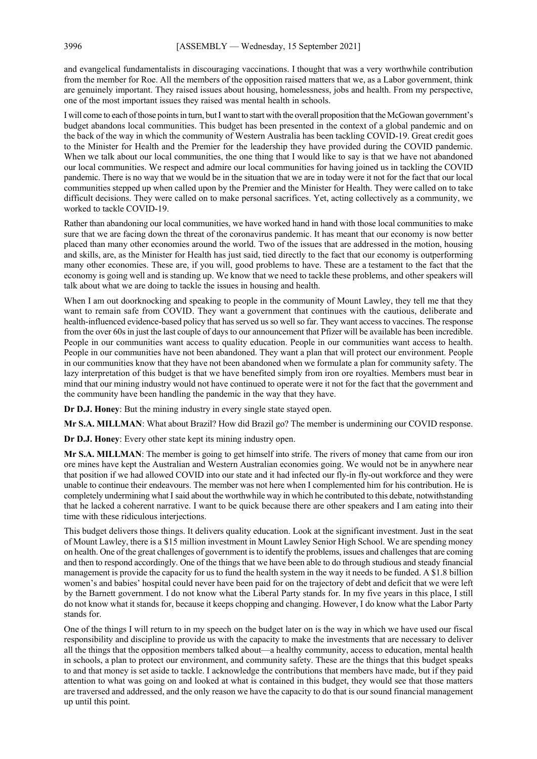and evangelical fundamentalists in discouraging vaccinations. I thought that was a very worthwhile contribution from the member for Roe. All the members of the opposition raised matters that we, as a Labor government, think are genuinely important. They raised issues about housing, homelessness, jobs and health. From my perspective, one of the most important issues they raised was mental health in schools.

I will come to each of those points in turn, butI want to start with the overall proposition that theMcGowan government's budget abandons local communities. This budget has been presented in the context of a global pandemic and on the back of the way in which the community of Western Australia has been tackling COVID-19. Great credit goes to the Minister for Health and the Premier for the leadership they have provided during the COVID pandemic. When we talk about our local communities, the one thing that I would like to say is that we have not abandoned our local communities. We respect and admire our local communities for having joined us in tackling the COVID pandemic. There is no way that we would be in the situation that we are in today were it not for the fact that our local communities stepped up when called upon by the Premier and the Minister for Health. They were called on to take difficult decisions. They were called on to make personal sacrifices. Yet, acting collectively as a community, we worked to tackle COVID-19.

Rather than abandoning our local communities, we have worked hand in hand with those local communities to make sure that we are facing down the threat of the coronavirus pandemic. It has meant that our economy is now better placed than many other economies around the world. Two of the issues that are addressed in the motion, housing and skills, are, as the Minister for Health has just said, tied directly to the fact that our economy is outperforming many other economies. These are, if you will, good problems to have. These are a testament to the fact that the economy is going well and is standing up. We know that we need to tackle these problems, and other speakers will talk about what we are doing to tackle the issues in housing and health.

When I am out doorknocking and speaking to people in the community of Mount Lawley, they tell me that they want to remain safe from COVID. They want a government that continues with the cautious, deliberate and health-influenced evidence-based policy that has served us so well so far. They want access to vaccines. The response from the over 60s in just the last couple of days to our announcement that Pfizer will be available has been incredible. People in our communities want access to quality education. People in our communities want access to health. People in our communities have not been abandoned. They want a plan that will protect our environment. People in our communities know that they have not been abandoned when we formulate a plan for community safety. The lazy interpretation of this budget is that we have benefited simply from iron ore royalties. Members must bear in mind that our mining industry would not have continued to operate were it not for the fact that the government and the community have been handling the pandemic in the way that they have.

**Dr D.J. Honey**: But the mining industry in every single state stayed open.

**Mr S.A. MILLMAN**: What about Brazil? How did Brazil go? The member is undermining our COVID response.

**Dr D.J. Honey**: Every other state kept its mining industry open.

**Mr S.A. MILLMAN**: The member is going to get himself into strife. The rivers of money that came from our iron ore mines have kept the Australian and Western Australian economies going. We would not be in anywhere near that position if we had allowed COVID into our state and it had infected our fly-in fly-out workforce and they were unable to continue their endeavours. The member was not here when I complemented him for his contribution. He is completely undermining what I said about the worthwhile way in which he contributed to this debate, notwithstanding that he lacked a coherent narrative. I want to be quick because there are other speakers and I am eating into their time with these ridiculous interjections.

This budget delivers those things. It delivers quality education. Look at the significant investment. Just in the seat of Mount Lawley, there is a \$15 million investment in Mount Lawley Senior High School. We are spending money on health. One of the great challenges of government is to identify the problems, issues and challenges that are coming and then to respond accordingly. One of the things that we have been able to do through studious and steady financial management is provide the capacity for us to fund the health system in the way it needs to be funded. A \$1.8 billion women's and babies' hospital could never have been paid for on the trajectory of debt and deficit that we were left by the Barnett government. I do not know what the Liberal Party stands for. In my five years in this place, I still do not know what it stands for, because it keeps chopping and changing. However, I do know what the Labor Party stands for.

One of the things I will return to in my speech on the budget later on is the way in which we have used our fiscal responsibility and discipline to provide us with the capacity to make the investments that are necessary to deliver all the things that the opposition members talked about—a healthy community, access to education, mental health in schools, a plan to protect our environment, and community safety. These are the things that this budget speaks to and that money is set aside to tackle. I acknowledge the contributions that members have made, but if they paid attention to what was going on and looked at what is contained in this budget, they would see that those matters are traversed and addressed, and the only reason we have the capacity to do that is our sound financial management up until this point.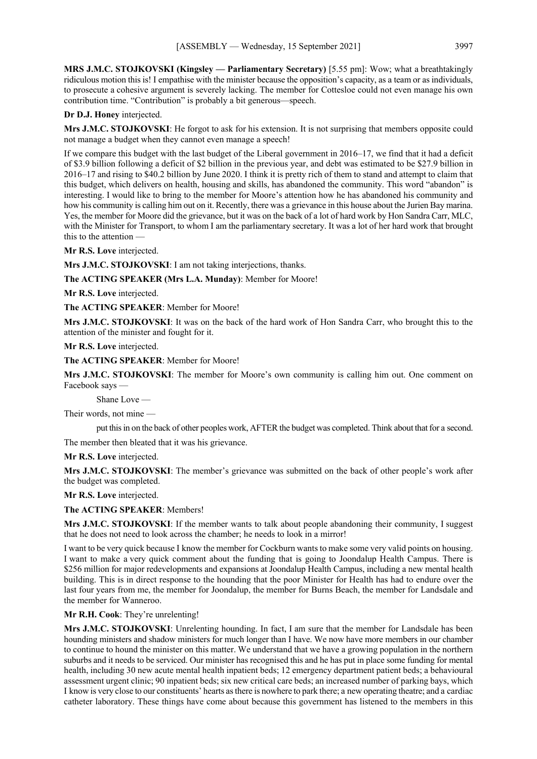**MRS J.M.C. STOJKOVSKI (Kingsley — Parliamentary Secretary)** [5.55 pm]: Wow; what a breathtakingly ridiculous motion this is! I empathise with the minister because the opposition's capacity, as a team or as individuals, to prosecute a cohesive argument is severely lacking. The member for Cottesloe could not even manage his own contribution time. "Contribution" is probably a bit generous—speech.

## **Dr D.J. Honey** interjected.

**Mrs J.M.C. STOJKOVSKI**: He forgot to ask for his extension. It is not surprising that members opposite could not manage a budget when they cannot even manage a speech!

If we compare this budget with the last budget of the Liberal government in 2016–17, we find that it had a deficit of \$3.9 billion following a deficit of \$2 billion in the previous year, and debt was estimated to be \$27.9 billion in 2016–17 and rising to \$40.2 billion by June 2020. I think it is pretty rich of them to stand and attempt to claim that this budget, which delivers on health, housing and skills, has abandoned the community. This word "abandon" is interesting. I would like to bring to the member for Moore's attention how he has abandoned his community and how his community is calling him out on it. Recently, there was a grievance in this house about the Jurien Bay marina. Yes, the member for Moore did the grievance, but it was on the back of a lot of hard work by Hon Sandra Carr, MLC, with the Minister for Transport, to whom I am the parliamentary secretary. It was a lot of her hard work that brought this to the attention —

**Mr R.S. Love** interjected.

**Mrs J.M.C. STOJKOVSKI**: I am not taking interjections, thanks.

**The ACTING SPEAKER (Mrs L.A. Munday)**: Member for Moore!

**Mr R.S. Love** interjected.

**The ACTING SPEAKER**: Member for Moore!

**Mrs J.M.C. STOJKOVSKI**: It was on the back of the hard work of Hon Sandra Carr, who brought this to the attention of the minister and fought for it.

**Mr R.S. Love** interjected.

**The ACTING SPEAKER**: Member for Moore!

**Mrs J.M.C. STOJKOVSKI**: The member for Moore's own community is calling him out. One comment on Facebook says —

Shane Love —

Their words, not mine —

put this in on the back of other peoples work, AFTER the budget was completed. Think about that for a second.

The member then bleated that it was his grievance.

## **Mr R.S. Love** interjected.

**Mrs J.M.C. STOJKOVSKI**: The member's grievance was submitted on the back of other people's work after the budget was completed.

**Mr R.S. Love** interjected.

**The ACTING SPEAKER**: Members!

**Mrs J.M.C. STOJKOVSKI**: If the member wants to talk about people abandoning their community, I suggest that he does not need to look across the chamber; he needs to look in a mirror!

I want to be very quick because I know the member for Cockburn wants to make some very valid points on housing. I want to make a very quick comment about the funding that is going to Joondalup Health Campus. There is \$256 million for major redevelopments and expansions at Joondalup Health Campus, including a new mental health building. This is in direct response to the hounding that the poor Minister for Health has had to endure over the last four years from me, the member for Joondalup, the member for Burns Beach, the member for Landsdale and the member for Wanneroo.

### **Mr R.H. Cook**: They're unrelenting!

**Mrs J.M.C. STOJKOVSKI**: Unrelenting hounding. In fact, I am sure that the member for Landsdale has been hounding ministers and shadow ministers for much longer than I have. We now have more members in our chamber to continue to hound the minister on this matter. We understand that we have a growing population in the northern suburbs and it needs to be serviced. Our minister has recognised this and he has put in place some funding for mental health, including 30 new acute mental health inpatient beds; 12 emergency department patient beds; a behavioural assessment urgent clinic; 90 inpatient beds; six new critical care beds; an increased number of parking bays, which I know is very close to our constituents' hearts as there is nowhere to park there; a new operating theatre; and a cardiac catheter laboratory. These things have come about because this government has listened to the members in this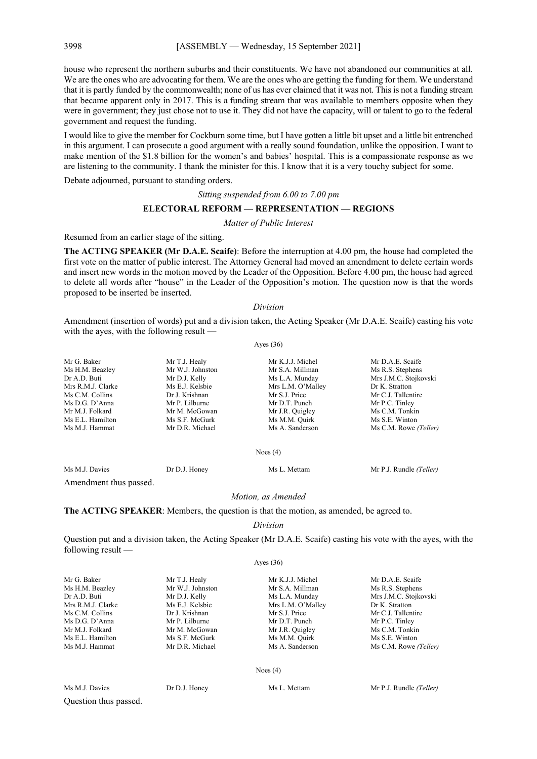house who represent the northern suburbs and their constituents. We have not abandoned our communities at all. We are the ones who are advocating for them. We are the ones who are getting the funding for them. We understand that it is partly funded by the commonwealth; none of us has ever claimed that it was not. This is not a funding stream that became apparent only in 2017. This is a funding stream that was available to members opposite when they were in government; they just chose not to use it. They did not have the capacity, will or talent to go to the federal government and request the funding.

I would like to give the member for Cockburn some time, but I have gotten a little bit upset and a little bit entrenched in this argument. I can prosecute a good argument with a really sound foundation, unlike the opposition. I want to make mention of the \$1.8 billion for the women's and babies' hospital. This is a compassionate response as we are listening to the community. I thank the minister for this. I know that it is a very touchy subject for some.

Debate adjourned, pursuant to standing orders.

*Sitting suspended from 6.00 to 7.00 pm*

### **ELECTORAL REFORM — REPRESENTATION — REGIONS**

*Matter of Public Interest*

Resumed from an earlier stage of the sitting.

**The ACTING SPEAKER (Mr D.A.E. Scaife)**: Before the interruption at 4.00 pm, the house had completed the first vote on the matter of public interest. The Attorney General had moved an amendment to delete certain words and insert new words in the motion moved by the Leader of the Opposition. Before 4.00 pm, the house had agreed to delete all words after "house" in the Leader of the Opposition's motion. The question now is that the words proposed to be inserted be inserted.

### *Division*

Amendment (insertion of words) put and a division taken, the Acting Speaker (Mr D.A.E. Scaife) casting his vote with the ayes, with the following result —

#### Ayes (36)

| Mr G. Baker       | Mr T.J. Healy    | Mr K.J.J. Michel  | Mr D.A.E. Scaife      |
|-------------------|------------------|-------------------|-----------------------|
| Ms H.M. Beazley   | Mr W.J. Johnston | Mr S.A. Millman   | Ms R.S. Stephens      |
| Dr A.D. Buti      | Mr D.J. Kelly    | Ms L.A. Munday    | Mrs J.M.C. Stojkovski |
| Mrs R.M.J. Clarke | Ms E.J. Kelsbie  | Mrs L.M. O'Malley | Dr K. Stratton        |
| Ms C.M. Collins   | Dr J. Krishnan   | Mr S.J. Price     | Mr C.J. Tallentire    |
| Ms D.G. D'Anna    | Mr P. Lilburne   | Mr D.T. Punch     | Mr P.C. Tinley        |
| Mr M.J. Folkard   | Mr M. McGowan    | Mr J.R. Quigley   | Ms C.M. Tonkin        |
| Ms E.L. Hamilton  | Ms S.F. McGurk   | Ms M.M. Quirk     | Ms S.E. Winton        |
| Ms M.J. Hammat    | Mr D.R. Michael  | Ms A. Sanderson   | Ms C.M. Rowe (Teller) |

#### Noes (4)

Ms M.J. Davies Dr D.J. Honey Ms L. Mettam Mr P.J. Rundle *(Teller)*

Amendment thus passed.

### *Motion, as Amended*

**The ACTING SPEAKER**: Members, the question is that the motion, as amended, be agreed to.

*Division*

Question put and a division taken, the Acting Speaker (Mr D.A.E. Scaife) casting his vote with the ayes, with the following result —

Ayes (36)

| Mr G. Baker       | Mr T.J. Healy    | Mr K.J.J. Michel  | Mr D.A.E. Scaife      |
|-------------------|------------------|-------------------|-----------------------|
| Ms H.M. Beazley   | Mr W.J. Johnston | Mr S.A. Millman   | Ms R.S. Stephens      |
| Dr A.D. Buti      | Mr D.J. Kelly    | Ms L.A. Munday    | Mrs J.M.C. Stojkovski |
| Mrs R.M.J. Clarke | Ms E.J. Kelsbie  | Mrs L.M. O'Malley | Dr K. Stratton        |
| Ms C.M. Collins   | Dr J. Krishnan   | Mr S.J. Price     | Mr C.J. Tallentire    |
| Ms D.G. D'Anna    | Mr P. Lilburne   | Mr D.T. Punch     | Mr P.C. Tinley        |
| Mr M.J. Folkard   | Mr M. McGowan    | Mr J.R. Quigley   | Ms C.M. Tonkin        |
| Ms E.L. Hamilton  | Ms S.F. McGurk   | Ms M.M. Quirk     | Ms S.E. Winton        |
| Ms M.J. Hammat    | Mr D.R. Michael  | Ms A. Sanderson   | Ms C.M. Rowe (Teller) |

Noes (4)

Ms M.J. Davies Dr D.J. Honey Ms L. Mettam Mr P.J. Rundle *(Teller)*

Question thus passed.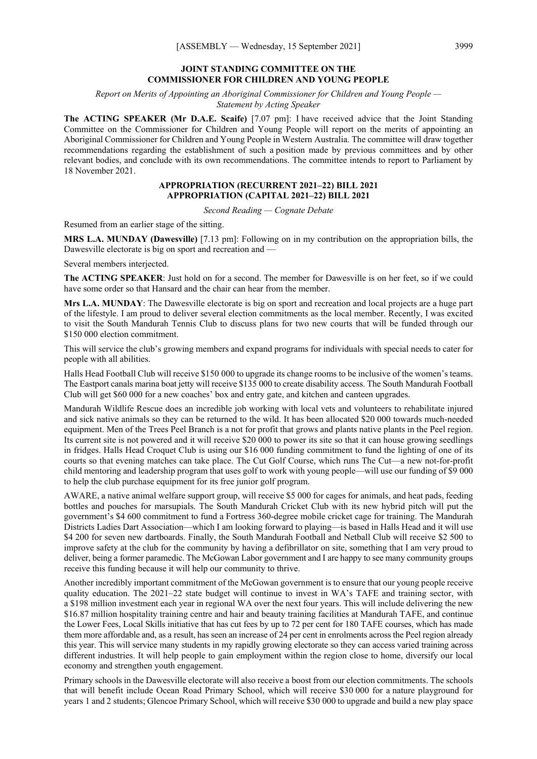# **JOINT STANDING COMMITTEE ON THE COMMISSIONER FOR CHILDREN AND YOUNG PEOPLE**

*Report on Merits of Appointing an Aboriginal Commissioner for Children and Young People — Statement by Acting Speaker*

**The ACTING SPEAKER (Mr D.A.E. Scaife)** [7.07 pm]: I have received advice that the Joint Standing Committee on the Commissioner for Children and Young People will report on the merits of appointing an Aboriginal Commissioner for Children and Young People in Western Australia. The committee will draw together recommendations regarding the establishment of such a position made by previous committees and by other relevant bodies, and conclude with its own recommendations. The committee intends to report to Parliament by 18 November 2021.

# **APPROPRIATION (RECURRENT 2021–22) BILL 2021 APPROPRIATION (CAPITAL 2021–22) BILL 2021**

*Second Reading — Cognate Debate*

Resumed from an earlier stage of the sitting.

**MRS L.A. MUNDAY (Dawesville)** [7.13 pm]: Following on in my contribution on the appropriation bills, the Dawesville electorate is big on sport and recreation and —

Several members interjected.

**The ACTING SPEAKER**: Just hold on for a second. The member for Dawesville is on her feet, so if we could have some order so that Hansard and the chair can hear from the member.

**Mrs L.A. MUNDAY**: The Dawesville electorate is big on sport and recreation and local projects are a huge part of the lifestyle. I am proud to deliver several election commitments as the local member. Recently, I was excited to visit the South Mandurah Tennis Club to discuss plans for two new courts that will be funded through our \$150,000 election commitment.

This will service the club's growing members and expand programs for individuals with special needs to cater for people with all abilities.

Halls Head Football Club will receive \$150 000 to upgrade its change rooms to be inclusive of the women's teams. The Eastport canals marina boat jetty will receive \$135 000 to create disability access. The South Mandurah Football Club will get \$60 000 for a new coaches' box and entry gate, and kitchen and canteen upgrades.

Mandurah Wildlife Rescue does an incredible job working with local vets and volunteers to rehabilitate injured and sick native animals so they can be returned to the wild. It has been allocated \$20 000 towards much-needed equipment. Men of the Trees Peel Branch is a not for profit that grows and plants native plants in the Peel region. Its current site is not powered and it will receive \$20 000 to power its site so that it can house growing seedlings in fridges. Halls Head Croquet Club is using our \$16 000 funding commitment to fund the lighting of one of its courts so that evening matches can take place. The Cut Golf Course, which runs The Cut—a new not-for-profit child mentoring and leadership program that uses golf to work with young people—will use our funding of \$9 000 to help the club purchase equipment for its free junior golf program.

AWARE, a native animal welfare support group, will receive \$5 000 for cages for animals, and heat pads, feeding bottles and pouches for marsupials. The South Mandurah Cricket Club with its new hybrid pitch will put the government's \$4 600 commitment to fund a Fortress 360-degree mobile cricket cage for training. The Mandurah Districts Ladies Dart Association—which I am looking forward to playing—is based in Halls Head and it will use \$4 200 for seven new dartboards. Finally, the South Mandurah Football and Netball Club will receive \$2 500 to improve safety at the club for the community by having a defibrillator on site, something that I am very proud to deliver, being a former paramedic. The McGowan Labor government and I are happy to see many community groups receive this funding because it will help our community to thrive.

Another incredibly important commitment of the McGowan government is to ensure that our young people receive quality education. The 2021–22 state budget will continue to invest in WA's TAFE and training sector, with a \$198 million investment each year in regional WA over the next four years. This will include delivering the new \$16.87 million hospitality training centre and hair and beauty training facilities at Mandurah TAFE, and continue the Lower Fees, Local Skills initiative that has cut fees by up to 72 per cent for 180 TAFE courses, which has made them more affordable and, as a result, has seen an increase of 24 per cent in enrolments across the Peel region already this year. This will service many students in my rapidly growing electorate so they can access varied training across different industries. It will help people to gain employment within the region close to home, diversify our local economy and strengthen youth engagement.

Primary schools in the Dawesville electorate will also receive a boost from our election commitments. The schools that will benefit include Ocean Road Primary School, which will receive \$30 000 for a nature playground for years 1 and 2 students; Glencoe Primary School, which will receive \$30 000 to upgrade and build a new play space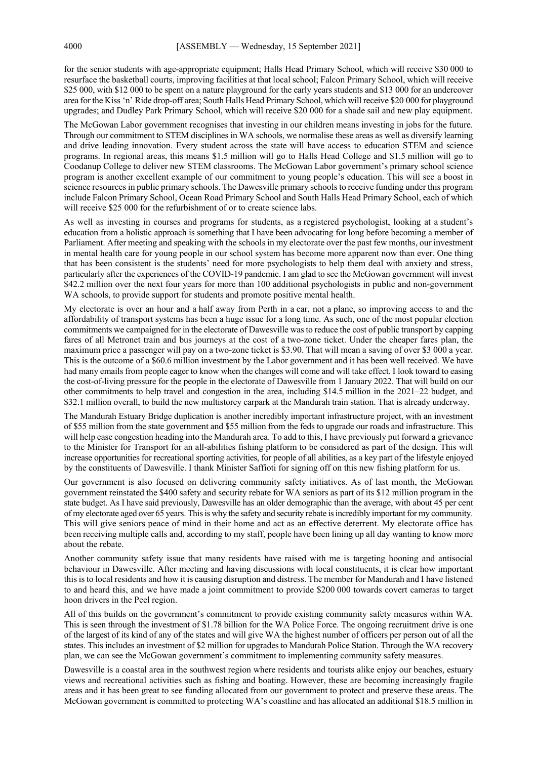for the senior students with age-appropriate equipment; Halls Head Primary School, which will receive \$30 000 to resurface the basketball courts, improving facilities at that local school; Falcon Primary School, which will receive \$25 000, with \$12 000 to be spent on a nature playground for the early years students and \$13 000 for an undercover area for the Kiss 'n' Ride drop-off area; South Halls Head Primary School, which will receive \$20 000 for playground upgrades; and Dudley Park Primary School, which will receive \$20 000 for a shade sail and new play equipment.

The McGowan Labor government recognises that investing in our children means investing in jobs for the future. Through our commitment to STEM disciplines in WA schools, we normalise these areas as well as diversify learning and drive leading innovation. Every student across the state will have access to education STEM and science programs. In regional areas, this means \$1.5 million will go to Halls Head College and \$1.5 million will go to Coodanup College to deliver new STEM classrooms. The McGowan Labor government's primary school science program is another excellent example of our commitment to young people's education. This will see a boost in science resources in public primary schools. The Dawesville primary schools to receive funding under this program include Falcon Primary School, Ocean Road Primary School and South Halls Head Primary School, each of which will receive \$25 000 for the refurbishment of or to create science labs.

As well as investing in courses and programs for students, as a registered psychologist, looking at a student's education from a holistic approach is something that I have been advocating for long before becoming a member of Parliament. After meeting and speaking with the schools in my electorate over the past few months, our investment in mental health care for young people in our school system has become more apparent now than ever. One thing that has been consistent is the students' need for more psychologists to help them deal with anxiety and stress, particularly after the experiences of the COVID-19 pandemic. I am glad to see the McGowan government will invest \$42.2 million over the next four years for more than 100 additional psychologists in public and non-government WA schools, to provide support for students and promote positive mental health.

My electorate is over an hour and a half away from Perth in a car, not a plane, so improving access to and the affordability of transport systems has been a huge issue for a long time. As such, one of the most popular election commitments we campaigned for in the electorate of Dawesville was to reduce the cost of public transport by capping fares of all Metronet train and bus journeys at the cost of a two-zone ticket. Under the cheaper fares plan, the maximum price a passenger will pay on a two-zone ticket is \$3.90. That will mean a saving of over \$3 000 a year. This is the outcome of a \$60.6 million investment by the Labor government and it has been well received. We have had many emails from people eager to know when the changes will come and will take effect. I look toward to easing the cost-of-living pressure for the people in the electorate of Dawesville from 1 January 2022. That will build on our other commitments to help travel and congestion in the area, including \$14.5 million in the 2021–22 budget, and \$32.1 million overall, to build the new multistorey carpark at the Mandurah train station. That is already underway.

The Mandurah Estuary Bridge duplication is another incredibly important infrastructure project, with an investment of \$55 million from the state government and \$55 million from the feds to upgrade our roads and infrastructure. This will help ease congestion heading into the Mandurah area. To add to this, I have previously put forward a grievance to the Minister for Transport for an all-abilities fishing platform to be considered as part of the design. This will increase opportunities for recreational sporting activities, for people of all abilities, as a key part of the lifestyle enjoyed by the constituents of Dawesville. I thank Minister Saffioti for signing off on this new fishing platform for us.

Our government is also focused on delivering community safety initiatives. As of last month, the McGowan government reinstated the \$400 safety and security rebate for WA seniors as part of its \$12 million program in the state budget. As I have said previously, Dawesville has an older demographic than the average, with about 45 per cent of my electorate aged over 65 years. This is why the safety and security rebate is incredibly important for my community. This will give seniors peace of mind in their home and act as an effective deterrent. My electorate office has been receiving multiple calls and, according to my staff, people have been lining up all day wanting to know more about the rebate.

Another community safety issue that many residents have raised with me is targeting hooning and antisocial behaviour in Dawesville. After meeting and having discussions with local constituents, it is clear how important this is to local residents and how it is causing disruption and distress. The member for Mandurah and I have listened to and heard this, and we have made a joint commitment to provide \$200 000 towards covert cameras to target hoon drivers in the Peel region.

All of this builds on the government's commitment to provide existing community safety measures within WA. This is seen through the investment of \$1.78 billion for the WA Police Force. The ongoing recruitment drive is one of the largest of its kind of any of the states and will give WA the highest number of officers per person out of all the states. This includes an investment of \$2 million for upgrades to Mandurah Police Station. Through the WA recovery plan, we can see the McGowan government's commitment to implementing community safety measures.

Dawesville is a coastal area in the southwest region where residents and tourists alike enjoy our beaches, estuary views and recreational activities such as fishing and boating. However, these are becoming increasingly fragile areas and it has been great to see funding allocated from our government to protect and preserve these areas. The McGowan government is committed to protecting WA's coastline and has allocated an additional \$18.5 million in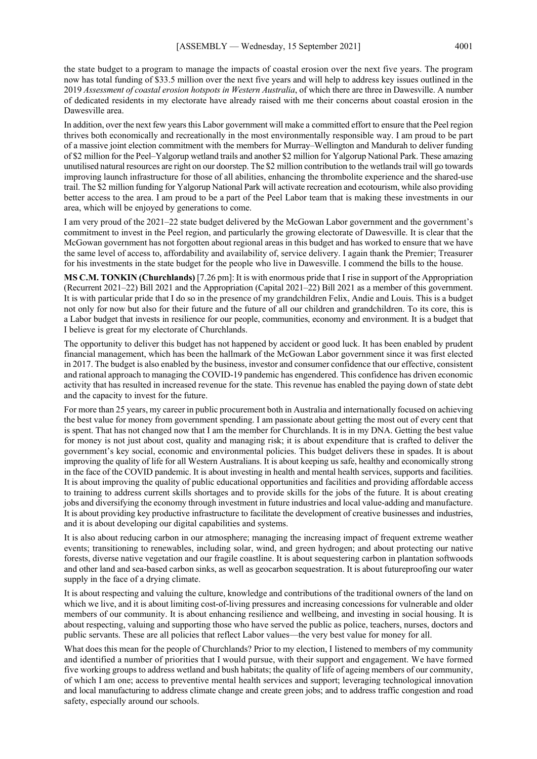the state budget to a program to manage the impacts of coastal erosion over the next five years. The program now has total funding of \$33.5 million over the next five years and will help to address key issues outlined in the 2019 *Assessment of coastal erosion hotspots in Western Australia*, of which there are three in Dawesville. A number of dedicated residents in my electorate have already raised with me their concerns about coastal erosion in the Dawesville area.

In addition, over the next few years this Labor government will make a committed effort to ensure that the Peel region thrives both economically and recreationally in the most environmentally responsible way. I am proud to be part of a massive joint election commitment with the members for Murray–Wellington and Mandurah to deliver funding of \$2 million for the Peel–Yalgorup wetland trails and another \$2 million for Yalgorup National Park. These amazing unutilised natural resources are right on our doorstep. The \$2 million contribution to the wetlands trail will go towards improving launch infrastructure for those of all abilities, enhancing the thrombolite experience and the shared-use trail. The \$2 million funding for Yalgorup National Park will activate recreation and ecotourism, while also providing better access to the area. I am proud to be a part of the Peel Labor team that is making these investments in our area, which will be enjoyed by generations to come.

I am very proud of the 2021–22 state budget delivered by the McGowan Labor government and the government's commitment to invest in the Peel region, and particularly the growing electorate of Dawesville. It is clear that the McGowan government has not forgotten about regional areas in this budget and has worked to ensure that we have the same level of access to, affordability and availability of, service delivery. I again thank the Premier; Treasurer for his investments in the state budget for the people who live in Dawesville. I commend the bills to the house.

**MS C.M. TONKIN (Churchlands)** [7.26 pm]: It is with enormous pride that I rise in support of the Appropriation (Recurrent 2021–22) Bill 2021 and the Appropriation (Capital 2021–22) Bill 2021 as a member of this government. It is with particular pride that I do so in the presence of my grandchildren Felix, Andie and Louis. This is a budget not only for now but also for their future and the future of all our children and grandchildren. To its core, this is a Labor budget that invests in resilience for our people, communities, economy and environment. It is a budget that I believe is great for my electorate of Churchlands.

The opportunity to deliver this budget has not happened by accident or good luck. It has been enabled by prudent financial management, which has been the hallmark of the McGowan Labor government since it was first elected in 2017. The budget is also enabled by the business, investor and consumer confidence that our effective, consistent and rational approach to managing the COVID-19 pandemic has engendered. This confidence has driven economic activity that has resulted in increased revenue for the state. This revenue has enabled the paying down of state debt and the capacity to invest for the future.

For more than 25 years, my career in public procurement both in Australia and internationally focused on achieving the best value for money from government spending. I am passionate about getting the most out of every cent that is spent. That has not changed now that I am the member for Churchlands. It is in my DNA. Getting the best value for money is not just about cost, quality and managing risk; it is about expenditure that is crafted to deliver the government's key social, economic and environmental policies. This budget delivers these in spades. It is about improving the quality of life for all Western Australians. It is about keeping us safe, healthy and economically strong in the face of the COVID pandemic. It is about investing in health and mental health services, supports and facilities. It is about improving the quality of public educational opportunities and facilities and providing affordable access to training to address current skills shortages and to provide skills for the jobs of the future. It is about creating jobs and diversifying the economy through investment in future industries and local value-adding and manufacture. It is about providing key productive infrastructure to facilitate the development of creative businesses and industries, and it is about developing our digital capabilities and systems.

It is also about reducing carbon in our atmosphere; managing the increasing impact of frequent extreme weather events; transitioning to renewables, including solar, wind, and green hydrogen; and about protecting our native forests, diverse native vegetation and our fragile coastline. It is about sequestering carbon in plantation softwoods and other land and sea-based carbon sinks, as well as geocarbon sequestration. It is about futureproofing our water supply in the face of a drying climate.

It is about respecting and valuing the culture, knowledge and contributions of the traditional owners of the land on which we live, and it is about limiting cost-of-living pressures and increasing concessions for vulnerable and older members of our community. It is about enhancing resilience and wellbeing, and investing in social housing. It is about respecting, valuing and supporting those who have served the public as police, teachers, nurses, doctors and public servants. These are all policies that reflect Labor values—the very best value for money for all.

What does this mean for the people of Churchlands? Prior to my election, I listened to members of my community and identified a number of priorities that I would pursue, with their support and engagement. We have formed five working groups to address wetland and bush habitats; the quality of life of ageing members of our community, of which I am one; access to preventive mental health services and support; leveraging technological innovation and local manufacturing to address climate change and create green jobs; and to address traffic congestion and road safety, especially around our schools.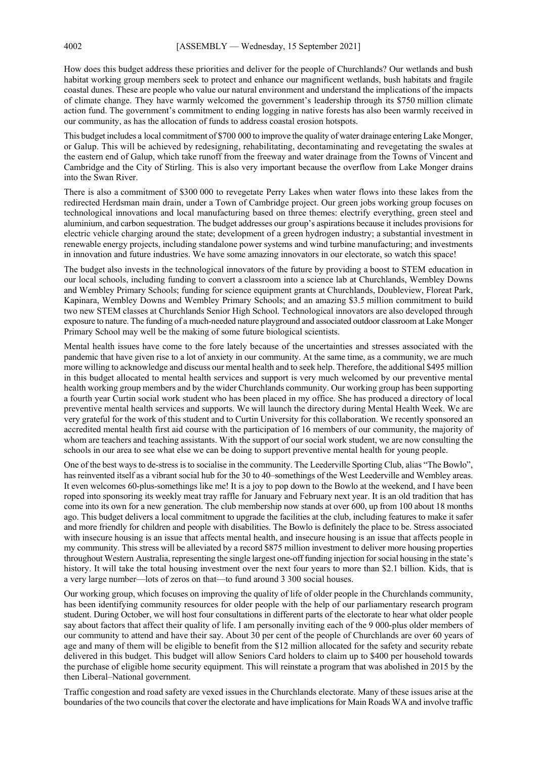How does this budget address these priorities and deliver for the people of Churchlands? Our wetlands and bush habitat working group members seek to protect and enhance our magnificent wetlands, bush habitats and fragile coastal dunes. These are people who value our natural environment and understand the implications of the impacts of climate change. They have warmly welcomed the government's leadership through its \$750 million climate action fund. The government's commitment to ending logging in native forests has also been warmly received in our community, as has the allocation of funds to address coastal erosion hotspots.

This budget includes a local commitment of \$700 000 to improve the quality of water drainage entering Lake Monger, or Galup. This will be achieved by redesigning, rehabilitating, decontaminating and revegetating the swales at the eastern end of Galup, which take runoff from the freeway and water drainage from the Towns of Vincent and Cambridge and the City of Stirling. This is also very important because the overflow from Lake Monger drains into the Swan River.

There is also a commitment of \$300 000 to revegetate Perry Lakes when water flows into these lakes from the redirected Herdsman main drain, under a Town of Cambridge project. Our green jobs working group focuses on technological innovations and local manufacturing based on three themes: electrify everything, green steel and aluminium, and carbon sequestration. The budget addresses our group's aspirations because it includes provisions for electric vehicle charging around the state; development of a green hydrogen industry; a substantial investment in renewable energy projects, including standalone power systems and wind turbine manufacturing; and investments in innovation and future industries. We have some amazing innovators in our electorate, so watch this space!

The budget also invests in the technological innovators of the future by providing a boost to STEM education in our local schools, including funding to convert a classroom into a science lab at Churchlands, Wembley Downs and Wembley Primary Schools; funding for science equipment grants at Churchlands, Doubleview, Floreat Park, Kapinara, Wembley Downs and Wembley Primary Schools; and an amazing \$3.5 million commitment to build two new STEM classes at Churchlands Senior High School. Technological innovators are also developed through exposure to nature. The funding of a much-needed nature playground and associated outdoor classroom at Lake Monger Primary School may well be the making of some future biological scientists.

Mental health issues have come to the fore lately because of the uncertainties and stresses associated with the pandemic that have given rise to a lot of anxiety in our community. At the same time, as a community, we are much more willing to acknowledge and discuss our mental health and to seek help. Therefore, the additional \$495 million in this budget allocated to mental health services and support is very much welcomed by our preventive mental health working group members and by the wider Churchlands community. Our working group has been supporting a fourth year Curtin social work student who has been placed in my office. She has produced a directory of local preventive mental health services and supports. We will launch the directory during Mental Health Week. We are very grateful for the work of this student and to Curtin University for this collaboration. We recently sponsored an accredited mental health first aid course with the participation of 16 members of our community, the majority of whom are teachers and teaching assistants. With the support of our social work student, we are now consulting the schools in our area to see what else we can be doing to support preventive mental health for young people.

One of the best ways to de-stress is to socialise in the community. The Leederville Sporting Club, alias "The Bowlo", has reinvented itself as a vibrant social hub for the 30 to 40–somethings of the West Leederville and Wembley areas. It even welcomes 60-plus-somethings like me! It is a joy to pop down to the Bowlo at the weekend, and I have been roped into sponsoring its weekly meat tray raffle for January and February next year. It is an old tradition that has come into its own for a new generation. The club membership now stands at over 600, up from 100 about 18 months ago. This budget delivers a local commitment to upgrade the facilities at the club, including features to make it safer and more friendly for children and people with disabilities. The Bowlo is definitely the place to be. Stress associated with insecure housing is an issue that affects mental health, and insecure housing is an issue that affects people in my community. This stress will be alleviated by a record \$875 million investment to deliver more housing properties throughout Western Australia, representing the single largest one-off funding injection for social housing in the state's history. It will take the total housing investment over the next four years to more than \$2.1 billion. Kids, that is a very large number—lots of zeros on that—to fund around 3 300 social houses.

Our working group, which focuses on improving the quality of life of older people in the Churchlands community, has been identifying community resources for older people with the help of our parliamentary research program student. During October, we will host four consultations in different parts of the electorate to hear what older people say about factors that affect their quality of life. I am personally inviting each of the 9 000-plus older members of our community to attend and have their say. About 30 per cent of the people of Churchlands are over 60 years of age and many of them will be eligible to benefit from the \$12 million allocated for the safety and security rebate delivered in this budget. This budget will allow Seniors Card holders to claim up to \$400 per household towards the purchase of eligible home security equipment. This will reinstate a program that was abolished in 2015 by the then Liberal–National government.

Traffic congestion and road safety are vexed issues in the Churchlands electorate. Many of these issues arise at the boundaries of the two councils that cover the electorate and have implications for Main Roads WA and involve traffic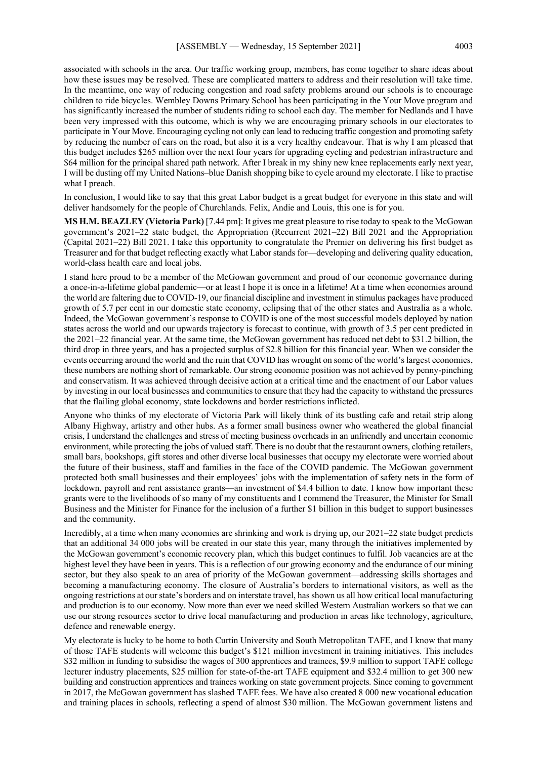associated with schools in the area. Our traffic working group, members, has come together to share ideas about how these issues may be resolved. These are complicated matters to address and their resolution will take time. In the meantime, one way of reducing congestion and road safety problems around our schools is to encourage children to ride bicycles. Wembley Downs Primary School has been participating in the Your Move program and has significantly increased the number of students riding to school each day. The member for Nedlands and I have been very impressed with this outcome, which is why we are encouraging primary schools in our electorates to participate in Your Move. Encouraging cycling not only can lead to reducing traffic congestion and promoting safety by reducing the number of cars on the road, but also it is a very healthy endeavour. That is why I am pleased that this budget includes \$265 million over the next four years for upgrading cycling and pedestrian infrastructure and \$64 million for the principal shared path network. After I break in my shiny new knee replacements early next year, I will be dusting off my United Nations–blue Danish shopping bike to cycle around my electorate. I like to practise what I preach.

In conclusion, I would like to say that this great Labor budget is a great budget for everyone in this state and will deliver handsomely for the people of Churchlands. Felix, Andie and Louis, this one is for you.

**MS H.M. BEAZLEY (Victoria Park)** [7.44 pm]: It gives me great pleasure to rise today to speak to the McGowan government's 2021–22 state budget, the Appropriation (Recurrent 2021–22) Bill 2021 and the Appropriation (Capital 2021–22) Bill 2021. I take this opportunity to congratulate the Premier on delivering his first budget as Treasurer and for that budget reflecting exactly what Labor stands for—developing and delivering quality education, world-class health care and local jobs.

I stand here proud to be a member of the McGowan government and proud of our economic governance during a once-in-a-lifetime global pandemic—or at least I hope it is once in a lifetime! At a time when economies around the world are faltering due to COVID-19, our financial discipline and investment in stimulus packages have produced growth of 5.7 per cent in our domestic state economy, eclipsing that of the other states and Australia as a whole. Indeed, the McGowan government's response to COVID is one of the most successful models deployed by nation states across the world and our upwards trajectory is forecast to continue, with growth of 3.5 per cent predicted in the 2021–22 financial year. At the same time, the McGowan government has reduced net debt to \$31.2 billion, the third drop in three years, and has a projected surplus of \$2.8 billion for this financial year. When we consider the events occurring around the world and the ruin that COVID has wrought on some of the world's largest economies, these numbers are nothing short of remarkable. Our strong economic position was not achieved by penny-pinching and conservatism. It was achieved through decisive action at a critical time and the enactment of our Labor values by investing in our local businesses and communities to ensure that they had the capacity to withstand the pressures that the flailing global economy, state lockdowns and border restrictions inflicted.

Anyone who thinks of my electorate of Victoria Park will likely think of its bustling cafe and retail strip along Albany Highway, artistry and other hubs. As a former small business owner who weathered the global financial crisis, I understand the challenges and stress of meeting business overheads in an unfriendly and uncertain economic environment, while protecting the jobs of valued staff. There is no doubt that the restaurant owners, clothing retailers, small bars, bookshops, gift stores and other diverse local businesses that occupy my electorate were worried about the future of their business, staff and families in the face of the COVID pandemic. The McGowan government protected both small businesses and their employees' jobs with the implementation of safety nets in the form of lockdown, payroll and rent assistance grants—an investment of \$4.4 billion to date. I know how important these grants were to the livelihoods of so many of my constituents and I commend the Treasurer, the Minister for Small Business and the Minister for Finance for the inclusion of a further \$1 billion in this budget to support businesses and the community.

Incredibly, at a time when many economies are shrinking and work is drying up, our 2021–22 state budget predicts that an additional 34 000 jobs will be created in our state this year, many through the initiatives implemented by the McGowan government's economic recovery plan, which this budget continues to fulfil. Job vacancies are at the highest level they have been in years. This is a reflection of our growing economy and the endurance of our mining sector, but they also speak to an area of priority of the McGowan government—addressing skills shortages and becoming a manufacturing economy. The closure of Australia's borders to international visitors, as well as the ongoing restrictions at our state's borders and on interstate travel, has shown us all how critical local manufacturing and production is to our economy. Now more than ever we need skilled Western Australian workers so that we can use our strong resources sector to drive local manufacturing and production in areas like technology, agriculture, defence and renewable energy.

My electorate is lucky to be home to both Curtin University and South Metropolitan TAFE, and I know that many of those TAFE students will welcome this budget's \$121 million investment in training initiatives. This includes \$32 million in funding to subsidise the wages of 300 apprentices and trainees, \$9.9 million to support TAFE college lecturer industry placements, \$25 million for state-of-the-art TAFE equipment and \$32.4 million to get 300 new building and construction apprentices and trainees working on state government projects. Since coming to government in 2017, the McGowan government has slashed TAFE fees. We have also created 8 000 new vocational education and training places in schools, reflecting a spend of almost \$30 million. The McGowan government listens and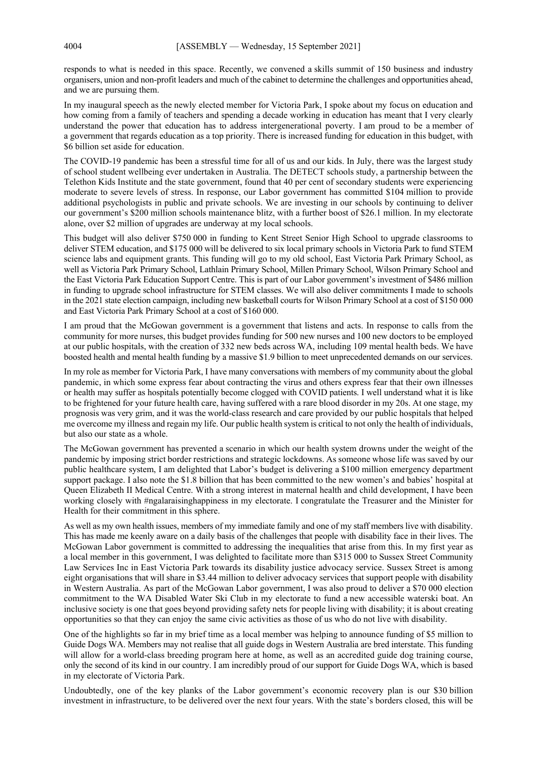responds to what is needed in this space. Recently, we convened a skills summit of 150 business and industry organisers, union and non-profit leaders and much of the cabinet to determine the challenges and opportunities ahead, and we are pursuing them.

In my inaugural speech as the newly elected member for Victoria Park, I spoke about my focus on education and how coming from a family of teachers and spending a decade working in education has meant that I very clearly understand the power that education has to address intergenerational poverty. I am proud to be a member of a government that regards education as a top priority. There is increased funding for education in this budget, with \$6 billion set aside for education.

The COVID-19 pandemic has been a stressful time for all of us and our kids. In July, there was the largest study of school student wellbeing ever undertaken in Australia. The DETECT schools study, a partnership between the Telethon Kids Institute and the state government, found that 40 per cent of secondary students were experiencing moderate to severe levels of stress. In response, our Labor government has committed \$104 million to provide additional psychologists in public and private schools. We are investing in our schools by continuing to deliver our government's \$200 million schools maintenance blitz, with a further boost of \$26.1 million. In my electorate alone, over \$2 million of upgrades are underway at my local schools.

This budget will also deliver \$750 000 in funding to Kent Street Senior High School to upgrade classrooms to deliver STEM education, and \$175 000 will be delivered to six local primary schools in Victoria Park to fund STEM science labs and equipment grants. This funding will go to my old school, East Victoria Park Primary School, as well as Victoria Park Primary School, Lathlain Primary School, Millen Primary School, Wilson Primary School and the East Victoria Park Education Support Centre. This is part of our Labor government's investment of \$486 million in funding to upgrade school infrastructure for STEM classes. We will also deliver commitments I made to schools in the 2021 state election campaign, including new basketball courts for Wilson Primary School at a cost of \$150 000 and East Victoria Park Primary School at a cost of \$160 000.

I am proud that the McGowan government is a government that listens and acts. In response to calls from the community for more nurses, this budget provides funding for 500 new nurses and 100 new doctors to be employed at our public hospitals, with the creation of 332 new beds across WA, including 109 mental health beds. We have boosted health and mental health funding by a massive \$1.9 billion to meet unprecedented demands on our services.

In my role as member for Victoria Park, I have many conversations with members of my community about the global pandemic, in which some express fear about contracting the virus and others express fear that their own illnesses or health may suffer as hospitals potentially become clogged with COVID patients. I well understand what it is like to be frightened for your future health care, having suffered with a rare blood disorder in my 20s. At one stage, my prognosis was very grim, and it was the world-class research and care provided by our public hospitals that helped me overcome my illness and regain my life. Our public health system is critical to not only the health of individuals, but also our state as a whole.

The McGowan government has prevented a scenario in which our health system drowns under the weight of the pandemic by imposing strict border restrictions and strategic lockdowns. As someone whose life was saved by our public healthcare system, I am delighted that Labor's budget is delivering a \$100 million emergency department support package. I also note the \$1.8 billion that has been committed to the new women's and babies' hospital at Queen Elizabeth II Medical Centre. With a strong interest in maternal health and child development, I have been working closely with #ngalaraisinghappiness in my electorate. I congratulate the Treasurer and the Minister for Health for their commitment in this sphere.

As well as my own health issues, members of my immediate family and one of my staff members live with disability. This has made me keenly aware on a daily basis of the challenges that people with disability face in their lives. The McGowan Labor government is committed to addressing the inequalities that arise from this. In my first year as a local member in this government, I was delighted to facilitate more than \$315 000 to Sussex Street Community Law Services Inc in East Victoria Park towards its disability justice advocacy service. Sussex Street is among eight organisations that will share in \$3.44 million to deliver advocacy services that support people with disability in Western Australia. As part of the McGowan Labor government, I was also proud to deliver a \$70 000 election commitment to the WA Disabled Water Ski Club in my electorate to fund a new accessible waterski boat. An inclusive society is one that goes beyond providing safety nets for people living with disability; it is about creating opportunities so that they can enjoy the same civic activities as those of us who do not live with disability.

One of the highlights so far in my brief time as a local member was helping to announce funding of \$5 million to Guide Dogs WA. Members may not realise that all guide dogs in Western Australia are bred interstate. This funding will allow for a world-class breeding program here at home, as well as an accredited guide dog training course, only the second of its kind in our country. I am incredibly proud of our support for Guide Dogs WA, which is based in my electorate of Victoria Park.

Undoubtedly, one of the key planks of the Labor government's economic recovery plan is our \$30 billion investment in infrastructure, to be delivered over the next four years. With the state's borders closed, this will be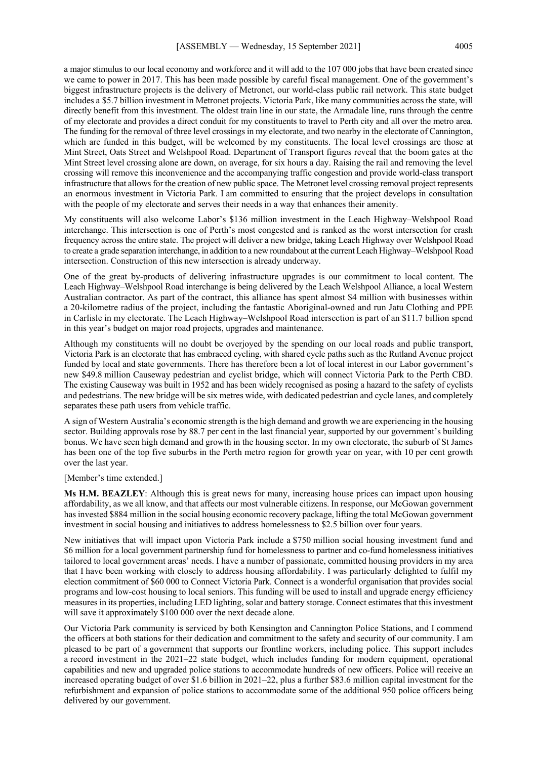a major stimulus to our local economy and workforce and it will add to the 107 000 jobs that have been created since we came to power in 2017. This has been made possible by careful fiscal management. One of the government's biggest infrastructure projects is the delivery of Metronet, our world-class public rail network. This state budget includes a \$5.7 billion investment in Metronet projects. Victoria Park, like many communities across the state, will directly benefit from this investment. The oldest train line in our state, the Armadale line, runs through the centre of my electorate and provides a direct conduit for my constituents to travel to Perth city and all over the metro area. The funding for the removal of three level crossings in my electorate, and two nearby in the electorate of Cannington, which are funded in this budget, will be welcomed by my constituents. The local level crossings are those at Mint Street, Oats Street and Welshpool Road. Department of Transport figures reveal that the boom gates at the Mint Street level crossing alone are down, on average, for six hours a day. Raising the rail and removing the level crossing will remove this inconvenience and the accompanying traffic congestion and provide world-class transport infrastructure that allows for the creation of new public space. The Metronet level crossing removal project represents an enormous investment in Victoria Park. I am committed to ensuring that the project develops in consultation with the people of my electorate and serves their needs in a way that enhances their amenity.

My constituents will also welcome Labor's \$136 million investment in the Leach Highway–Welshpool Road interchange. This intersection is one of Perth's most congested and is ranked as the worst intersection for crash frequency across the entire state. The project will deliver a new bridge, taking Leach Highway over Welshpool Road to create a grade separation interchange, in addition to a new roundabout at the current Leach Highway–Welshpool Road intersection. Construction of this new intersection is already underway.

One of the great by-products of delivering infrastructure upgrades is our commitment to local content. The Leach Highway–Welshpool Road interchange is being delivered by the Leach Welshpool Alliance, a local Western Australian contractor. As part of the contract, this alliance has spent almost \$4 million with businesses within a 20-kilometre radius of the project, including the fantastic Aboriginal-owned and run Jatu Clothing and PPE in Carlisle in my electorate. The Leach Highway–Welshpool Road intersection is part of an \$11.7 billion spend in this year's budget on major road projects, upgrades and maintenance.

Although my constituents will no doubt be overjoyed by the spending on our local roads and public transport, Victoria Park is an electorate that has embraced cycling, with shared cycle paths such as the Rutland Avenue project funded by local and state governments. There has therefore been a lot of local interest in our Labor government's new \$49.8 million Causeway pedestrian and cyclist bridge, which will connect Victoria Park to the Perth CBD. The existing Causeway was built in 1952 and has been widely recognised as posing a hazard to the safety of cyclists and pedestrians. The new bridge will be six metres wide, with dedicated pedestrian and cycle lanes, and completely separates these path users from vehicle traffic.

A sign of Western Australia's economic strength is the high demand and growth we are experiencing in the housing sector. Building approvals rose by 88.7 per cent in the last financial year, supported by our government's building bonus. We have seen high demand and growth in the housing sector. In my own electorate, the suburb of St James has been one of the top five suburbs in the Perth metro region for growth year on year, with 10 per cent growth over the last year.

### [Member's time extended.]

**Ms H.M. BEAZLEY**: Although this is great news for many, increasing house prices can impact upon housing affordability, as we all know, and that affects our most vulnerable citizens. In response, our McGowan government has invested \$884 million in the social housing economic recovery package, lifting the total McGowan government investment in social housing and initiatives to address homelessness to \$2.5 billion over four years.

New initiatives that will impact upon Victoria Park include a \$750 million social housing investment fund and \$6 million for a local government partnership fund for homelessness to partner and co-fund homelessness initiatives tailored to local government areas' needs. I have a number of passionate, committed housing providers in my area that I have been working with closely to address housing affordability. I was particularly delighted to fulfil my election commitment of \$60 000 to Connect Victoria Park. Connect is a wonderful organisation that provides social programs and low-cost housing to local seniors. This funding will be used to install and upgrade energy efficiency measures in its properties, including LED lighting, solar and battery storage. Connect estimates that this investment will save it approximately \$100 000 over the next decade alone.

Our Victoria Park community is serviced by both Kensington and Cannington Police Stations, and I commend the officers at both stations for their dedication and commitment to the safety and security of our community. I am pleased to be part of a government that supports our frontline workers, including police. This support includes a record investment in the 2021–22 state budget, which includes funding for modern equipment, operational capabilities and new and upgraded police stations to accommodate hundreds of new officers. Police will receive an increased operating budget of over \$1.6 billion in 2021–22, plus a further \$83.6 million capital investment for the refurbishment and expansion of police stations to accommodate some of the additional 950 police officers being delivered by our government.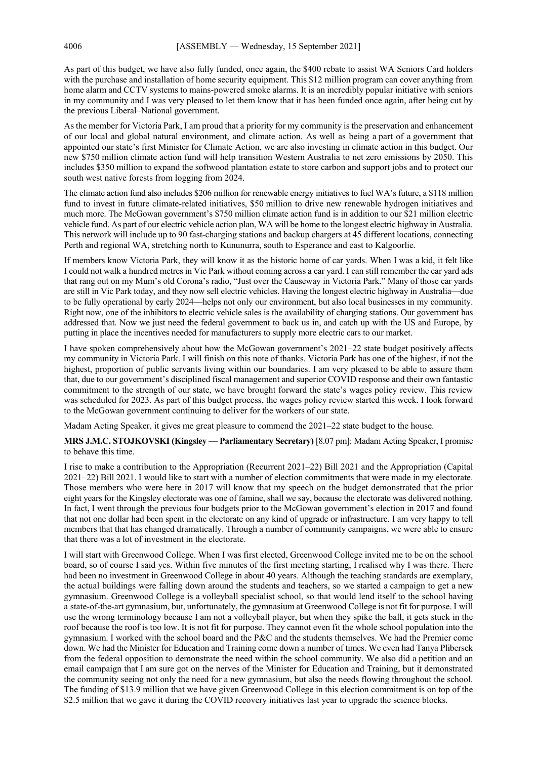As part of this budget, we have also fully funded, once again, the \$400 rebate to assist WA Seniors Card holders with the purchase and installation of home security equipment. This \$12 million program can cover anything from home alarm and CCTV systems to mains-powered smoke alarms. It is an incredibly popular initiative with seniors in my community and I was very pleased to let them know that it has been funded once again, after being cut by the previous Liberal–National government.

As the member for Victoria Park, I am proud that a priority for my community is the preservation and enhancement of our local and global natural environment, and climate action. As well as being a part of a government that appointed our state's first Minister for Climate Action, we are also investing in climate action in this budget. Our new \$750 million climate action fund will help transition Western Australia to net zero emissions by 2050. This includes \$350 million to expand the softwood plantation estate to store carbon and support jobs and to protect our south west native forests from logging from 2024.

The climate action fund also includes \$206 million for renewable energy initiatives to fuel WA's future, a \$118 million fund to invest in future climate-related initiatives, \$50 million to drive new renewable hydrogen initiatives and much more. The McGowan government's \$750 million climate action fund is in addition to our \$21 million electric vehicle fund. As part of our electric vehicle action plan, WA will be home to the longest electric highway in Australia. This network will include up to 90 fast-charging stations and backup chargers at 45 different locations, connecting Perth and regional WA, stretching north to Kununurra, south to Esperance and east to Kalgoorlie.

If members know Victoria Park, they will know it as the historic home of car yards. When I was a kid, it felt like I could not walk a hundred metres in Vic Park without coming across a car yard. I can still remember the car yard ads that rang out on my Mum's old Corona's radio, "Just over the Causeway in Victoria Park." Many of those car yards are still in Vic Park today, and they now sell electric vehicles. Having the longest electric highway in Australia—due to be fully operational by early 2024—helps not only our environment, but also local businesses in my community. Right now, one of the inhibitors to electric vehicle sales is the availability of charging stations. Our government has addressed that. Now we just need the federal government to back us in, and catch up with the US and Europe, by putting in place the incentives needed for manufacturers to supply more electric cars to our market.

I have spoken comprehensively about how the McGowan government's 2021–22 state budget positively affects my community in Victoria Park. I will finish on this note of thanks. Victoria Park has one of the highest, if not the highest, proportion of public servants living within our boundaries. I am very pleased to be able to assure them that, due to our government's disciplined fiscal management and superior COVID response and their own fantastic commitment to the strength of our state, we have brought forward the state's wages policy review. This review was scheduled for 2023. As part of this budget process, the wages policy review started this week. I look forward to the McGowan government continuing to deliver for the workers of our state.

Madam Acting Speaker, it gives me great pleasure to commend the 2021–22 state budget to the house.

**MRS J.M.C. STOJKOVSKI (Kingsley — Parliamentary Secretary)** [8.07 pm]: Madam Acting Speaker, I promise to behave this time.

I rise to make a contribution to the Appropriation (Recurrent 2021–22) Bill 2021 and the Appropriation (Capital 2021–22) Bill 2021. I would like to start with a number of election commitments that were made in my electorate. Those members who were here in 2017 will know that my speech on the budget demonstrated that the prior eight years for the Kingsley electorate was one of famine, shall we say, because the electorate was delivered nothing. In fact, I went through the previous four budgets prior to the McGowan government's election in 2017 and found that not one dollar had been spent in the electorate on any kind of upgrade or infrastructure. I am very happy to tell members that that has changed dramatically. Through a number of community campaigns, we were able to ensure that there was a lot of investment in the electorate.

I will start with Greenwood College. When I was first elected, Greenwood College invited me to be on the school board, so of course I said yes. Within five minutes of the first meeting starting, I realised why I was there. There had been no investment in Greenwood College in about 40 years. Although the teaching standards are exemplary, the actual buildings were falling down around the students and teachers, so we started a campaign to get a new gymnasium. Greenwood College is a volleyball specialist school, so that would lend itself to the school having a state-of-the-art gymnasium, but, unfortunately, the gymnasium at Greenwood College is not fit for purpose. I will use the wrong terminology because I am not a volleyball player, but when they spike the ball, it gets stuck in the roof because the roof is too low. It is not fit for purpose. They cannot even fit the whole school population into the gymnasium. I worked with the school board and the P&C and the students themselves. We had the Premier come down. We had the Minister for Education and Training come down a number of times. We even had Tanya Plibersek from the federal opposition to demonstrate the need within the school community. We also did a petition and an email campaign that I am sure got on the nerves of the Minister for Education and Training, but it demonstrated the community seeing not only the need for a new gymnasium, but also the needs flowing throughout the school. The funding of \$13.9 million that we have given Greenwood College in this election commitment is on top of the \$2.5 million that we gave it during the COVID recovery initiatives last year to upgrade the science blocks.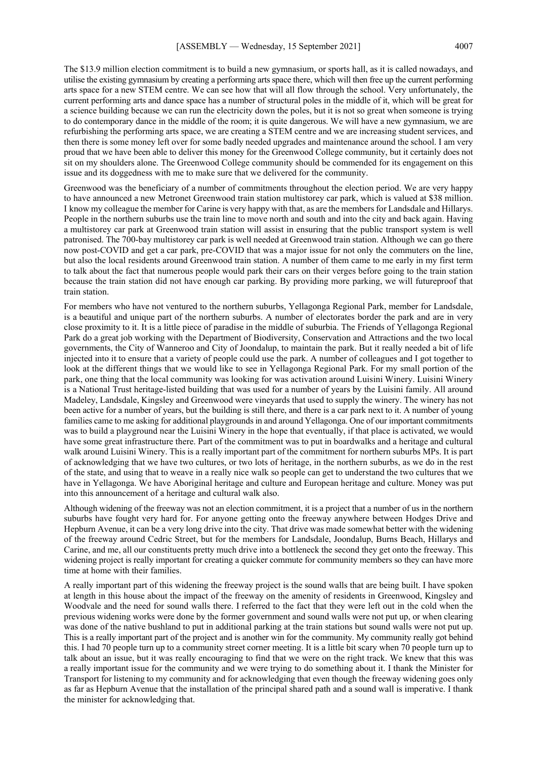The \$13.9 million election commitment is to build a new gymnasium, or sports hall, as it is called nowadays, and utilise the existing gymnasium by creating a performing arts space there, which will then free up the current performing arts space for a new STEM centre. We can see how that will all flow through the school. Very unfortunately, the current performing arts and dance space has a number of structural poles in the middle of it, which will be great for a science building because we can run the electricity down the poles, but it is not so great when someone is trying to do contemporary dance in the middle of the room; it is quite dangerous. We will have a new gymnasium, we are refurbishing the performing arts space, we are creating a STEM centre and we are increasing student services, and then there is some money left over for some badly needed upgrades and maintenance around the school. I am very proud that we have been able to deliver this money for the Greenwood College community, but it certainly does not sit on my shoulders alone. The Greenwood College community should be commended for its engagement on this issue and its doggedness with me to make sure that we delivered for the community.

Greenwood was the beneficiary of a number of commitments throughout the election period. We are very happy to have announced a new Metronet Greenwood train station multistorey car park, which is valued at \$38 million. I know my colleague the member for Carine is very happy with that, as are the members for Landsdale and Hillarys. People in the northern suburbs use the train line to move north and south and into the city and back again. Having a multistorey car park at Greenwood train station will assist in ensuring that the public transport system is well patronised. The 700-bay multistorey car park is well needed at Greenwood train station. Although we can go there now post-COVID and get a car park, pre-COVID that was a major issue for not only the commuters on the line, but also the local residents around Greenwood train station. A number of them came to me early in my first term to talk about the fact that numerous people would park their cars on their verges before going to the train station because the train station did not have enough car parking. By providing more parking, we will futureproof that train station.

For members who have not ventured to the northern suburbs, Yellagonga Regional Park, member for Landsdale, is a beautiful and unique part of the northern suburbs. A number of electorates border the park and are in very close proximity to it. It is a little piece of paradise in the middle of suburbia. The Friends of Yellagonga Regional Park do a great job working with the Department of Biodiversity, Conservation and Attractions and the two local governments, the City of Wanneroo and City of Joondalup, to maintain the park. But it really needed a bit of life injected into it to ensure that a variety of people could use the park. A number of colleagues and I got together to look at the different things that we would like to see in Yellagonga Regional Park. For my small portion of the park, one thing that the local community was looking for was activation around Luisini Winery. Luisini Winery is a National Trust heritage-listed building that was used for a number of years by the Luisini family. All around Madeley, Landsdale, Kingsley and Greenwood were vineyards that used to supply the winery. The winery has not been active for a number of years, but the building is still there, and there is a car park next to it. A number of young families came to me asking for additional playgrounds in and around Yellagonga. One of our important commitments was to build a playground near the Luisini Winery in the hope that eventually, if that place is activated, we would have some great infrastructure there. Part of the commitment was to put in boardwalks and a heritage and cultural walk around Luisini Winery. This is a really important part of the commitment for northern suburbs MPs. It is part of acknowledging that we have two cultures, or two lots of heritage, in the northern suburbs, as we do in the rest of the state, and using that to weave in a really nice walk so people can get to understand the two cultures that we have in Yellagonga. We have Aboriginal heritage and culture and European heritage and culture. Money was put into this announcement of a heritage and cultural walk also.

Although widening of the freeway was not an election commitment, it is a project that a number of us in the northern suburbs have fought very hard for. For anyone getting onto the freeway anywhere between Hodges Drive and Hepburn Avenue, it can be a very long drive into the city. That drive was made somewhat better with the widening of the freeway around Cedric Street, but for the members for Landsdale, Joondalup, Burns Beach, Hillarys and Carine, and me, all our constituents pretty much drive into a bottleneck the second they get onto the freeway. This widening project is really important for creating a quicker commute for community members so they can have more time at home with their families.

A really important part of this widening the freeway project is the sound walls that are being built. I have spoken at length in this house about the impact of the freeway on the amenity of residents in Greenwood, Kingsley and Woodvale and the need for sound walls there. I referred to the fact that they were left out in the cold when the previous widening works were done by the former government and sound walls were not put up, or when clearing was done of the native bushland to put in additional parking at the train stations but sound walls were not put up. This is a really important part of the project and is another win for the community. My community really got behind this. I had 70 people turn up to a community street corner meeting. It is a little bit scary when 70 people turn up to talk about an issue, but it was really encouraging to find that we were on the right track. We knew that this was a really important issue for the community and we were trying to do something about it. I thank the Minister for Transport for listening to my community and for acknowledging that even though the freeway widening goes only as far as Hepburn Avenue that the installation of the principal shared path and a sound wall is imperative. I thank the minister for acknowledging that.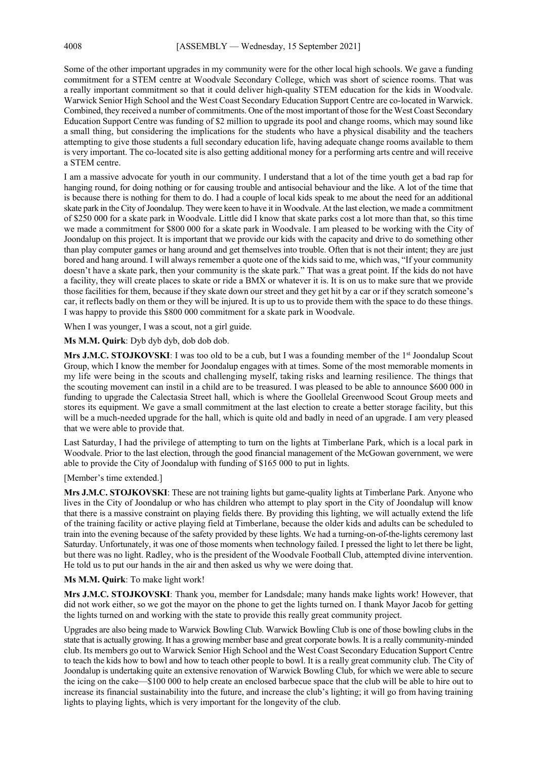Some of the other important upgrades in my community were for the other local high schools. We gave a funding commitment for a STEM centre at Woodvale Secondary College, which was short of science rooms. That was a really important commitment so that it could deliver high-quality STEM education for the kids in Woodvale. Warwick Senior High School and the West Coast Secondary Education Support Centre are co-located in Warwick. Combined, they received a number of commitments. One of the most important of those for the West Coast Secondary Education Support Centre was funding of \$2 million to upgrade its pool and change rooms, which may sound like a small thing, but considering the implications for the students who have a physical disability and the teachers attempting to give those students a full secondary education life, having adequate change rooms available to them is very important. The co-located site is also getting additional money for a performing arts centre and will receive a STEM centre.

I am a massive advocate for youth in our community. I understand that a lot of the time youth get a bad rap for hanging round, for doing nothing or for causing trouble and antisocial behaviour and the like. A lot of the time that is because there is nothing for them to do. I had a couple of local kids speak to me about the need for an additional skate park in the City of Joondalup. They were keen to have it in Woodvale. At the last election, we made a commitment of \$250 000 for a skate park in Woodvale. Little did I know that skate parks cost a lot more than that, so this time we made a commitment for \$800 000 for a skate park in Woodvale. I am pleased to be working with the City of Joondalup on this project. It is important that we provide our kids with the capacity and drive to do something other than play computer games or hang around and get themselves into trouble. Often that is not their intent; they are just bored and hang around. I will always remember a quote one of the kids said to me, which was, "If your community doesn't have a skate park, then your community is the skate park." That was a great point. If the kids do not have a facility, they will create places to skate or ride a BMX or whatever it is. It is on us to make sure that we provide those facilities for them, because if they skate down our street and they get hit by a car or if they scratch someone's car, it reflects badly on them or they will be injured. It is up to us to provide them with the space to do these things. I was happy to provide this \$800 000 commitment for a skate park in Woodvale.

When I was younger, I was a scout, not a girl guide.

Ms M.M. Quirk: Dyb dyb dyb, dob dob dob.

**Mrs J.M.C. STOJKOVSKI**: I was too old to be a cub, but I was a founding member of the 1<sup>st</sup> Joondalup Scout Group, which I know the member for Joondalup engages with at times. Some of the most memorable moments in my life were being in the scouts and challenging myself, taking risks and learning resilience. The things that the scouting movement can instil in a child are to be treasured. I was pleased to be able to announce \$600 000 in funding to upgrade the Calectasia Street hall, which is where the Goollelal Greenwood Scout Group meets and stores its equipment. We gave a small commitment at the last election to create a better storage facility, but this will be a much-needed upgrade for the hall, which is quite old and badly in need of an upgrade. I am very pleased that we were able to provide that.

Last Saturday, I had the privilege of attempting to turn on the lights at Timberlane Park, which is a local park in Woodvale. Prior to the last election, through the good financial management of the McGowan government, we were able to provide the City of Joondalup with funding of \$165 000 to put in lights.

### [Member's time extended.]

**Mrs J.M.C. STOJKOVSKI**: These are not training lights but game-quality lights at Timberlane Park. Anyone who lives in the City of Joondalup or who has children who attempt to play sport in the City of Joondalup will know that there is a massive constraint on playing fields there. By providing this lighting, we will actually extend the life of the training facility or active playing field at Timberlane, because the older kids and adults can be scheduled to train into the evening because of the safety provided by these lights. We had a turning-on-of-the-lights ceremony last Saturday. Unfortunately, it was one of those moments when technology failed. I pressed the light to let there be light, but there was no light. Radley, who is the president of the Woodvale Football Club, attempted divine intervention. He told us to put our hands in the air and then asked us why we were doing that.

### **Ms M.M. Quirk**: To make light work!

**Mrs J.M.C. STOJKOVSKI**: Thank you, member for Landsdale; many hands make lights work! However, that did not work either, so we got the mayor on the phone to get the lights turned on. I thank Mayor Jacob for getting the lights turned on and working with the state to provide this really great community project.

Upgrades are also being made to Warwick Bowling Club. Warwick Bowling Club is one of those bowling clubs in the state that is actually growing. It has a growing member base and great corporate bowls. It is a really community-minded club. Its members go out to Warwick Senior High School and the West Coast Secondary Education Support Centre to teach the kids how to bowl and how to teach other people to bowl. It is a really great community club. The City of Joondalup is undertaking quite an extensive renovation of Warwick Bowling Club, for which we were able to secure the icing on the cake—\$100 000 to help create an enclosed barbecue space that the club will be able to hire out to increase its financial sustainability into the future, and increase the club's lighting; it will go from having training lights to playing lights, which is very important for the longevity of the club.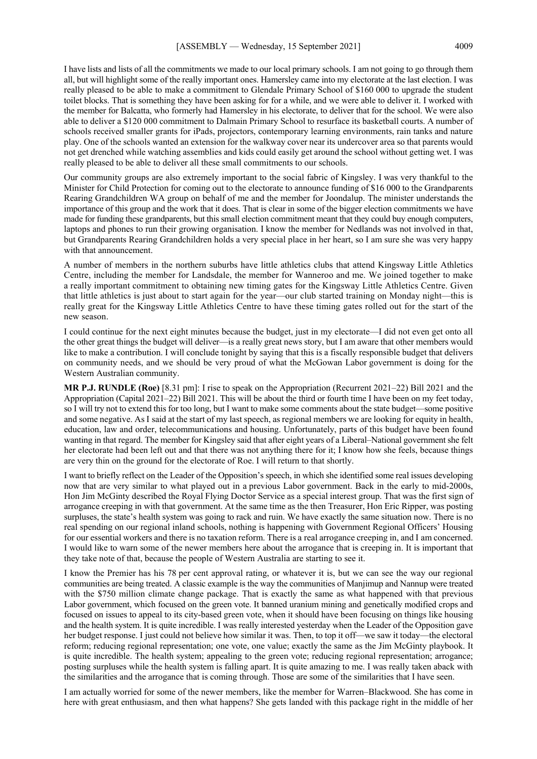I have lists and lists of all the commitments we made to our local primary schools. I am not going to go through them all, but will highlight some of the really important ones. Hamersley came into my electorate at the last election. I was really pleased to be able to make a commitment to Glendale Primary School of \$160 000 to upgrade the student toilet blocks. That is something they have been asking for for a while, and we were able to deliver it. I worked with the member for Balcatta, who formerly had Hamersley in his electorate, to deliver that for the school. We were also able to deliver a \$120 000 commitment to Dalmain Primary School to resurface its basketball courts. A number of schools received smaller grants for iPads, projectors, contemporary learning environments, rain tanks and nature play. One of the schools wanted an extension for the walkway cover near its undercover area so that parents would not get drenched while watching assemblies and kids could easily get around the school without getting wet. I was really pleased to be able to deliver all these small commitments to our schools.

Our community groups are also extremely important to the social fabric of Kingsley. I was very thankful to the Minister for Child Protection for coming out to the electorate to announce funding of \$16 000 to the Grandparents Rearing Grandchildren WA group on behalf of me and the member for Joondalup. The minister understands the importance of this group and the work that it does. That is clear in some of the bigger election commitments we have made for funding these grandparents, but this small election commitment meant that they could buy enough computers, laptops and phones to run their growing organisation. I know the member for Nedlands was not involved in that, but Grandparents Rearing Grandchildren holds a very special place in her heart, so I am sure she was very happy with that announcement.

A number of members in the northern suburbs have little athletics clubs that attend Kingsway Little Athletics Centre, including the member for Landsdale, the member for Wanneroo and me. We joined together to make a really important commitment to obtaining new timing gates for the Kingsway Little Athletics Centre. Given that little athletics is just about to start again for the year—our club started training on Monday night—this is really great for the Kingsway Little Athletics Centre to have these timing gates rolled out for the start of the new season.

I could continue for the next eight minutes because the budget, just in my electorate—I did not even get onto all the other great things the budget will deliver—is a really great news story, but I am aware that other members would like to make a contribution. I will conclude tonight by saying that this is a fiscally responsible budget that delivers on community needs, and we should be very proud of what the McGowan Labor government is doing for the Western Australian community.

**MR P.J. RUNDLE (Roe)** [8.31 pm]: I rise to speak on the Appropriation (Recurrent 2021–22) Bill 2021 and the Appropriation (Capital 2021–22) Bill 2021. This will be about the third or fourth time I have been on my feet today, so I will try not to extend this for too long, but I want to make some comments about the state budget—some positive and some negative. As I said at the start of my last speech, as regional members we are looking for equity in health, education, law and order, telecommunications and housing. Unfortunately, parts of this budget have been found wanting in that regard. The member for Kingsley said that after eight years of a Liberal–National government she felt her electorate had been left out and that there was not anything there for it; I know how she feels, because things are very thin on the ground for the electorate of Roe. I will return to that shortly.

I want to briefly reflect on the Leader of the Opposition's speech, in which she identified some real issues developing now that are very similar to what played out in a previous Labor government. Back in the early to mid-2000s, Hon Jim McGinty described the Royal Flying Doctor Service as a special interest group. That was the first sign of arrogance creeping in with that government. At the same time as the then Treasurer, Hon Eric Ripper, was posting surpluses, the state's health system was going to rack and ruin. We have exactly the same situation now. There is no real spending on our regional inland schools, nothing is happening with Government Regional Officers' Housing for our essential workers and there is no taxation reform. There is a real arrogance creeping in, and I am concerned. I would like to warn some of the newer members here about the arrogance that is creeping in. It is important that they take note of that, because the people of Western Australia are starting to see it.

I know the Premier has his 78 per cent approval rating, or whatever it is, but we can see the way our regional communities are being treated. A classic example is the way the communities of Manjimup and Nannup were treated with the \$750 million climate change package. That is exactly the same as what happened with that previous Labor government, which focused on the green vote. It banned uranium mining and genetically modified crops and focused on issues to appeal to its city-based green vote, when it should have been focusing on things like housing and the health system. It is quite incredible. I was really interested yesterday when the Leader of the Opposition gave her budget response. I just could not believe how similar it was. Then, to top it off—we saw it today—the electoral reform; reducing regional representation; one vote, one value; exactly the same as the Jim McGinty playbook. It is quite incredible. The health system; appealing to the green vote; reducing regional representation; arrogance; posting surpluses while the health system is falling apart. It is quite amazing to me. I was really taken aback with the similarities and the arrogance that is coming through. Those are some of the similarities that I have seen.

I am actually worried for some of the newer members, like the member for Warren–Blackwood. She has come in here with great enthusiasm, and then what happens? She gets landed with this package right in the middle of her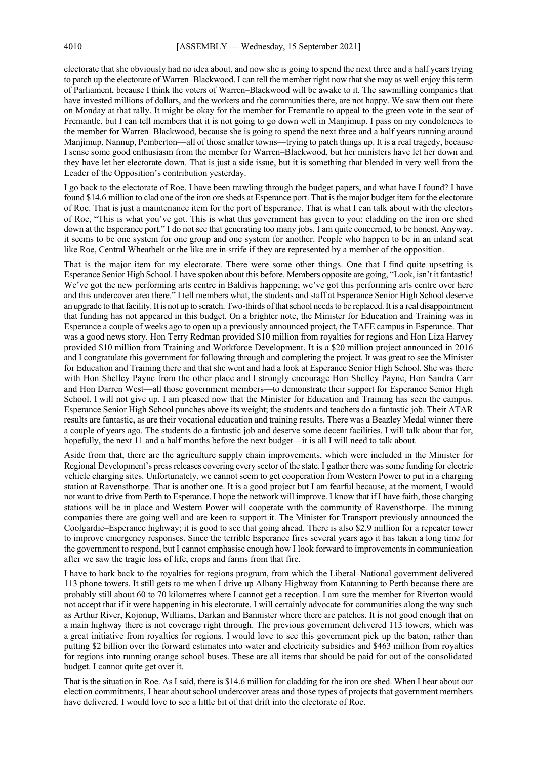electorate that she obviously had no idea about, and now she is going to spend the next three and a half years trying to patch up the electorate of Warren–Blackwood. I can tell the member right now that she may as well enjoy this term of Parliament, because I think the voters of Warren–Blackwood will be awake to it. The sawmilling companies that have invested millions of dollars, and the workers and the communities there, are not happy. We saw them out there on Monday at that rally. It might be okay for the member for Fremantle to appeal to the green vote in the seat of Fremantle, but I can tell members that it is not going to go down well in Manjimup. I pass on my condolences to the member for Warren–Blackwood, because she is going to spend the next three and a half years running around Manjimup, Nannup, Pemberton—all of those smaller towns—trying to patch things up. It is a real tragedy, because I sense some good enthusiasm from the member for Warren–Blackwood, but her ministers have let her down and they have let her electorate down. That is just a side issue, but it is something that blended in very well from the Leader of the Opposition's contribution yesterday.

I go back to the electorate of Roe. I have been trawling through the budget papers, and what have I found? I have found \$14.6 million to clad one of the iron ore sheds at Esperance port. That is the major budget item for the electorate of Roe. That is just a maintenance item for the port of Esperance. That is what I can talk about with the electors of Roe, "This is what you've got. This is what this government has given to you: cladding on the iron ore shed down at the Esperance port." I do not see that generating too many jobs. I am quite concerned, to be honest. Anyway, it seems to be one system for one group and one system for another. People who happen to be in an inland seat like Roe, Central Wheatbelt or the like are in strife if they are represented by a member of the opposition.

That is the major item for my electorate. There were some other things. One that I find quite upsetting is Esperance Senior High School. I have spoken about this before. Members opposite are going, "Look, isn't it fantastic! We've got the new performing arts centre in Baldivis happening; we've got this performing arts centre over here and this undercover area there." I tell members what, the students and staff at Esperance Senior High School deserve an upgrade to that facility. It is not up to scratch. Two-thirds of that school needs to be replaced. It is a real disappointment that funding has not appeared in this budget. On a brighter note, the Minister for Education and Training was in Esperance a couple of weeks ago to open up a previously announced project, the TAFE campus in Esperance. That was a good news story. Hon Terry Redman provided \$10 million from royalties for regions and Hon Liza Harvey provided \$10 million from Training and Workforce Development. It is a \$20 million project announced in 2016 and I congratulate this government for following through and completing the project. It was great to see the Minister for Education and Training there and that she went and had a look at Esperance Senior High School. She was there with Hon Shelley Payne from the other place and I strongly encourage Hon Shelley Payne, Hon Sandra Carr and Hon Darren West—all those government members—to demonstrate their support for Esperance Senior High School. I will not give up. I am pleased now that the Minister for Education and Training has seen the campus. Esperance Senior High School punches above its weight; the students and teachers do a fantastic job. Their ATAR results are fantastic, as are their vocational education and training results. There was a Beazley Medal winner there a couple of years ago. The students do a fantastic job and deserve some decent facilities. I will talk about that for, hopefully, the next 11 and a half months before the next budget—it is all I will need to talk about.

Aside from that, there are the agriculture supply chain improvements, which were included in the Minister for Regional Development's press releases covering every sector of the state. I gather there was some funding for electric vehicle charging sites. Unfortunately, we cannot seem to get cooperation from Western Power to put in a charging station at Ravensthorpe. That is another one. It is a good project but I am fearful because, at the moment, I would not want to drive from Perth to Esperance. I hope the network will improve. I know that if I have faith, those charging stations will be in place and Western Power will cooperate with the community of Ravensthorpe. The mining companies there are going well and are keen to support it. The Minister for Transport previously announced the Coolgardie–Esperance highway; it is good to see that going ahead. There is also \$2.9 million for a repeater tower to improve emergency responses. Since the terrible Esperance fires several years ago it has taken a long time for the government to respond, but I cannot emphasise enough how I look forward to improvements in communication after we saw the tragic loss of life, crops and farms from that fire.

I have to hark back to the royalties for regions program, from which the Liberal–National government delivered 113 phone towers. It still gets to me when I drive up Albany Highway from Katanning to Perth because there are probably still about 60 to 70 kilometres where I cannot get a reception. I am sure the member for Riverton would not accept that if it were happening in his electorate. I will certainly advocate for communities along the way such as Arthur River, Kojonup, Williams, Darkan and Bannister where there are patches. It is not good enough that on a main highway there is not coverage right through. The previous government delivered 113 towers, which was a great initiative from royalties for regions. I would love to see this government pick up the baton, rather than putting \$2 billion over the forward estimates into water and electricity subsidies and \$463 million from royalties for regions into running orange school buses. These are all items that should be paid for out of the consolidated budget. I cannot quite get over it.

That is the situation in Roe. As I said, there is \$14.6 million for cladding for the iron ore shed. When I hear about our election commitments, I hear about school undercover areas and those types of projects that government members have delivered. I would love to see a little bit of that drift into the electorate of Roe.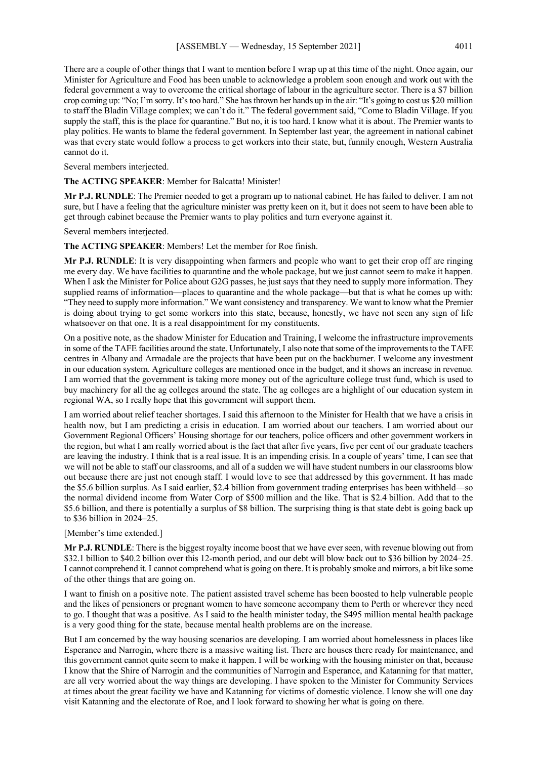There are a couple of other things that I want to mention before I wrap up at this time of the night. Once again, our Minister for Agriculture and Food has been unable to acknowledge a problem soon enough and work out with the federal government a way to overcome the critical shortage of labour in the agriculture sector. There is a \$7 billion crop coming up: "No; I'm sorry. It's too hard." She has thrown her hands up in the air: "It's going to cost us \$20 million to staff the Bladin Village complex; we can't do it." The federal government said, "Come to Bladin Village. If you supply the staff, this is the place for quarantine." But no, it is too hard. I know what it is about. The Premier wants to play politics. He wants to blame the federal government. In September last year, the agreement in national cabinet was that every state would follow a process to get workers into their state, but, funnily enough, Western Australia cannot do it.

Several members interjected.

**The ACTING SPEAKER**: Member for Balcatta! Minister!

**Mr P.J. RUNDLE**: The Premier needed to get a program up to national cabinet. He has failed to deliver. I am not sure, but I have a feeling that the agriculture minister was pretty keen on it, but it does not seem to have been able to get through cabinet because the Premier wants to play politics and turn everyone against it.

Several members interjected.

**The ACTING SPEAKER**: Members! Let the member for Roe finish.

**Mr P.J. RUNDLE**: It is very disappointing when farmers and people who want to get their crop off are ringing me every day. We have facilities to quarantine and the whole package, but we just cannot seem to make it happen. When I ask the Minister for Police about G2G passes, he just says that they need to supply more information. They supplied reams of information—places to quarantine and the whole package—but that is what he comes up with: "They need to supply more information." We want consistency and transparency. We want to know what the Premier is doing about trying to get some workers into this state, because, honestly, we have not seen any sign of life whatsoever on that one. It is a real disappointment for my constituents.

On a positive note, as the shadow Minister for Education and Training, I welcome the infrastructure improvements in some of the TAFE facilities around the state. Unfortunately, I also note that some of the improvements to the TAFE centres in Albany and Armadale are the projects that have been put on the backburner. I welcome any investment in our education system. Agriculture colleges are mentioned once in the budget, and it shows an increase in revenue. I am worried that the government is taking more money out of the agriculture college trust fund, which is used to buy machinery for all the ag colleges around the state. The ag colleges are a highlight of our education system in regional WA, so I really hope that this government will support them.

I am worried about relief teacher shortages. I said this afternoon to the Minister for Health that we have a crisis in health now, but I am predicting a crisis in education. I am worried about our teachers. I am worried about our Government Regional Officers' Housing shortage for our teachers, police officers and other government workers in the region, but what I am really worried about is the fact that after five years, five per cent of our graduate teachers are leaving the industry. I think that is a real issue. It is an impending crisis. In a couple of years' time, I can see that we will not be able to staff our classrooms, and all of a sudden we will have student numbers in our classrooms blow out because there are just not enough staff. I would love to see that addressed by this government. It has made the \$5.6 billion surplus. As I said earlier, \$2.4 billion from government trading enterprises has been withheld—so the normal dividend income from Water Corp of \$500 million and the like. That is \$2.4 billion. Add that to the \$5.6 billion, and there is potentially a surplus of \$8 billion. The surprising thing is that state debt is going back up to \$36 billion in 2024–25.

### [Member's time extended.]

**Mr P.J. RUNDLE**: There is the biggest royalty income boost that we have ever seen, with revenue blowing out from \$32.1 billion to \$40.2 billion over this 12-month period, and our debt will blow back out to \$36 billion by 2024–25. I cannot comprehend it. I cannot comprehend what is going on there. It is probably smoke and mirrors, a bit like some of the other things that are going on.

I want to finish on a positive note. The patient assisted travel scheme has been boosted to help vulnerable people and the likes of pensioners or pregnant women to have someone accompany them to Perth or wherever they need to go. I thought that was a positive. As I said to the health minister today, the \$495 million mental health package is a very good thing for the state, because mental health problems are on the increase.

But I am concerned by the way housing scenarios are developing. I am worried about homelessness in places like Esperance and Narrogin, where there is a massive waiting list. There are houses there ready for maintenance, and this government cannot quite seem to make it happen. I will be working with the housing minister on that, because I know that the Shire of Narrogin and the communities of Narrogin and Esperance, and Katanning for that matter, are all very worried about the way things are developing. I have spoken to the Minister for Community Services at times about the great facility we have and Katanning for victims of domestic violence. I know she will one day visit Katanning and the electorate of Roe, and I look forward to showing her what is going on there.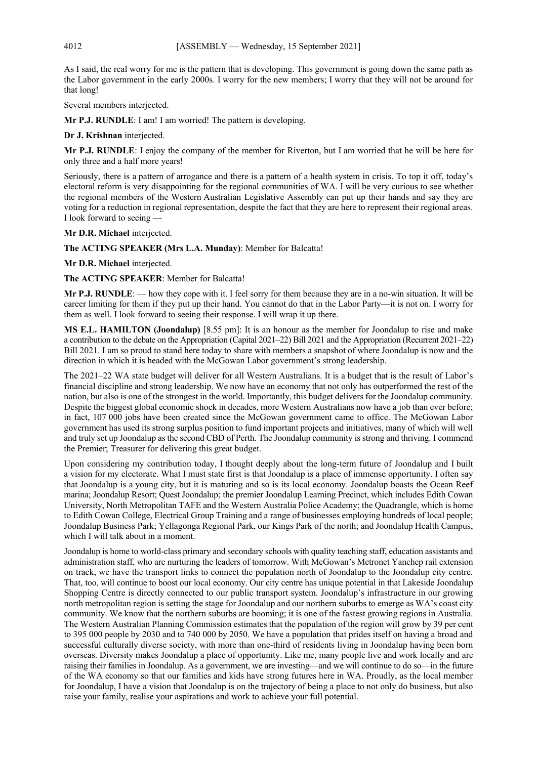As I said, the real worry for me is the pattern that is developing. This government is going down the same path as the Labor government in the early 2000s. I worry for the new members; I worry that they will not be around for that long!

Several members interjected.

**Mr P.J. RUNDLE**: I am! I am worried! The pattern is developing.

**Dr J. Krishnan** interjected.

**Mr P.J. RUNDLE**: I enjoy the company of the member for Riverton, but I am worried that he will be here for only three and a half more years!

Seriously, there is a pattern of arrogance and there is a pattern of a health system in crisis. To top it off, today's electoral reform is very disappointing for the regional communities of WA. I will be very curious to see whether the regional members of the Western Australian Legislative Assembly can put up their hands and say they are voting for a reduction in regional representation, despite the fact that they are here to represent their regional areas. I look forward to seeing —

**Mr D.R. Michael interjected.** 

# **The ACTING SPEAKER (Mrs L.A. Munday)**: Member for Balcatta!

**Mr D.R. Michael** interjected.

**The ACTING SPEAKER**: Member for Balcatta!

**Mr P.J. RUNDLE**: — how they cope with it. I feel sorry for them because they are in a no-win situation. It will be career limiting for them if they put up their hand. You cannot do that in the Labor Party—it is not on. I worry for them as well. I look forward to seeing their response. I will wrap it up there.

**MS E.L. HAMILTON (Joondalup)** [8.55 pm]: It is an honour as the member for Joondalup to rise and make a contribution to the debate on the Appropriation (Capital 2021–22) Bill 2021 and the Appropriation (Recurrent 2021–22) Bill 2021. I am so proud to stand here today to share with members a snapshot of where Joondalup is now and the direction in which it is headed with the McGowan Labor government's strong leadership.

The 2021–22 WA state budget will deliver for all Western Australians. It is a budget that is the result of Labor's financial discipline and strong leadership. We now have an economy that not only has outperformed the rest of the nation, but also is one of the strongest in the world. Importantly, this budget delivers for the Joondalup community. Despite the biggest global economic shock in decades, more Western Australians now have a job than ever before; in fact, 107 000 jobs have been created since the McGowan government came to office. The McGowan Labor government has used its strong surplus position to fund important projects and initiatives, many of which will well and truly set up Joondalup as the second CBD of Perth. The Joondalup community is strong and thriving. I commend the Premier; Treasurer for delivering this great budget.

Upon considering my contribution today, I thought deeply about the long-term future of Joondalup and I built a vision for my electorate. What I must state first is that Joondalup is a place of immense opportunity. I often say that Joondalup is a young city, but it is maturing and so is its local economy. Joondalup boasts the Ocean Reef marina; Joondalup Resort; Quest Joondalup; the premier Joondalup Learning Precinct, which includes Edith Cowan University, North Metropolitan TAFE and the Western Australia Police Academy; the Quadrangle, which is home to Edith Cowan College, Electrical Group Training and a range of businesses employing hundreds of local people; Joondalup Business Park; Yellagonga Regional Park, our Kings Park of the north; and Joondalup Health Campus, which I will talk about in a moment.

Joondalup is home to world-class primary and secondary schools with quality teaching staff, education assistants and administration staff, who are nurturing the leaders of tomorrow. With McGowan's Metronet Yanchep rail extension on track, we have the transport links to connect the population north of Joondalup to the Joondalup city centre. That, too, will continue to boost our local economy. Our city centre has unique potential in that Lakeside Joondalup Shopping Centre is directly connected to our public transport system. Joondalup's infrastructure in our growing north metropolitan region is setting the stage for Joondalup and our northern suburbs to emerge as WA's coast city community. We know that the northern suburbs are booming; it is one of the fastest growing regions in Australia. The Western Australian Planning Commission estimates that the population of the region will grow by 39 per cent to 395 000 people by 2030 and to 740 000 by 2050. We have a population that prides itself on having a broad and successful culturally diverse society, with more than one-third of residents living in Joondalup having been born overseas. Diversity makes Joondalup a place of opportunity. Like me, many people live and work locally and are raising their families in Joondalup. As a government, we are investing—and we will continue to do so—in the future of the WA economy so that our families and kids have strong futures here in WA. Proudly, as the local member for Joondalup, I have a vision that Joondalup is on the trajectory of being a place to not only do business, but also raise your family, realise your aspirations and work to achieve your full potential.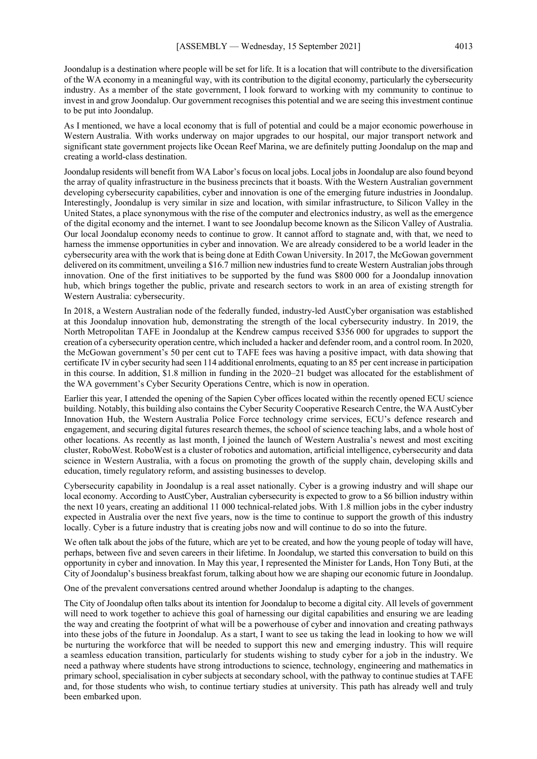Joondalup is a destination where people will be set for life. It is a location that will contribute to the diversification of the WA economy in a meaningful way, with its contribution to the digital economy, particularly the cybersecurity industry. As a member of the state government, I look forward to working with my community to continue to invest in and grow Joondalup. Our government recognises this potential and we are seeing this investment continue to be put into Joondalup.

As I mentioned, we have a local economy that is full of potential and could be a major economic powerhouse in Western Australia. With works underway on major upgrades to our hospital, our major transport network and significant state government projects like Ocean Reef Marina, we are definitely putting Joondalup on the map and creating a world-class destination.

Joondalup residents will benefit from WA Labor's focus on local jobs. Local jobs in Joondalup are also found beyond the array of quality infrastructure in the business precincts that it boasts. With the Western Australian government developing cybersecurity capabilities, cyber and innovation is one of the emerging future industries in Joondalup. Interestingly, Joondalup is very similar in size and location, with similar infrastructure, to Silicon Valley in the United States, a place synonymous with the rise of the computer and electronics industry, as well as the emergence of the digital economy and the internet. I want to see Joondalup become known as the Silicon Valley of Australia. Our local Joondalup economy needs to continue to grow. It cannot afford to stagnate and, with that, we need to harness the immense opportunities in cyber and innovation. We are already considered to be a world leader in the cybersecurity area with the work that is being done at Edith Cowan University. In 2017, the McGowan government delivered on its commitment, unveiling a \$16.7 million new industries fund to create Western Australian jobs through innovation. One of the first initiatives to be supported by the fund was \$800 000 for a Joondalup innovation hub, which brings together the public, private and research sectors to work in an area of existing strength for Western Australia: cybersecurity.

In 2018, a Western Australian node of the federally funded, industry-led AustCyber organisation was established at this Joondalup innovation hub, demonstrating the strength of the local cybersecurity industry. In 2019, the North Metropolitan TAFE in Joondalup at the Kendrew campus received \$356 000 for upgrades to support the creation of a cybersecurity operation centre, which included a hacker and defender room, and a control room. In 2020, the McGowan government's 50 per cent cut to TAFE fees was having a positive impact, with data showing that certificate IV in cyber security had seen 114 additional enrolments, equating to an 85 per cent increase in participation in this course. In addition, \$1.8 million in funding in the 2020–21 budget was allocated for the establishment of the WA government's Cyber Security Operations Centre, which is now in operation.

Earlier this year, I attended the opening of the Sapien Cyber offices located within the recently opened ECU science building. Notably, this building also contains the Cyber Security Cooperative Research Centre, the WA AustCyber Innovation Hub, the Western Australia Police Force technology crime services, ECU's defence research and engagement, and securing digital futures research themes, the school of science teaching labs, and a whole host of other locations. As recently as last month, I joined the launch of Western Australia's newest and most exciting cluster, RoboWest. RoboWest is a cluster of robotics and automation, artificial intelligence, cybersecurity and data science in Western Australia, with a focus on promoting the growth of the supply chain, developing skills and education, timely regulatory reform, and assisting businesses to develop.

Cybersecurity capability in Joondalup is a real asset nationally. Cyber is a growing industry and will shape our local economy. According to AustCyber, Australian cybersecurity is expected to grow to a \$6 billion industry within the next 10 years, creating an additional 11 000 technical-related jobs. With 1.8 million jobs in the cyber industry expected in Australia over the next five years, now is the time to continue to support the growth of this industry locally. Cyber is a future industry that is creating jobs now and will continue to do so into the future.

We often talk about the jobs of the future, which are yet to be created, and how the young people of today will have, perhaps, between five and seven careers in their lifetime. In Joondalup, we started this conversation to build on this opportunity in cyber and innovation. In May this year, I represented the Minister for Lands, Hon Tony Buti, at the City of Joondalup's business breakfast forum, talking about how we are shaping our economic future in Joondalup.

One of the prevalent conversations centred around whether Joondalup is adapting to the changes.

The City of Joondalup often talks about its intention for Joondalup to become a digital city. All levels of government will need to work together to achieve this goal of harnessing our digital capabilities and ensuring we are leading the way and creating the footprint of what will be a powerhouse of cyber and innovation and creating pathways into these jobs of the future in Joondalup. As a start, I want to see us taking the lead in looking to how we will be nurturing the workforce that will be needed to support this new and emerging industry. This will require a seamless education transition, particularly for students wishing to study cyber for a job in the industry. We need a pathway where students have strong introductions to science, technology, engineering and mathematics in primary school, specialisation in cyber subjects at secondary school, with the pathway to continue studies at TAFE and, for those students who wish, to continue tertiary studies at university. This path has already well and truly been embarked upon.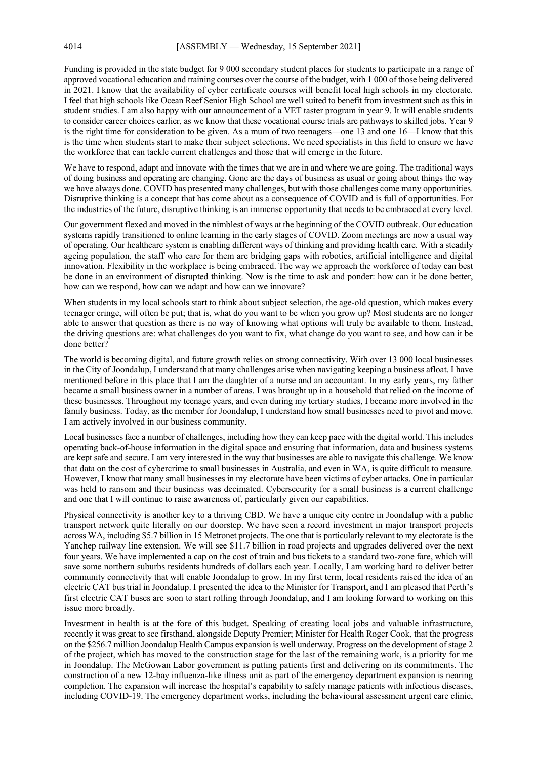Funding is provided in the state budget for 9 000 secondary student places for students to participate in a range of approved vocational education and training courses over the course of the budget, with 1 000 of those being delivered in 2021. I know that the availability of cyber certificate courses will benefit local high schools in my electorate. I feel that high schools like Ocean Reef Senior High School are well suited to benefit from investment such as this in student studies. I am also happy with our announcement of a VET taster program in year 9. It will enable students to consider career choices earlier, as we know that these vocational course trials are pathways to skilled jobs. Year 9 is the right time for consideration to be given. As a mum of two teenagers—one 13 and one 16—I know that this is the time when students start to make their subject selections. We need specialists in this field to ensure we have the workforce that can tackle current challenges and those that will emerge in the future.

We have to respond, adapt and innovate with the times that we are in and where we are going. The traditional ways of doing business and operating are changing. Gone are the days of business as usual or going about things the way we have always done. COVID has presented many challenges, but with those challenges come many opportunities. Disruptive thinking is a concept that has come about as a consequence of COVID and is full of opportunities. For the industries of the future, disruptive thinking is an immense opportunity that needs to be embraced at every level.

Our government flexed and moved in the nimblest of ways at the beginning of the COVID outbreak. Our education systems rapidly transitioned to online learning in the early stages of COVID. Zoom meetings are now a usual way of operating. Our healthcare system is enabling different ways of thinking and providing health care. With a steadily ageing population, the staff who care for them are bridging gaps with robotics, artificial intelligence and digital innovation. Flexibility in the workplace is being embraced. The way we approach the workforce of today can best be done in an environment of disrupted thinking. Now is the time to ask and ponder: how can it be done better, how can we respond, how can we adapt and how can we innovate?

When students in my local schools start to think about subject selection, the age-old question, which makes every teenager cringe, will often be put; that is, what do you want to be when you grow up? Most students are no longer able to answer that question as there is no way of knowing what options will truly be available to them. Instead, the driving questions are: what challenges do you want to fix, what change do you want to see, and how can it be done better?

The world is becoming digital, and future growth relies on strong connectivity. With over 13 000 local businesses in the City of Joondalup, I understand that many challenges arise when navigating keeping a business afloat. I have mentioned before in this place that I am the daughter of a nurse and an accountant. In my early years, my father became a small business owner in a number of areas. I was brought up in a household that relied on the income of these businesses. Throughout my teenage years, and even during my tertiary studies, I became more involved in the family business. Today, as the member for Joondalup, I understand how small businesses need to pivot and move. I am actively involved in our business community.

Local businesses face a number of challenges, including how they can keep pace with the digital world. This includes operating back-of-house information in the digital space and ensuring that information, data and business systems are kept safe and secure. I am very interested in the way that businesses are able to navigate this challenge. We know that data on the cost of cybercrime to small businesses in Australia, and even in WA, is quite difficult to measure. However, I know that many small businesses in my electorate have been victims of cyber attacks. One in particular was held to ransom and their business was decimated. Cybersecurity for a small business is a current challenge and one that I will continue to raise awareness of, particularly given our capabilities.

Physical connectivity is another key to a thriving CBD. We have a unique city centre in Joondalup with a public transport network quite literally on our doorstep. We have seen a record investment in major transport projects across WA, including \$5.7 billion in 15 Metronet projects. The one that is particularly relevant to my electorate is the Yanchep railway line extension. We will see \$11.7 billion in road projects and upgrades delivered over the next four years. We have implemented a cap on the cost of train and bus tickets to a standard two-zone fare, which will save some northern suburbs residents hundreds of dollars each year. Locally, I am working hard to deliver better community connectivity that will enable Joondalup to grow. In my first term, local residents raised the idea of an electric CAT bus trial in Joondalup. I presented the idea to the Minister for Transport, and I am pleased that Perth's first electric CAT buses are soon to start rolling through Joondalup, and I am looking forward to working on this issue more broadly.

Investment in health is at the fore of this budget. Speaking of creating local jobs and valuable infrastructure, recently it was great to see firsthand, alongside Deputy Premier; Minister for Health Roger Cook, that the progress on the \$256.7 million Joondalup Health Campus expansion is well underway. Progress on the development of stage 2 of the project, which has moved to the construction stage for the last of the remaining work, is a priority for me in Joondalup. The McGowan Labor government is putting patients first and delivering on its commitments. The construction of a new 12-bay influenza-like illness unit as part of the emergency department expansion is nearing completion. The expansion will increase the hospital's capability to safely manage patients with infectious diseases, including COVID-19. The emergency department works, including the behavioural assessment urgent care clinic,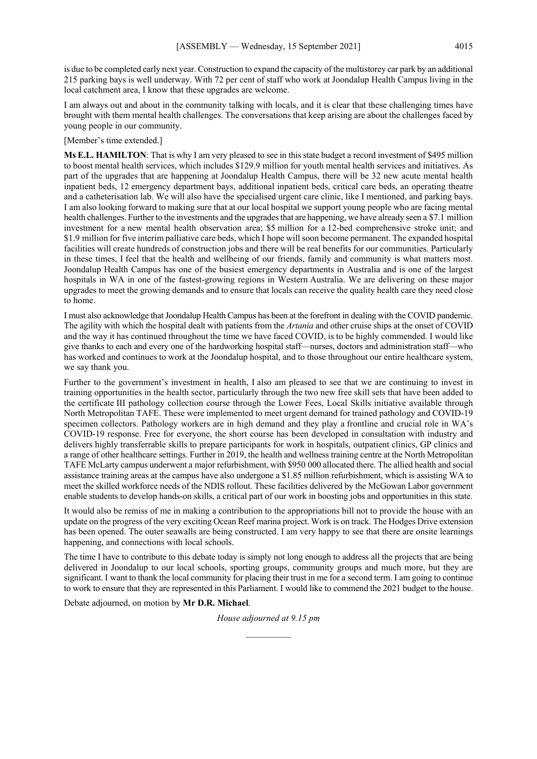is due to be completed early next year. Construction to expand the capacity of the multistorey car park by an additional 215 parking bays is well underway. With 72 per cent of staff who work at Joondalup Health Campus living in the local catchment area, I know that these upgrades are welcome.

I am always out and about in the community talking with locals, and it is clear that these challenging times have brought with them mental health challenges. The conversations that keep arising are about the challenges faced by young people in our community.

## [Member's time extended.]

**Ms E.L. HAMILTON**: That is why I am very pleased to see in this state budget a record investment of \$495 million to boost mental health services, which includes \$129.9 million for youth mental health services and initiatives. As part of the upgrades that are happening at Joondalup Health Campus, there will be 32 new acute mental health inpatient beds, 12 emergency department bays, additional inpatient beds, critical care beds, an operating theatre and a catheterisation lab. We will also have the specialised urgent care clinic, like I mentioned, and parking bays. I am also looking forward to making sure that at our local hospital we support young people who are facing mental health challenges. Further to the investments and the upgrades that are happening, we have already seen a \$7.1 million investment for a new mental health observation area; \$5 million for a 12-bed comprehensive stroke unit; and \$1.9 million for five interim palliative care beds, which I hope will soon become permanent. The expanded hospital facilities will create hundreds of construction jobs and there will be real benefits for our communities. Particularly in these times, I feel that the health and wellbeing of our friends, family and community is what matters most. Joondalup Health Campus has one of the busiest emergency departments in Australia and is one of the largest hospitals in WA in one of the fastest-growing regions in Western Australia. We are delivering on these major upgrades to meet the growing demands and to ensure that locals can receive the quality health care they need close to home.

I must also acknowledge that Joondalup Health Campus has been at the forefront in dealing with the COVID pandemic. The agility with which the hospital dealt with patients from the *Artania* and other cruise ships at the onset of COVID and the way it has continued throughout the time we have faced COVID, is to be highly commended. I would like give thanks to each and every one of the hardworking hospital staff—nurses, doctors and administration staff—who has worked and continues to work at the Joondalup hospital, and to those throughout our entire healthcare system, we say thank you.

Further to the government's investment in health, I also am pleased to see that we are continuing to invest in training opportunities in the health sector, particularly through the two new free skill sets that have been added to the certificate III pathology collection course through the Lower Fees, Local Skills initiative available through North Metropolitan TAFE. These were implemented to meet urgent demand for trained pathology and COVID-19 specimen collectors. Pathology workers are in high demand and they play a frontline and crucial role in WA's COVID-19 response. Free for everyone, the short course has been developed in consultation with industry and delivers highly transferrable skills to prepare participants for work in hospitals, outpatient clinics, GP clinics and a range of other healthcare settings. Further in 2019, the health and wellness training centre at the North Metropolitan TAFE McLarty campus underwent a major refurbishment, with \$950 000 allocated there. The allied health and social assistance training areas at the campus have also undergone a \$1.85 million refurbishment, which is assisting WA to meet the skilled workforce needs of the NDIS rollout. These facilities delivered by the McGowan Labor government enable students to develop hands-on skills, a critical part of our work in boosting jobs and opportunities in this state.

It would also be remiss of me in making a contribution to the appropriations bill not to provide the house with an update on the progress of the very exciting Ocean Reef marina project. Work is on track. The Hodges Drive extension has been opened. The outer seawalls are being constructed. I am very happy to see that there are onsite learnings happening, and connections with local schools.

The time I have to contribute to this debate today is simply not long enough to address all the projects that are being delivered in Joondalup to our local schools, sporting groups, community groups and much more, but they are significant. I want to thank the local community for placing their trust in me for a second term. I am going to continue to work to ensure that they are represented in this Parliament. I would like to commend the 2021 budget to the house.

Debate adjourned, on motion by **Mr D.R. Michael**.

*House adjourned at 9.15 pm \_\_\_\_\_\_\_\_\_\_*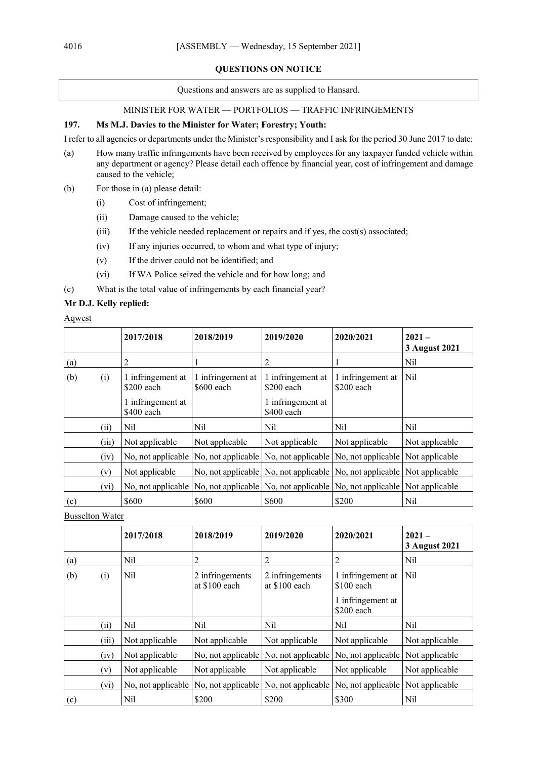# **QUESTIONS ON NOTICE**

Questions and answers are as supplied to Hansard.

# MINISTER FOR WATER — PORTFOLIOS — TRAFFIC INFRINGEMENTS

# **197. Ms M.J. Davies to the Minister for Water; Forestry; Youth:**

I refer to all agencies or departments under the Minister's responsibility and I ask for the period 30 June 2017 to date:

- (a) How many traffic infringements have been received by employees for any taxpayer funded vehicle within any department or agency? Please detail each offence by financial year, cost of infringement and damage caused to the vehicle;
- (b) For those in (a) please detail:
	- (i) Cost of infringement;
	- (ii) Damage caused to the vehicle;
	- (iii) If the vehicle needed replacement or repairs and if yes, the cost(s) associated;
	- (iv) If any injuries occurred, to whom and what type of injury;
	- (v) If the driver could not be identified; and
	- (vi) If WA Police seized the vehicle and for how long; and
- (c) What is the total value of infringements by each financial year?

# **Mr D.J. Kelly replied:**

Aqwest

|     |       | 2017/2018                                                           | 2018/2019                                                                                          | 2019/2020                                                                     | 2020/2021                                                | $2021 -$<br>3 August 2021 |
|-----|-------|---------------------------------------------------------------------|----------------------------------------------------------------------------------------------------|-------------------------------------------------------------------------------|----------------------------------------------------------|---------------------------|
| (a) |       | 2                                                                   |                                                                                                    |                                                                               |                                                          | Nil                       |
| (b) | (i)   | 1 infringement at<br>$$200$ each<br>1 infringement at<br>\$400 each | 1 infringement at<br>\$600 each                                                                    | 1 infringement at<br>\$200 each<br>1 infringement at<br>\$400 each            | 1 infringement at<br>$$200$ each                         | N <sub>il</sub>           |
|     | (ii)  | Nil                                                                 | Nil                                                                                                | Nil                                                                           | Nil                                                      | N <sub>il</sub>           |
|     | (iii) | Not applicable                                                      | Not applicable                                                                                     | Not applicable                                                                | Not applicable                                           | Not applicable            |
|     | (iv)  |                                                                     | No, not applicable   No, not applicable                                                            |                                                                               | No, not applicable   No, not applicable   Not applicable |                           |
|     | (v)   | Not applicable                                                      |                                                                                                    | No, not applicable   No, not applicable   No, not applicable   Not applicable |                                                          |                           |
|     | (vi)  |                                                                     | No, not applicable   No, not applicable   No, not applicable   No, not applicable   Not applicable |                                                                               |                                                          |                           |
| (c) |       | \$600                                                               | \$600                                                                                              | \$600                                                                         | \$200                                                    | Nil                       |

Busselton Water

|     |       | 2017/2018          | 2018/2019                        | 2019/2020                        | 2020/2021                         | $2021 -$<br>3 August 2021 |
|-----|-------|--------------------|----------------------------------|----------------------------------|-----------------------------------|---------------------------|
| (a) |       | Nil                | 2                                | 2                                | 2                                 | Nil                       |
| (b) | (i)   | Nil                | 2 infringements<br>at \$100 each | 2 infringements<br>at \$100 each | 1 infringement at<br>$$100$ each  | Nil                       |
|     |       |                    |                                  |                                  | 1 infringement at<br>\$200 each   |                           |
|     | (ii)  | Nil                | Nil                              | Nil                              | Nil                               | Nil                       |
|     | (iii) | Not applicable     | Not applicable                   | Not applicable                   | Not applicable                    | Not applicable            |
|     | (iv)  | Not applicable     | No, not applicable               | No, not applicable               | No, not applicable Not applicable |                           |
|     | (v)   | Not applicable     | Not applicable                   | Not applicable                   | Not applicable                    | Not applicable            |
|     | (vi)  | No, not applicable | No, not applicable               | No, not applicable               | No, not applicable Not applicable |                           |
| (c) |       | Nil                | \$200                            | \$200                            | \$300                             | Nil                       |